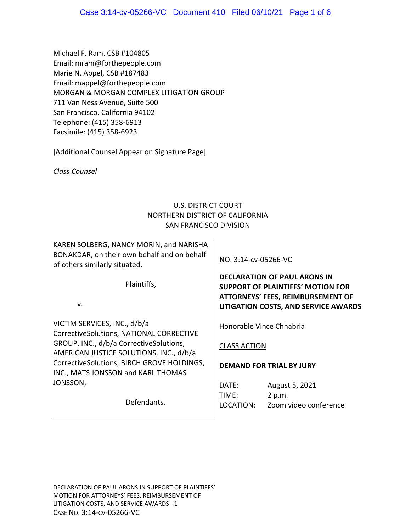Michael F. Ram. CSB #104805 Email: mram@forthepeople.com Marie N. Appel, CSB #187483 Email: mappel@forthepeople.com MORGAN & MORGAN COMPLEX LITIGATION GROUP 711 Van Ness Avenue, Suite 500 San Francisco, California 94102 Telephone: (415) 358‐6913 Facsimile: (415) 358‐6923

[Additional Counsel Appear on Signature Page]

*Class Counsel* 

## U.S. DISTRICT COURT NORTHERN DISTRICT OF CALIFORNIA SAN FRANCISCO DIVISION

KAREN SOLBERG, NANCY MORIN, and NARISHA BONAKDAR, on their own behalf and on behalf of others similarly situated,

Plaintiffs,

v.

VICTIM SERVICES, INC., d/b/a CorrectiveSolutions, NATIONAL CORRECTIVE GROUP, INC., d/b/a CorrectiveSolutions, AMERICAN JUSTICE SOLUTIONS, INC., d/b/a CorrectiveSolutions, BIRCH GROVE HOLDINGS, INC., MATS JONSSON and KARL THOMAS JONSSON,

Defendants.

NO. 3:14‐cv‐05266‐VC

**DECLARATION OF PAUL ARONS IN SUPPORT OF PLAINTIFFS' MOTION FOR ATTORNEYS' FEES, REIMBURSEMENT OF LITIGATION COSTS, AND SERVICE AWARDS**

Honorable Vince Chhabria

#### CLASS ACTION

#### **DEMAND FOR TRIAL BY JURY**

DATE: August 5, 2021 TIME: 2 p.m. LOCATION: Zoom video conference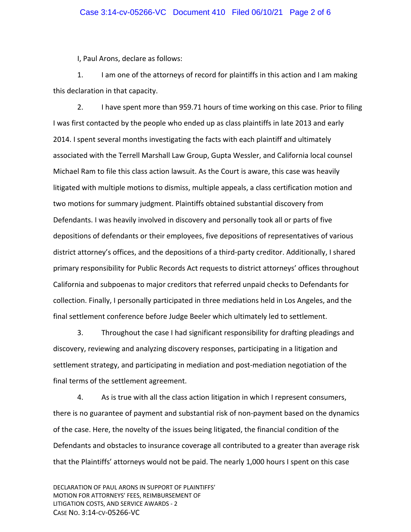I, Paul Arons, declare as follows:

1. I am one of the attorneys of record for plaintiffs in this action and I am making this declaration in that capacity.

2. I have spent more than 959.71 hours of time working on this case. Prior to filing I was first contacted by the people who ended up as class plaintiffs in late 2013 and early 2014. I spent several months investigating the facts with each plaintiff and ultimately associated with the Terrell Marshall Law Group, Gupta Wessler, and California local counsel Michael Ram to file this class action lawsuit. As the Court is aware, this case was heavily litigated with multiple motions to dismiss, multiple appeals, a class certification motion and two motions for summary judgment. Plaintiffs obtained substantial discovery from Defendants. I was heavily involved in discovery and personally took all or parts of five depositions of defendants or their employees, five depositions of representatives of various district attorney's offices, and the depositions of a third‐party creditor. Additionally, I shared primary responsibility for Public Records Act requests to district attorneys' offices throughout California and subpoenas to major creditors that referred unpaid checks to Defendants for collection. Finally, I personally participated in three mediations held in Los Angeles, and the final settlement conference before Judge Beeler which ultimately led to settlement.

3. Throughout the case I had significant responsibility for drafting pleadings and discovery, reviewing and analyzing discovery responses, participating in a litigation and settlement strategy, and participating in mediation and post-mediation negotiation of the final terms of the settlement agreement.

4. As is true with all the class action litigation in which I represent consumers, there is no guarantee of payment and substantial risk of non‐payment based on the dynamics of the case. Here, the novelty of the issues being litigated, the financial condition of the Defendants and obstacles to insurance coverage all contributed to a greater than average risk that the Plaintiffs' attorneys would not be paid. The nearly 1,000 hours I spent on this case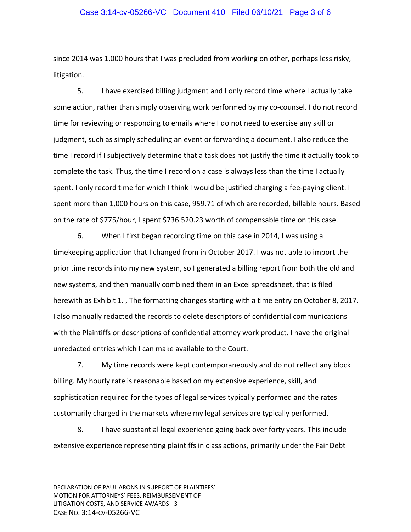#### Case 3:14-cv-05266-VC Document 410 Filed 06/10/21 Page 3 of 6

since 2014 was 1,000 hours that I was precluded from working on other, perhaps less risky, litigation.

5. I have exercised billing judgment and I only record time where I actually take some action, rather than simply observing work performed by my co-counsel. I do not record time for reviewing or responding to emails where I do not need to exercise any skill or judgment, such as simply scheduling an event or forwarding a document. I also reduce the time I record if I subjectively determine that a task does not justify the time it actually took to complete the task. Thus, the time I record on a case is always less than the time I actually spent. I only record time for which I think I would be justified charging a fee-paying client. I spent more than 1,000 hours on this case, 959.71 of which are recorded, billable hours. Based on the rate of \$775/hour, I spent \$736.520.23 worth of compensable time on this case.

6. When I first began recording time on this case in 2014, I was using a timekeeping application that I changed from in October 2017. I was not able to import the prior time records into my new system, so I generated a billing report from both the old and new systems, and then manually combined them in an Excel spreadsheet, that is filed herewith as Exhibit 1. , The formatting changes starting with a time entry on October 8, 2017. I also manually redacted the records to delete descriptors of confidential communications with the Plaintiffs or descriptions of confidential attorney work product. I have the original unredacted entries which I can make available to the Court.

7. My time records were kept contemporaneously and do not reflect any block billing. My hourly rate is reasonable based on my extensive experience, skill, and sophistication required for the types of legal services typically performed and the rates customarily charged in the markets where my legal services are typically performed.

8. I have substantial legal experience going back over forty years. This include extensive experience representing plaintiffs in class actions, primarily under the Fair Debt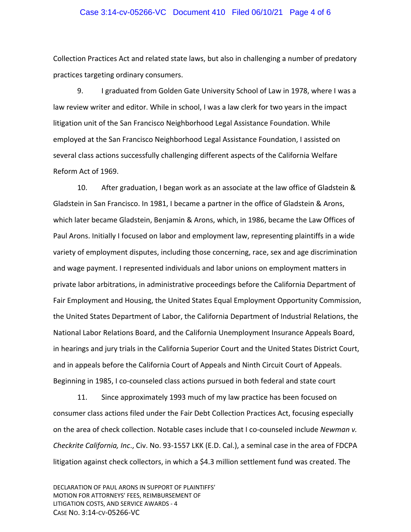#### Case 3:14-cv-05266-VC Document 410 Filed 06/10/21 Page 4 of 6

Collection Practices Act and related state laws, but also in challenging a number of predatory practices targeting ordinary consumers.

9. I graduated from Golden Gate University School of Law in 1978, where I was a law review writer and editor. While in school, I was a law clerk for two years in the impact litigation unit of the San Francisco Neighborhood Legal Assistance Foundation. While employed at the San Francisco Neighborhood Legal Assistance Foundation, I assisted on several class actions successfully challenging different aspects of the California Welfare Reform Act of 1969.

10. After graduation, I began work as an associate at the law office of Gladstein & Gladstein in San Francisco. In 1981, I became a partner in the office of Gladstein & Arons, which later became Gladstein, Benjamin & Arons, which, in 1986, became the Law Offices of Paul Arons. Initially I focused on labor and employment law, representing plaintiffs in a wide variety of employment disputes, including those concerning, race, sex and age discrimination and wage payment. I represented individuals and labor unions on employment matters in private labor arbitrations, in administrative proceedings before the California Department of Fair Employment and Housing, the United States Equal Employment Opportunity Commission, the United States Department of Labor, the California Department of Industrial Relations, the National Labor Relations Board, and the California Unemployment Insurance Appeals Board, in hearings and jury trials in the California Superior Court and the United States District Court, and in appeals before the California Court of Appeals and Ninth Circuit Court of Appeals. Beginning in 1985, I co‐counseled class actions pursued in both federal and state court

11. Since approximately 1993 much of my law practice has been focused on consumer class actions filed under the Fair Debt Collection Practices Act, focusing especially on the area of check collection. Notable cases include that I co‐counseled include *Newman v. Checkrite California, Inc*., Civ. No. 93‐1557 LKK (E.D. Cal.), a seminal case in the area of FDCPA litigation against check collectors, in which a \$4.3 million settlement fund was created. The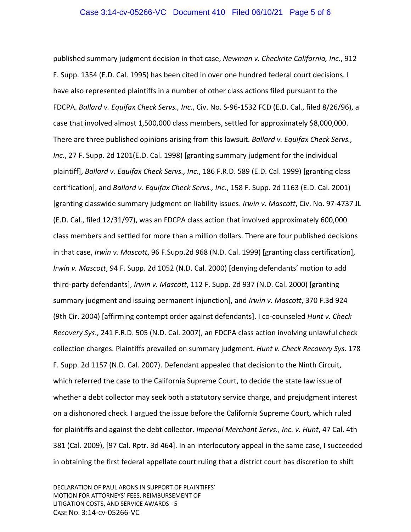published summary judgment decision in that case, *Newman v. Checkrite California, Inc*., 912 F. Supp. 1354 (E.D. Cal. 1995) has been cited in over one hundred federal court decisions. I have also represented plaintiffs in a number of other class actions filed pursuant to the FDCPA. *Ballard v. Equifax Check Servs., Inc*., Civ. No. S‐96‐1532 FCD (E.D. Cal., filed 8/26/96), a case that involved almost 1,500,000 class members, settled for approximately \$8,000,000. There are three published opinions arising from this lawsuit. *Ballard v. Equifax Check Servs., Inc*., 27 F. Supp. 2d 1201(E.D. Cal. 1998) [granting summary judgment for the individual plaintiff], *Ballard v. Equifax Check Servs., Inc*., 186 F.R.D. 589 (E.D. Cal. 1999) [granting class certification], and *Ballard v. Equifax Check Servs., Inc*., 158 F. Supp. 2d 1163 (E.D. Cal. 2001) [granting classwide summary judgment on liability issues. *Irwin v. Mascott*, Civ. No. 97‐4737 JL (E.D. Cal., filed 12/31/97), was an FDCPA class action that involved approximately 600,000 class members and settled for more than a million dollars. There are four published decisions in that case, *Irwin v. Mascott*, 96 F.Supp.2d 968 (N.D. Cal. 1999) [granting class certification], *Irwin v. Mascott*, 94 F. Supp. 2d 1052 (N.D. Cal. 2000) [denying defendants' motion to add third‐party defendants], *Irwin v. Mascott*, 112 F. Supp. 2d 937 (N.D. Cal. 2000) [granting summary judgment and issuing permanent injunction], and *Irwin v. Mascott*, 370 F.3d 924 (9th Cir. 2004) [affirming contempt order against defendants]. I co‐counseled *Hunt v. Check Recovery Sys*., 241 F.R.D. 505 (N.D. Cal. 2007), an FDCPA class action involving unlawful check collection charges. Plaintiffs prevailed on summary judgment. *Hunt v. Check Recovery Sys*. 178 F. Supp. 2d 1157 (N.D. Cal. 2007). Defendant appealed that decision to the Ninth Circuit, which referred the case to the California Supreme Court, to decide the state law issue of whether a debt collector may seek both a statutory service charge, and prejudgment interest on a dishonored check. I argued the issue before the California Supreme Court, which ruled for plaintiffs and against the debt collector. *Imperial Merchant Servs., Inc. v. Hunt*, 47 Cal. 4th 381 (Cal. 2009), [97 Cal. Rptr. 3d 464]. In an interlocutory appeal in the same case, I succeeded in obtaining the first federal appellate court ruling that a district court has discretion to shift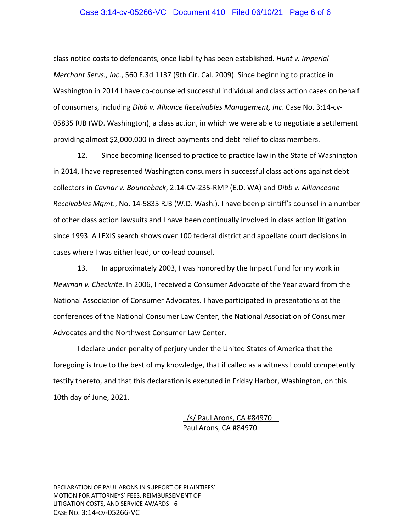#### Case 3:14-cv-05266-VC Document 410 Filed 06/10/21 Page 6 of 6

class notice costs to defendants, once liability has been established. *Hunt v. Imperial Merchant Servs., Inc*., 560 F.3d 1137 (9th Cir. Cal. 2009). Since beginning to practice in Washington in 2014 I have co-counseled successful individual and class action cases on behalf of consumers, including *Dibb v. Alliance Receivables Management, Inc*. Case No. 3:14‐cv‐ 05835 RJB (WD. Washington), a class action, in which we were able to negotiate a settlement providing almost \$2,000,000 in direct payments and debt relief to class members.

12. Since becoming licensed to practice to practice law in the State of Washington in 2014, I have represented Washington consumers in successful class actions against debt collectors in *Cavnar v. Bounceback*, 2:14‐CV‐235‐RMP (E.D. WA) and *Dibb v. Allianceone Receivables Mgmt*., No. 14‐5835 RJB (W.D. Wash.). I have been plaintiff's counsel in a number of other class action lawsuits and I have been continually involved in class action litigation since 1993. A LEXIS search shows over 100 federal district and appellate court decisions in cases where I was either lead, or co‐lead counsel.

13. In approximately 2003, I was honored by the Impact Fund for my work in *Newman v. Checkrite*. In 2006, I received a Consumer Advocate of the Year award from the National Association of Consumer Advocates. I have participated in presentations at the conferences of the National Consumer Law Center, the National Association of Consumer Advocates and the Northwest Consumer Law Center.

I declare under penalty of perjury under the United States of America that the foregoing is true to the best of my knowledge, that if called as a witness I could competently testify thereto, and that this declaration is executed in Friday Harbor, Washington, on this 10th day of June, 2021.

> /s/ Paul Arons, CA #84970 Paul Arons, CA #84970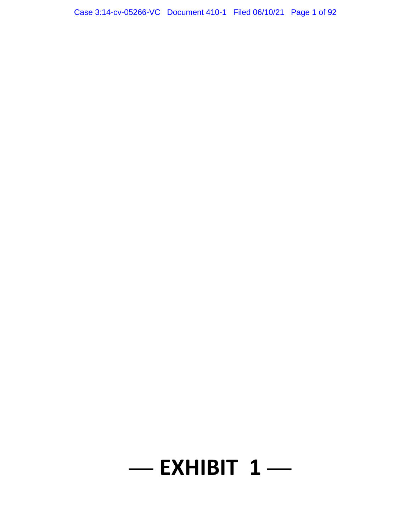# **— EXHIBIT 1 —**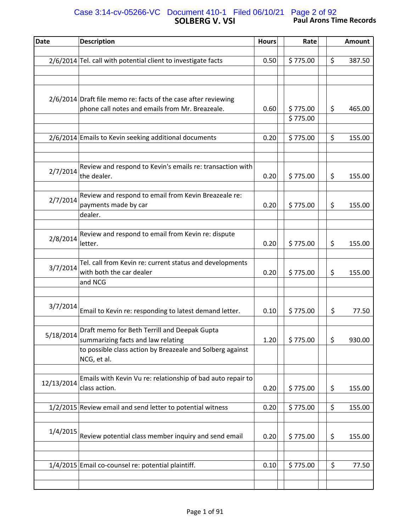## **SOLBERG V. VSI Paul Arons Time Records** Case 3:14-cv-05266-VC Document 410-1 Filed 06/10/21 Page 2 of 92

| <b>Date</b> | <b>Description</b>                                                                              | <b>Hours</b> | Rate     | <b>Amount</b> |
|-------------|-------------------------------------------------------------------------------------------------|--------------|----------|---------------|
|             |                                                                                                 |              |          |               |
|             | 2/6/2014 Tel. call with potential client to investigate facts                                   | 0.50         | \$775.00 | \$<br>387.50  |
|             |                                                                                                 |              |          |               |
|             |                                                                                                 |              |          |               |
|             | 2/6/2014 Draft file memo re: facts of the case after reviewing                                  |              |          |               |
|             | phone call notes and emails from Mr. Breazeale.                                                 | 0.60         | \$775.00 | \$<br>465.00  |
|             |                                                                                                 |              | \$775.00 |               |
|             |                                                                                                 |              |          |               |
|             | 2/6/2014 Emails to Kevin seeking additional documents                                           | 0.20         | \$775.00 | \$<br>155.00  |
|             |                                                                                                 |              |          |               |
|             | Review and respond to Kevin's emails re: transaction with                                       |              |          |               |
| 2/7/2014    | the dealer.                                                                                     | 0.20         | \$775.00 | \$<br>155.00  |
|             |                                                                                                 |              |          |               |
| 2/7/2014    | Review and respond to email from Kevin Breazeale re:                                            |              |          |               |
|             | payments made by car<br>dealer.                                                                 | 0.20         | \$775.00 | \$<br>155.00  |
|             |                                                                                                 |              |          |               |
|             | Review and respond to email from Kevin re: dispute                                              |              |          |               |
| 2/8/2014    | letter.                                                                                         | 0.20         | \$775.00 | \$<br>155.00  |
|             |                                                                                                 |              |          |               |
| 3/7/2014    | Tel. call from Kevin re: current status and developments                                        |              |          |               |
|             | with both the car dealer<br>and NCG                                                             | 0.20         | \$775.00 | \$<br>155.00  |
|             |                                                                                                 |              |          |               |
|             |                                                                                                 |              |          |               |
| 3/7/2014    | Email to Kevin re: responding to latest demand letter.                                          | 0.10         | \$775.00 | \$<br>77.50   |
|             |                                                                                                 |              |          |               |
| 5/18/2014   | Draft memo for Beth Terrill and Deepak Gupta                                                    |              |          |               |
|             | summarizing facts and law relating<br>to possible class action by Breazeale and Solberg against | 1.20         | \$775.00 | \$<br>930.00  |
|             | NCG, et al.                                                                                     |              |          |               |
|             |                                                                                                 |              |          |               |
| 12/13/2014  | Emails with Kevin Vu re: relationship of bad auto repair to                                     |              |          |               |
|             | class action.                                                                                   | 0.20         | \$775.00 | \$<br>155.00  |
|             |                                                                                                 |              |          |               |
|             | 1/2/2015 Review email and send letter to potential witness                                      | 0.20         | \$775.00 | \$<br>155.00  |
|             |                                                                                                 |              |          |               |
| 1/4/2015    | Review potential class member inquiry and send email                                            | 0.20         | \$775.00 | \$<br>155.00  |
|             |                                                                                                 |              |          |               |
|             |                                                                                                 |              |          |               |
|             | 1/4/2015 Email co-counsel re: potential plaintiff.                                              | 0.10         | \$775.00 | \$<br>77.50   |
|             |                                                                                                 |              |          |               |
|             |                                                                                                 |              |          |               |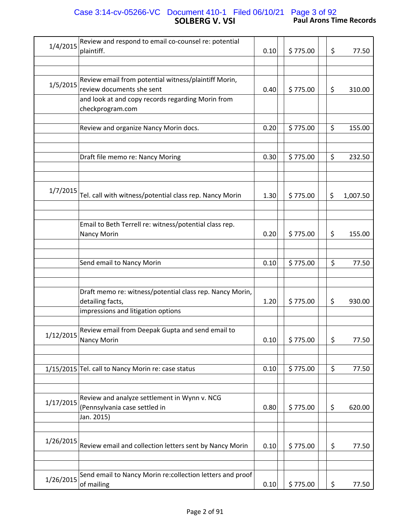### **SOLBERG V. VSI Paul Arons Time Records** Case 3:14-cv-05266-VC Document 410-1 Filed 06/10/21 Page 3 of 92

| 1/4/2015  | Review and respond to email co-counsel re: potential<br>plaintiff.                          | 0.10 | \$775.00 | \$<br>77.50    |
|-----------|---------------------------------------------------------------------------------------------|------|----------|----------------|
|           |                                                                                             |      |          |                |
| 1/5/2015  | Review email from potential witness/plaintiff Morin,<br>review documents she sent           | 0.40 | \$775.00 | \$<br>310.00   |
|           | and look at and copy records regarding Morin from<br>checkprogram.com                       |      |          |                |
|           | Review and organize Nancy Morin docs.                                                       | 0.20 | \$775.00 | \$<br>155.00   |
|           | Draft file memo re: Nancy Moring                                                            | 0.30 | \$775.00 | \$<br>232.50   |
|           |                                                                                             |      |          |                |
| 1/7/2015  | Tel. call with witness/potential class rep. Nancy Morin                                     | 1.30 | \$775.00 | \$<br>1,007.50 |
|           |                                                                                             |      |          |                |
|           | Email to Beth Terrell re: witness/potential class rep.<br><b>Nancy Morin</b>                | 0.20 | \$775.00 | \$<br>155.00   |
|           | Send email to Nancy Morin                                                                   | 0.10 | \$775.00 | \$<br>77.50    |
|           |                                                                                             |      |          |                |
|           | Draft memo re: witness/potential class rep. Nancy Morin,<br>detailing facts,                | 1.20 | \$775.00 | \$<br>930.00   |
|           | impressions and litigation options                                                          |      |          |                |
| 1/12/2015 | Review email from Deepak Gupta and send email to<br>Nancy Morin                             | 0.10 | \$775.00 | \$<br>77.50    |
|           | 1/15/2015 Tel. call to Nancy Morin re: case status                                          | 0.10 | \$775.00 | \$<br>77.50    |
| 1/17/2015 | Review and analyze settlement in Wynn v. NCG<br>(Pennsylvania case settled in<br>Jan. 2015) | 0.80 | \$775.00 | \$<br>620.00   |
| 1/26/2015 | Review email and collection letters sent by Nancy Morin                                     | 0.10 | \$775.00 | \$<br>77.50    |
|           |                                                                                             |      |          |                |
| 1/26/2015 | Send email to Nancy Morin re:collection letters and proof<br>of mailing                     | 0.10 | \$775.00 | \$<br>77.50    |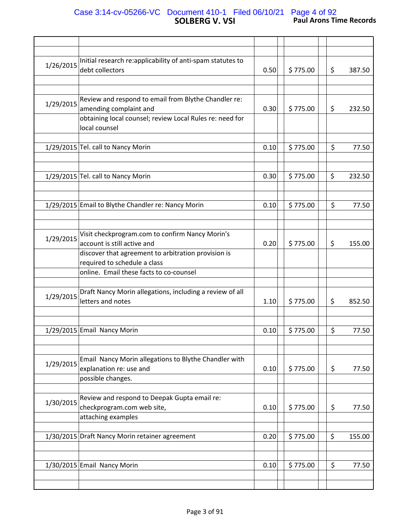## **SOLBERG V. VSI Paul Arons Time Records** Case 3:14-cv-05266-VC Document 410-1 Filed 06/10/21 Page 4 of 92

| 1/26/2015 | Initial research re:applicability of anti-spam statutes to<br>debt collectors  | 0.50 | \$775.00 | \$ | 387.50 |
|-----------|--------------------------------------------------------------------------------|------|----------|----|--------|
|           |                                                                                |      |          |    |        |
| 1/29/2015 | Review and respond to email from Blythe Chandler re:<br>amending complaint and | 0.30 | \$775.00 | \$ | 232.50 |
|           | obtaining local counsel; review Local Rules re: need for                       |      |          |    |        |
|           | local counsel                                                                  |      |          |    |        |
|           | 1/29/2015 Tel. call to Nancy Morin                                             | 0.10 | \$775.00 | \$ | 77.50  |
|           |                                                                                |      |          |    |        |
|           |                                                                                |      |          |    |        |
|           | 1/29/2015 Tel. call to Nancy Morin                                             | 0.30 | \$775.00 | \$ | 232.50 |
|           |                                                                                |      |          |    |        |
|           | 1/29/2015 Email to Blythe Chandler re: Nancy Morin                             | 0.10 | \$775.00 | \$ | 77.50  |
|           |                                                                                |      |          |    |        |
|           |                                                                                |      |          |    |        |
|           | Visit checkprogram.com to confirm Nancy Morin's                                |      |          |    |        |
| 1/29/2015 | account is still active and                                                    | 0.20 | \$775.00 | \$ | 155.00 |
|           |                                                                                |      |          |    |        |
|           | discover that agreement to arbitration provision is                            |      |          |    |        |
|           | required to schedule a class                                                   |      |          |    |        |
|           | online. Email these facts to co-counsel                                        |      |          |    |        |
|           |                                                                                |      |          |    |        |
| 1/29/2015 | Draft Nancy Morin allegations, including a review of all<br>letters and notes  | 1.10 | \$775.00 | \$ | 852.50 |
|           |                                                                                |      |          |    |        |
|           |                                                                                |      |          |    |        |
|           | 1/29/2015 Email Nancy Morin                                                    | 0.10 | \$775.00 | \$ | 77.50  |
|           |                                                                                |      |          |    |        |
|           |                                                                                |      |          |    |        |
|           | Email Nancy Morin allegations to Blythe Chandler with                          |      |          |    |        |
| 1/29/2015 | explanation re: use and                                                        | 0.10 | \$775.00 | \$ | 77.50  |
|           | possible changes.                                                              |      |          |    |        |
|           |                                                                                |      |          |    |        |
|           |                                                                                |      |          |    |        |
| 1/30/2015 | Review and respond to Deepak Gupta email re:                                   |      |          |    |        |
|           | checkprogram.com web site,                                                     | 0.10 | \$775.00 | \$ | 77.50  |
|           | attaching examples                                                             |      |          |    |        |
|           | 1/30/2015 Draft Nancy Morin retainer agreement                                 | 0.20 | \$775.00 | \$ | 155.00 |
|           |                                                                                |      |          |    |        |
|           | 1/30/2015 Email Nancy Morin                                                    | 0.10 | \$775.00 | \$ | 77.50  |
|           |                                                                                |      |          |    |        |
|           |                                                                                |      |          |    |        |
|           |                                                                                |      |          |    |        |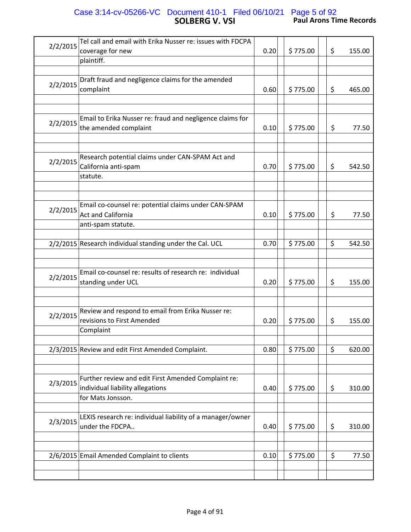#### **SOLBERG V. VSI Paul Arons Time Records** Case 3:14-cv-05266-VC Document 410-1 Filed 06/10/21 Page 5 of 92

| 2/2/2015 | Tel call and email with Erika Nusser re: issues with FDCPA<br>coverage for new                               | 0.20 | \$775.00 | \$<br>155.00 |
|----------|--------------------------------------------------------------------------------------------------------------|------|----------|--------------|
|          | plaintiff.                                                                                                   |      |          |              |
| 2/2/2015 | Draft fraud and negligence claims for the amended<br>complaint                                               | 0.60 | \$775.00 | \$<br>465.00 |
| 2/2/2015 | Email to Erika Nusser re: fraud and negligence claims for<br>the amended complaint                           | 0.10 | \$775.00 | \$<br>77.50  |
| 2/2/2015 | Research potential claims under CAN-SPAM Act and<br>California anti-spam<br>statute.                         | 0.70 | \$775.00 | \$<br>542.50 |
| 2/2/2015 | Email co-counsel re: potential claims under CAN-SPAM<br><b>Act and California</b><br>anti-spam statute.      | 0.10 | \$775.00 | \$<br>77.50  |
|          | 2/2/2015 Research individual standing under the Cal. UCL                                                     | 0.70 | \$775.00 | \$<br>542.50 |
| 2/2/2015 | Email co-counsel re: results of research re: individual<br>standing under UCL                                | 0.20 | \$775.00 | \$<br>155.00 |
| 2/2/2015 | Review and respond to email from Erika Nusser re:<br>revisions to First Amended<br>Complaint                 | 0.20 | \$775.00 | \$<br>155.00 |
|          | 2/3/2015 Review and edit First Amended Complaint.                                                            | 0.80 | \$775.00 | \$<br>620.00 |
| 2/3/2015 | Further review and edit First Amended Complaint re:<br>individual liability allegations<br>for Mats Jonsson. | 0.40 | \$775.00 | \$<br>310.00 |
| 2/3/2015 | LEXIS research re: individual liability of a manager/owner<br>under the FDCPA                                | 0.40 | \$775.00 | \$<br>310.00 |
|          | 2/6/2015 Email Amended Complaint to clients                                                                  | 0.10 | \$775.00 | \$<br>77.50  |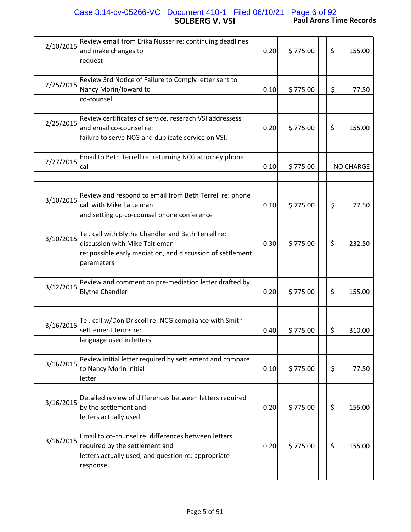#### **SOLBERG V. VSI Paul Arons Time Records** Case 3:14-cv-05266-VC Document 410-1 Filed 06/10/21 Page 6 of 92

| 2/10/2015 | Review email from Erika Nusser re: continuing deadlines                                                    |      |          |    |                  |
|-----------|------------------------------------------------------------------------------------------------------------|------|----------|----|------------------|
|           | and make changes to                                                                                        | 0.20 | \$775.00 | \$ | 155.00           |
|           | request                                                                                                    |      |          |    |                  |
| 2/25/2015 | Review 3rd Notice of Failure to Comply letter sent to<br>Nancy Morin/foward to<br>co-counsel               | 0.10 | \$775.00 | \$ | 77.50            |
|           |                                                                                                            |      |          |    |                  |
| 2/25/2015 | Review certificates of service, reserach VSI addressess<br>and email co-counsel re:                        | 0.20 | \$775.00 | \$ | 155.00           |
|           | failure to serve NCG and duplicate service on VSI.                                                         |      |          |    |                  |
| 2/27/2015 | Email to Beth Terrell re: returning NCG attorney phone<br>call                                             | 0.10 | \$775.00 |    | <b>NO CHARGE</b> |
|           |                                                                                                            |      |          |    |                  |
| 3/10/2015 | Review and respond to email from Beth Terrell re: phone<br>call with Mike Taitelman                        | 0.10 | \$775.00 | \$ | 77.50            |
|           | and setting up co-counsel phone conference                                                                 |      |          |    |                  |
|           |                                                                                                            |      |          |    |                  |
| 3/10/2015 | Tel. call with Blythe Chandler and Beth Terrell re:<br>discussion with Mike Taitleman                      | 0.30 | \$775.00 | \$ | 232.50           |
|           | re: possible early mediation, and discussion of settlement<br>parameters                                   |      |          |    |                  |
|           |                                                                                                            |      |          |    |                  |
| 3/12/2015 | Review and comment on pre-mediation letter drafted by<br><b>Blythe Chandler</b>                            | 0.20 | \$775.00 | \$ | 155.00           |
|           |                                                                                                            |      |          |    |                  |
|           |                                                                                                            |      |          |    |                  |
| 3/16/2015 | Tel. call w/Don Driscoll re: NCG compliance with Smith<br>settlement terms re:                             | 0.40 | \$775.00 | \$ | 310.00           |
|           | language used in letters                                                                                   |      |          |    |                  |
|           | Review initial letter required by settlement and compare                                                   |      |          |    |                  |
| 3/16/2015 | to Nancy Morin initial                                                                                     | 0.10 | \$775.00 | \$ | 77.50            |
|           | letter                                                                                                     |      |          |    |                  |
| 3/16/2015 | Detailed review of differences between letters required<br>by the settlement and<br>letters actually used. | 0.20 | \$775.00 | \$ | 155.00           |
|           |                                                                                                            |      |          |    |                  |
| 3/16/2015 | Email to co-counsel re: differences between letters<br>required by the settlement and                      | 0.20 | \$775.00 | \$ | 155.00           |
|           | letters actually used, and question re: appropriate<br>response                                            |      |          |    |                  |
|           |                                                                                                            |      |          |    |                  |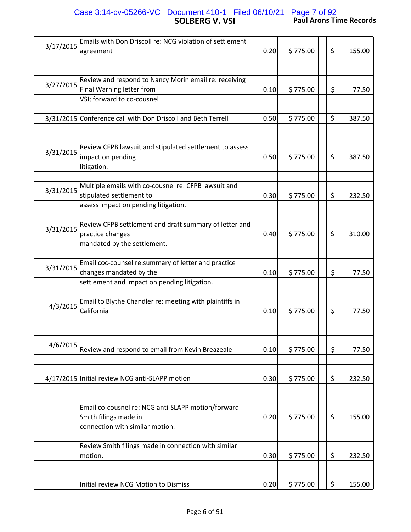## **SOLBERG V. VSI Paul Arons Time Records** Case 3:14-cv-05266-VC Document 410-1 Filed 06/10/21 Page 7 of 92

|           | Emails with Don Driscoll re: NCG violation of settlement     |      |          |              |
|-----------|--------------------------------------------------------------|------|----------|--------------|
| 3/17/2015 | agreement                                                    | 0.20 | \$775.00 | \$<br>155.00 |
|           |                                                              |      |          |              |
|           |                                                              |      |          |              |
|           | Review and respond to Nancy Morin email re: receiving        |      |          |              |
| 3/27/2015 | Final Warning letter from                                    | 0.10 | \$775.00 | \$<br>77.50  |
|           | VSI; forward to co-cousnel                                   |      |          |              |
|           |                                                              |      |          |              |
|           | 3/31/2015 Conference call with Don Driscoll and Beth Terrell | 0.50 | \$775.00 | \$<br>387.50 |
|           |                                                              |      |          |              |
|           |                                                              |      |          |              |
|           | Review CFPB lawsuit and stipulated settlement to assess      |      |          |              |
| 3/31/2015 | impact on pending                                            | 0.50 | \$775.00 | \$<br>387.50 |
|           | litigation.                                                  |      |          |              |
|           |                                                              |      |          |              |
| 3/31/2015 | Multiple emails with co-cousnel re: CFPB lawsuit and         |      |          |              |
|           | stipulated settlement to                                     | 0.30 | \$775.00 | \$<br>232.50 |
|           | assess impact on pending litigation.                         |      |          |              |
|           |                                                              |      |          |              |
| 3/31/2015 | Review CFPB settlement and draft summary of letter and       |      |          |              |
|           | practice changes                                             | 0.40 | \$775.00 | \$<br>310.00 |
|           | mandated by the settlement.                                  |      |          |              |
|           |                                                              |      |          |              |
| 3/31/2015 | Email coc-counsel re:summary of letter and practice          |      |          |              |
|           | changes mandated by the                                      | 0.10 | \$775.00 | \$<br>77.50  |
|           | settlement and impact on pending litigation.                 |      |          |              |
|           |                                                              |      |          |              |
| 4/3/2015  | Email to Blythe Chandler re: meeting with plaintiffs in      |      |          |              |
|           | California                                                   | 0.10 | \$775.00 | \$<br>77.50  |
|           |                                                              |      |          |              |
|           |                                                              |      |          |              |
| 4/6/2015  |                                                              |      |          |              |
|           | Review and respond to email from Kevin Breazeale             | 0.10 | \$775.00 | \$<br>77.50  |
|           |                                                              |      |          |              |
|           | 4/17/2015 Initial review NCG anti-SLAPP motion               | 0.30 | \$775.00 | \$<br>232.50 |
|           |                                                              |      |          |              |
|           |                                                              |      |          |              |
|           | Email co-cousnel re: NCG anti-SLAPP motion/forward           |      |          |              |
|           | Smith filings made in                                        | 0.20 | \$775.00 | \$<br>155.00 |
|           | connection with similar motion.                              |      |          |              |
|           |                                                              |      |          |              |
|           | Review Smith filings made in connection with similar         |      |          |              |
|           | motion.                                                      | 0.30 | \$775.00 | \$<br>232.50 |
|           |                                                              |      |          |              |
|           |                                                              |      |          |              |
|           | Initial review NCG Motion to Dismiss                         | 0.20 | \$775.00 | \$<br>155.00 |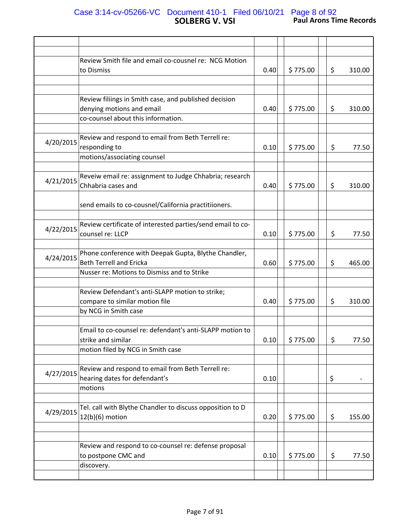#### **SOLBERG V. VSI Paul Arons Time Records** Case 3:14-cv-05266-VC Document 410-1 Filed 06/10/21 Page 8 of 92

|           | Review Smith file and email co-cousnel re: NCG Motion      |      |          |         |        |
|-----------|------------------------------------------------------------|------|----------|---------|--------|
|           | to Dismiss                                                 | 0.40 | \$775.00 | \$      | 310.00 |
|           |                                                            |      |          |         |        |
|           |                                                            |      |          |         |        |
|           | Review filiings in Smith case, and published decision      |      |          |         |        |
|           | denying motions and email                                  | 0.40 | \$775.00 | \$      | 310.00 |
|           | co-counsel about this information.                         |      |          |         |        |
|           |                                                            |      |          |         |        |
|           | Review and respond to email from Beth Terrell re:          |      |          |         |        |
| 4/20/2015 | responding to                                              | 0.10 | \$775.00 | \$      | 77.50  |
|           | motions/associating counsel                                |      |          |         |        |
|           |                                                            |      |          |         |        |
|           | Reveiw email re: assignment to Judge Chhabria; research    |      |          |         |        |
| 4/21/2015 | Chhabria cases and                                         |      | \$775.00 |         |        |
|           |                                                            | 0.40 |          | \$      | 310.00 |
|           |                                                            |      |          |         |        |
|           | send emails to co-cousnel/California practitiioners.       |      |          |         |        |
|           |                                                            |      |          |         |        |
| 4/22/2015 | Review certificate of interested parties/send email to co- |      |          |         |        |
|           | counsel re: LLCP                                           | 0.10 | \$775.00 | \$      | 77.50  |
|           |                                                            |      |          |         |        |
| 4/24/2015 | Phone conference with Deepak Gupta, Blythe Chandler,       |      |          |         |        |
|           | <b>Beth Terrell and Ericka</b>                             | 0.60 | \$775.00 | \$      | 465.00 |
|           | Nusser re: Motions to Dismiss and to Strike                |      |          |         |        |
|           |                                                            |      |          |         |        |
|           | Review Defendant's anti-SLAPP motion to strike;            |      |          |         |        |
|           | compare to similar motion file                             | 0.40 | \$775.00 | \$      | 310.00 |
|           | by NCG in Smith case                                       |      |          |         |        |
|           |                                                            |      |          |         |        |
|           | Email to co-counsel re: defendant's anti-SLAPP motion to   |      |          |         |        |
|           | strike and similar                                         | 0.10 | \$775.00 | $\zeta$ | 77.50  |
|           | motion filed by NCG in Smith case                          |      |          |         |        |
|           |                                                            |      |          |         |        |
|           | Review and respond to email from Beth Terrell re:          |      |          |         |        |
| 4/27/2015 | hearing dates for defendant's                              | 0.10 |          | \$      |        |
|           | motions                                                    |      |          |         |        |
|           |                                                            |      |          |         |        |
|           | Tel. call with Blythe Chandler to discuss opposition to D  |      |          |         |        |
| 4/29/2015 | $12(b)(6)$ motion                                          | 0.20 | \$775.00 | \$      | 155.00 |
|           |                                                            |      |          |         |        |
|           |                                                            |      |          |         |        |
|           | Review and respond to co-counsel re: defense proposal      |      |          |         |        |
|           | to postpone CMC and                                        | 0.10 | \$775.00 |         | 77.50  |
|           |                                                            |      |          | \$      |        |
|           | discovery.                                                 |      |          |         |        |
|           |                                                            |      |          |         |        |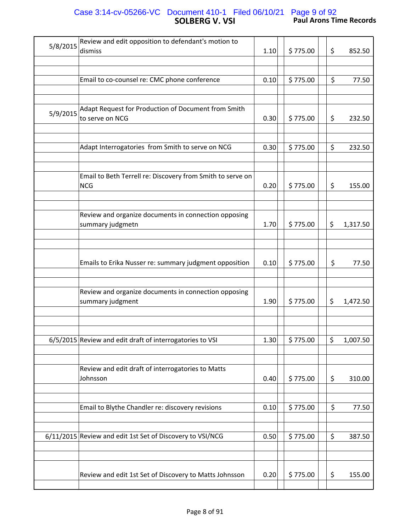## **SOLBERG V. VSI Paul Arons Time Records** Case 3:14-cv-05266-VC Document 410-1 Filed 06/10/21 Page 9 of 92

| 5/8/2015 | Review and edit opposition to defendant's motion to                      |      |          |    |          |
|----------|--------------------------------------------------------------------------|------|----------|----|----------|
|          | dismiss                                                                  | 1.10 | \$775.00 | \$ | 852.50   |
|          |                                                                          |      |          |    |          |
|          | Email to co-counsel re: CMC phone conference                             | 0.10 | \$775.00 | \$ | 77.50    |
|          |                                                                          |      |          |    |          |
|          |                                                                          |      |          |    |          |
| 5/9/2015 | Adapt Request for Production of Document from Smith<br>to serve on NCG   | 0.30 | \$775.00 | \$ | 232.50   |
|          |                                                                          |      |          |    |          |
|          |                                                                          |      |          |    |          |
|          | Adapt Interrogatories from Smith to serve on NCG                         | 0.30 | \$775.00 | \$ | 232.50   |
|          |                                                                          |      |          |    |          |
|          |                                                                          |      |          |    |          |
|          | Email to Beth Terrell re: Discovery from Smith to serve on<br><b>NCG</b> | 0.20 | \$775.00 | \$ | 155.00   |
|          |                                                                          |      |          |    |          |
|          |                                                                          |      |          |    |          |
|          | Review and organize documents in connection opposing<br>summary judgmetn | 1.70 | \$775.00 | \$ | 1,317.50 |
|          |                                                                          |      |          |    |          |
|          |                                                                          |      |          |    |          |
|          |                                                                          |      |          |    |          |
|          | Emails to Erika Nusser re: summary judgment opposition                   | 0.10 | \$775.00 | \$ | 77.50    |
|          |                                                                          |      |          |    |          |
|          |                                                                          |      |          |    |          |
|          | Review and organize documents in connection opposing                     |      |          |    |          |
|          | summary judgment                                                         | 1.90 | \$775.00 | \$ | 1,472.50 |
|          |                                                                          |      |          |    |          |
|          |                                                                          |      |          |    |          |
|          | 6/5/2015 Review and edit draft of interrogatories to VSI                 | 1.30 | \$775.00 | \$ | 1,007.50 |
|          |                                                                          |      |          |    |          |
|          |                                                                          |      |          |    |          |
|          | Review and edit draft of interrogatories to Matts                        |      |          |    |          |
|          | Johnsson                                                                 | 0.40 | \$775.00 | \$ | 310.00   |
|          |                                                                          |      |          |    |          |
|          |                                                                          |      |          |    |          |
|          | Email to Blythe Chandler re: discovery revisions                         | 0.10 | \$775.00 | \$ | 77.50    |
|          |                                                                          |      |          |    |          |
|          |                                                                          |      |          |    |          |
|          | 6/11/2015 Review and edit 1st Set of Discovery to VSI/NCG                | 0.50 | \$775.00 | \$ | 387.50   |
|          |                                                                          |      |          |    |          |
|          |                                                                          |      |          |    |          |
|          | Review and edit 1st Set of Discovery to Matts Johnsson                   | 0.20 | \$775.00 | \$ | 155.00   |
|          |                                                                          |      |          |    |          |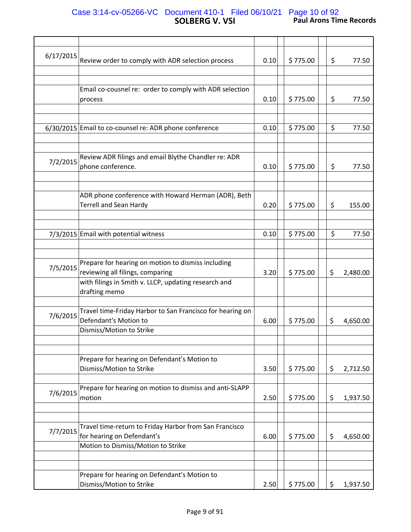### **SOLBERG V. VSI Paul Arons Time Records** Case 3:14-cv-05266-VC Document 410-1 Filed 06/10/21 Page 10 of 92

| 6/17/2015 |                                                           |      |          |    |          |
|-----------|-----------------------------------------------------------|------|----------|----|----------|
|           | Review order to comply with ADR selection process         | 0.10 | \$775.00 | \$ | 77.50    |
|           |                                                           |      |          |    |          |
|           |                                                           |      |          |    |          |
|           | Email co-cousnel re: order to comply with ADR selection   |      |          |    |          |
|           | process                                                   | 0.10 | \$775.00 | \$ | 77.50    |
|           |                                                           |      |          |    |          |
|           |                                                           |      |          |    |          |
|           | 6/30/2015 Email to co-counsel re: ADR phone conference    | 0.10 | \$775.00 | \$ | 77.50    |
|           |                                                           |      |          |    |          |
|           |                                                           |      |          |    |          |
| 7/2/2015  | Review ADR filings and email Blythe Chandler re: ADR      |      |          |    |          |
|           | phone conference.                                         | 0.10 | \$775.00 | \$ | 77.50    |
|           |                                                           |      |          |    |          |
|           |                                                           |      |          |    |          |
|           | ADR phone conference with Howard Herman (ADR), Beth       |      |          |    |          |
|           | <b>Terrell and Sean Hardy</b>                             | 0.20 | \$775.00 | \$ | 155.00   |
|           |                                                           |      |          |    |          |
|           |                                                           |      |          |    |          |
|           | 7/3/2015 Email with potential witness                     | 0.10 | \$775.00 | \$ | 77.50    |
|           |                                                           |      |          |    |          |
|           |                                                           |      |          |    |          |
| 7/5/2015  | Prepare for hearing on motion to dismiss including        |      |          |    |          |
|           | reviewing all filings, comparing                          | 3.20 | \$775.00 | \$ | 2,480.00 |
|           | with filings in Smith v. LLCP, updating research and      |      |          |    |          |
|           | drafting memo                                             |      |          |    |          |
|           |                                                           |      |          |    |          |
| 7/6/2015  | Travel time-Friday Harbor to San Francisco for hearing on |      |          |    |          |
|           | Defendant's Motion to                                     | 6.00 | \$775.00 | \$ | 4,650.00 |
|           | Dismiss/Motion to Strike                                  |      |          |    |          |
|           |                                                           |      |          |    |          |
|           |                                                           |      |          |    |          |
|           | Prepare for hearing on Defendant's Motion to              |      |          |    |          |
|           | Dismiss/Motion to Strike                                  | 3.50 | \$775.00 | \$ | 2,712.50 |
|           |                                                           |      |          |    |          |
| 7/6/2015  | Prepare for hearing on motion to dismiss and anti-SLAPP   |      |          |    |          |
|           | motion                                                    | 2.50 | \$775.00 | \$ | 1,937.50 |
|           |                                                           |      |          |    |          |
|           |                                                           |      |          |    |          |
| 7/7/2015  | Travel time-return to Friday Harbor from San Francisco    |      |          |    |          |
|           | for hearing on Defendant's                                | 6.00 | \$775.00 | \$ | 4,650.00 |
|           | Motion to Dismiss/Motion to Strike                        |      |          |    |          |
|           |                                                           |      |          |    |          |
|           |                                                           |      |          |    |          |
|           | Prepare for hearing on Defendant's Motion to              |      |          |    |          |
|           | Dismiss/Motion to Strike                                  | 2.50 | \$775.00 | \$ | 1,937.50 |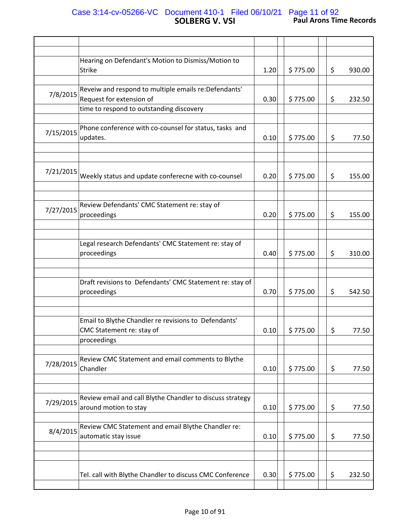### **SOLBERG V. VSI Paul Arons Time Records** Case 3:14-cv-05266-VC Document 410-1 Filed 06/10/21 Page 11 of 92

|           | Hearing on Defendant's Motion to Dismiss/Motion to<br><b>Strike</b>                | 1.20 | \$775.00 | \$ | 930.00 |
|-----------|------------------------------------------------------------------------------------|------|----------|----|--------|
|           |                                                                                    |      |          |    |        |
| 7/8/2015  | Reveiw and respond to multiple emails re: Defendants'<br>Request for extension of  | 0.30 | \$775.00 | \$ | 232.50 |
|           | time to respond to outstanding discovery                                           |      |          |    |        |
| 7/15/2015 | Phone conference with co-counsel for status, tasks and<br>updates.                 | 0.10 | \$775.00 | \$ | 77.50  |
|           |                                                                                    |      |          |    |        |
|           |                                                                                    |      |          |    |        |
| 7/21/2015 | Weekly status and update conferecne with co-counsel                                | 0.20 | \$775.00 | \$ | 155.00 |
|           |                                                                                    |      |          |    |        |
| 7/27/2015 | Review Defendants' CMC Statement re: stay of<br>proceedings                        | 0.20 | \$775.00 | \$ | 155.00 |
|           |                                                                                    |      |          |    |        |
|           |                                                                                    |      |          |    |        |
|           | Legal research Defendants' CMC Statement re: stay of<br>proceedings                | 0.40 | \$775.00 | \$ | 310.00 |
|           |                                                                                    |      |          |    |        |
|           |                                                                                    |      |          |    |        |
|           | Draft revisions to Defendants' CMC Statement re: stay of<br>proceedings            | 0.70 | \$775.00 | \$ | 542.50 |
|           |                                                                                    |      |          |    |        |
|           |                                                                                    |      |          |    |        |
|           | Email to Blythe Chandler re revisions to Defendants'<br>CMC Statement re: stay of  | 0.10 | \$775.00 | \$ | 77.50  |
|           | proceedings                                                                        |      |          |    |        |
|           |                                                                                    |      |          |    |        |
| 7/28/2015 | Review CMC Statement and email comments to Blythe<br>Chandler                      | 0.10 | \$775.00 | \$ | 77.50  |
|           |                                                                                    |      |          |    |        |
| 7/29/2015 | Review email and call Blythe Chandler to discuss strategy<br>around motion to stay | 0.10 | \$775.00 | \$ | 77.50  |
| 8/4/2015  | Review CMC Statement and email Blythe Chandler re:                                 |      |          |    |        |
|           | automatic stay issue                                                               | 0.10 | \$775.00 | \$ | 77.50  |
|           |                                                                                    |      |          |    |        |
|           | Tel. call with Blythe Chandler to discuss CMC Conference                           | 0.30 | \$775.00 | \$ | 232.50 |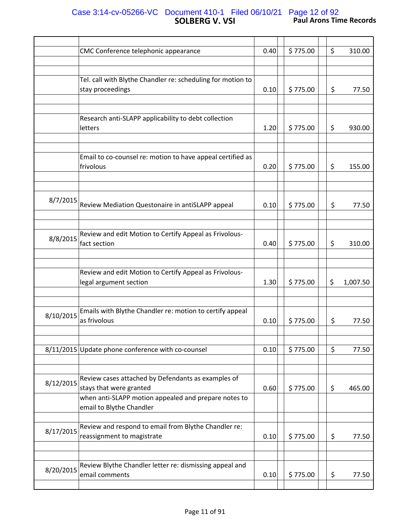## **SOLBERG V. VSI Paul Arons Time Records** Case 3:14-cv-05266-VC Document 410-1 Filed 06/10/21 Page 12 of 92

|           | CMC Conference telephonic appearance                                               | 0.40 | \$775.00 | \$<br>310.00   |  |
|-----------|------------------------------------------------------------------------------------|------|----------|----------------|--|
|           |                                                                                    |      |          |                |  |
|           | Tel. call with Blythe Chandler re: scheduling for motion to<br>stay proceedings    | 0.10 | \$775.00 | \$<br>77.50    |  |
|           | Research anti-SLAPP applicability to debt collection<br>letters                    | 1.20 | \$775.00 | \$<br>930.00   |  |
|           |                                                                                    |      |          |                |  |
|           | Email to co-counsel re: motion to have appeal certified as<br>frivolous            | 0.20 | \$775.00 | \$<br>155.00   |  |
|           |                                                                                    |      |          |                |  |
| 8/7/2015  | Review Mediation Questonaire in antiSLAPP appeal                                   | 0.10 | \$775.00 | \$<br>77.50    |  |
|           |                                                                                    |      |          |                |  |
| 8/8/2015  | Review and edit Motion to Certify Appeal as Frivolous-<br>fact section             | 0.40 | \$775.00 | \$<br>310.00   |  |
|           | Review and edit Motion to Certify Appeal as Frivolous-<br>legal argument section   | 1.30 | \$775.00 | \$<br>1,007.50 |  |
|           |                                                                                    |      |          |                |  |
| 8/10/2015 | Emails with Blythe Chandler re: motion to certify appeal<br>as frivolous           | 0.10 | \$775.00 | \$<br>77.50    |  |
|           |                                                                                    |      |          |                |  |
|           | 8/11/2015 Update phone conference with co-counsel                                  | 0.10 | \$775.00 | \$<br>77.50    |  |
| 8/12/2015 | Review cases attached by Defendants as examples of<br>stays that were granted      | 0.60 | \$775.00 | \$<br>465.00   |  |
|           | when anti-SLAPP motion appealed and prepare notes to<br>email to Blythe Chandler   |      |          |                |  |
| 8/17/2015 | Review and respond to email from Blythe Chandler re:<br>reassignment to magistrate | 0.10 | \$775.00 | \$<br>77.50    |  |
|           |                                                                                    |      |          |                |  |
| 8/20/2015 | Review Blythe Chandler letter re: dismissing appeal and<br>email comments          | 0.10 | \$775.00 | \$<br>77.50    |  |
|           |                                                                                    |      |          |                |  |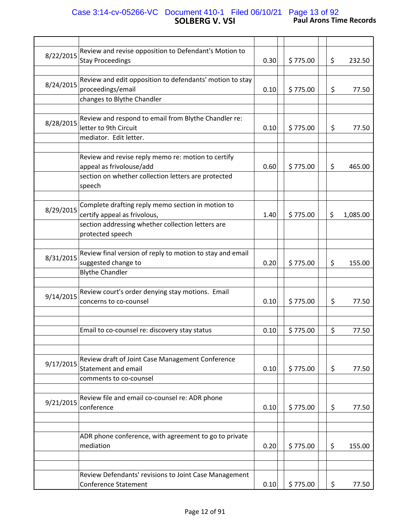## **SOLBERG V. VSI Paul Arons Time Records** Case 3:14-cv-05266-VC Document 410-1 Filed 06/10/21 Page 13 of 92

| 8/22/2015 | Review and revise opposition to Defendant's Motion to<br><b>Stay Proceedings</b>                           | 0.30 | \$775.00 | \$<br>232.50   |
|-----------|------------------------------------------------------------------------------------------------------------|------|----------|----------------|
|           |                                                                                                            |      |          |                |
| 8/24/2015 | Review and edit opposition to defendants' motion to stay<br>proceedings/email                              | 0.10 | \$775.00 | \$<br>77.50    |
|           | changes to Blythe Chandler                                                                                 |      |          |                |
| 8/28/2015 | Review and respond to email from Blythe Chandler re:<br>letter to 9th Circuit                              | 0.10 | \$775.00 | \$<br>77.50    |
|           | mediator. Edit letter.                                                                                     |      |          |                |
|           | Review and revise reply memo re: motion to certify<br>appeal as frivolouse/add                             | 0.60 | \$775.00 | \$<br>465.00   |
|           | section on whether collection letters are protected<br>speech                                              |      |          |                |
| 8/29/2015 | Complete drafting reply memo section in motion to<br>certify appeal as frivolous,                          | 1.40 | \$775.00 | \$<br>1,085.00 |
|           | section addressing whether collection letters are<br>protected speech                                      |      |          |                |
| 8/31/2015 | Review final version of reply to motion to stay and email<br>suggested change to<br><b>Blythe Chandler</b> | 0.20 | \$775.00 | \$<br>155.00   |
|           |                                                                                                            |      |          |                |
| 9/14/2015 | Review court's order denying stay motions. Email<br>concerns to co-counsel                                 | 0.10 | \$775.00 | \$<br>77.50    |
|           |                                                                                                            |      |          |                |
|           | Email to co-counsel re: discovery stay status                                                              | 0.10 | \$775.00 | \$<br>77.50    |
|           |                                                                                                            |      |          |                |
| 9/17/2015 | Review draft of Joint Case Management Conference<br>Statement and email                                    | 0.10 | \$775.00 | \$<br>77.50    |
|           | comments to co-counsel                                                                                     |      |          |                |
|           |                                                                                                            |      |          |                |
| 9/21/2015 | Review file and email co-counsel re: ADR phone<br>conference                                               | 0.10 | \$775.00 | \$<br>77.50    |
|           |                                                                                                            |      |          |                |
|           | ADR phone conference, with agreement to go to private                                                      |      |          |                |
|           | mediation                                                                                                  | 0.20 | \$775.00 | \$<br>155.00   |
|           |                                                                                                            |      |          |                |
|           |                                                                                                            |      |          |                |
|           | Review Defendants' revisions to Joint Case Management                                                      |      |          |                |
|           | <b>Conference Statement</b>                                                                                | 0.10 | \$775.00 | \$<br>77.50    |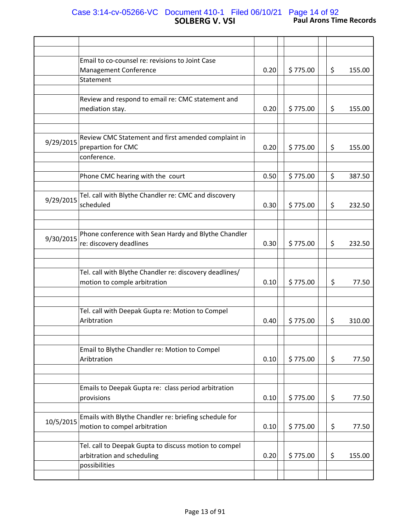### **SOLBERG V. VSI Paul Arons Time Records** Case 3:14-cv-05266-VC Document 410-1 Filed 06/10/21 Page 14 of 92

|           | Email to co-counsel re: revisions to Joint Case         |      |          |              |
|-----------|---------------------------------------------------------|------|----------|--------------|
|           | Management Conference                                   | 0.20 | \$775.00 | \$<br>155.00 |
|           | Statement                                               |      |          |              |
|           |                                                         |      |          |              |
|           | Review and respond to email re: CMC statement and       |      |          |              |
|           |                                                         |      |          |              |
|           | mediation stay.                                         | 0.20 | \$775.00 | \$<br>155.00 |
|           |                                                         |      |          |              |
|           |                                                         |      |          |              |
|           | Review CMC Statement and first amended complaint in     |      |          |              |
| 9/29/2015 | prepartion for CMC                                      | 0.20 | \$775.00 | \$<br>155.00 |
|           | conference.                                             |      |          |              |
|           |                                                         |      |          |              |
|           |                                                         |      |          |              |
|           | Phone CMC hearing with the court                        | 0.50 | \$775.00 | \$<br>387.50 |
|           |                                                         |      |          |              |
|           | Tel. call with Blythe Chandler re: CMC and discovery    |      |          |              |
| 9/29/2015 | scheduled                                               | 0.30 | \$775.00 | \$<br>232.50 |
|           |                                                         |      |          |              |
|           |                                                         |      |          |              |
|           |                                                         |      |          |              |
| 9/30/2015 | Phone conference with Sean Hardy and Blythe Chandler    |      |          |              |
|           | re: discovery deadlines                                 | 0.30 | \$775.00 | \$<br>232.50 |
|           |                                                         |      |          |              |
|           |                                                         |      |          |              |
|           | Tel. call with Blythe Chandler re: discovery deadlines/ |      |          |              |
|           |                                                         |      |          |              |
|           | motion to comple arbitration                            | 0.10 | \$775.00 | \$<br>77.50  |
|           |                                                         |      |          |              |
|           |                                                         |      |          |              |
|           | Tel. call with Deepak Gupta re: Motion to Compel        |      |          |              |
|           | Aribtration                                             | 0.40 | \$775.00 | \$<br>310.00 |
|           |                                                         |      |          |              |
|           |                                                         |      |          |              |
|           |                                                         |      |          |              |
|           | Email to Blythe Chandler re: Motion to Compel           |      |          |              |
|           | Aribtration                                             | 0.10 | \$775.00 | \$<br>77.50  |
|           |                                                         |      |          |              |
|           |                                                         |      |          |              |
|           | Emails to Deepak Gupta re: class period arbitration     |      |          |              |
|           |                                                         |      |          |              |
|           | provisions                                              | 0.10 | \$775.00 | \$<br>77.50  |
|           |                                                         |      |          |              |
| 10/5/2015 | Emails with Blythe Chandler re: briefing schedule for   |      |          |              |
|           | motion to compel arbitration                            | 0.10 | \$775.00 | \$<br>77.50  |
|           |                                                         |      |          |              |
|           | Tel. call to Deepak Gupta to discuss motion to compel   |      |          |              |
|           |                                                         |      |          |              |
|           | arbitration and scheduling                              | 0.20 | \$775.00 | \$<br>155.00 |
|           | possibilities                                           |      |          |              |
|           |                                                         |      |          |              |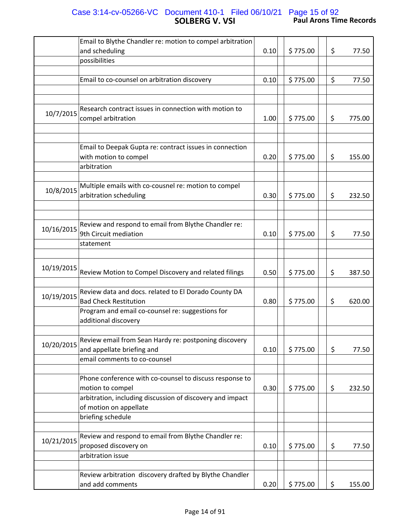## **SOLBERG V. VSI Paul Arons Time Records** Case 3:14-cv-05266-VC Document 410-1 Filed 06/10/21 Page 15 of 92

|            | Email to Blythe Chandler re: motion to compel arbitration                                       |      |          |              |
|------------|-------------------------------------------------------------------------------------------------|------|----------|--------------|
|            |                                                                                                 |      |          |              |
|            | and scheduling                                                                                  | 0.10 | \$775.00 | \$<br>77.50  |
|            | possibilities                                                                                   |      |          |              |
|            |                                                                                                 |      |          |              |
|            | Email to co-counsel on arbitration discovery                                                    | 0.10 | \$775.00 | \$<br>77.50  |
|            |                                                                                                 |      |          |              |
|            |                                                                                                 |      |          |              |
| 10/7/2015  | Research contract issues in connection with motion to<br>compel arbitration                     | 1.00 | \$775.00 | \$<br>775.00 |
|            |                                                                                                 |      |          |              |
|            | Email to Deepak Gupta re: contract issues in connection<br>with motion to compel<br>arbitration | 0.20 | \$775.00 | \$<br>155.00 |
|            |                                                                                                 |      |          |              |
| 10/8/2015  | Multiple emails with co-cousnel re: motion to compel<br>arbitration scheduling                  | 0.30 | \$775.00 | \$<br>232.50 |
|            |                                                                                                 |      |          |              |
|            |                                                                                                 |      |          |              |
| 10/16/2015 | Review and respond to email from Blythe Chandler re:<br>9th Circuit mediation                   | 0.10 | \$775.00 | \$<br>77.50  |
|            | statement                                                                                       |      |          |              |
|            |                                                                                                 |      |          |              |
| 10/19/2015 | Review Motion to Compel Discovery and related filings                                           | 0.50 | \$775.00 | \$<br>387.50 |
| 10/19/2015 | Review data and docs. related to El Dorado County DA<br><b>Bad Check Restitution</b>            | 0.80 | \$775.00 | \$<br>620.00 |
|            | Program and email co-counsel re: suggestions for<br>additional discovery                        |      |          |              |
|            |                                                                                                 |      |          |              |
| 10/20/2015 | Review email from Sean Hardy re: postponing discovery<br>and appellate briefing and             | 0.10 | \$775.00 | \$<br>77.50  |
|            | email comments to co-counsel                                                                    |      |          |              |
|            |                                                                                                 |      |          |              |
|            | Phone conference with co-counsel to discuss response to                                         |      |          |              |
|            | motion to compel                                                                                | 0.30 | \$775.00 | \$<br>232.50 |
|            | arbitration, including discussion of discovery and impact                                       |      |          |              |
|            | of motion on appellate                                                                          |      |          |              |
|            | briefing schedule                                                                               |      |          |              |
|            | Review and respond to email from Blythe Chandler re:                                            |      |          |              |
| 10/21/2015 | proposed discovery on                                                                           | 0.10 | \$775.00 | \$<br>77.50  |
|            | arbitration issue                                                                               |      |          |              |
|            |                                                                                                 |      |          |              |
|            | Review arbitration discovery drafted by Blythe Chandler                                         |      |          |              |
|            | and add comments                                                                                | 0.20 | \$775.00 | \$<br>155.00 |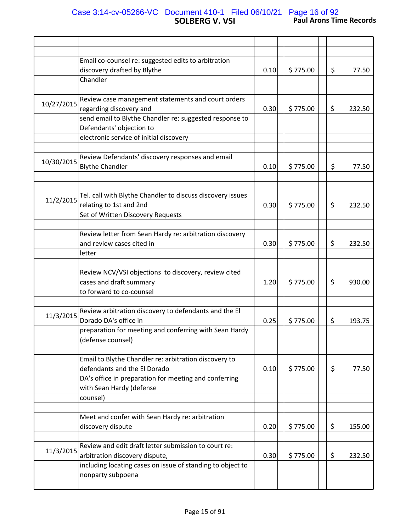## **SOLBERG V. VSI Paul Arons Time Records** Case 3:14-cv-05266-VC Document 410-1 Filed 06/10/21 Page 16 of 92

|            | Email co-counsel re: suggested edits to arbitration<br>discovery drafted by Blythe<br>Chandler                                           | 0.10 | \$775.00 | \$<br>77.50  |
|------------|------------------------------------------------------------------------------------------------------------------------------------------|------|----------|--------------|
|            |                                                                                                                                          |      |          |              |
| 10/27/2015 | Review case management statements and court orders<br>regarding discovery and<br>send email to Blythe Chandler re: suggested response to | 0.30 | \$775.00 | \$<br>232.50 |
|            | Defendants' objection to                                                                                                                 |      |          |              |
|            | electronic service of initial discovery                                                                                                  |      |          |              |
|            |                                                                                                                                          |      |          |              |
| 10/30/2015 | Review Defendants' discovery responses and email<br><b>Blythe Chandler</b>                                                               | 0.10 | \$775.00 | \$<br>77.50  |
|            |                                                                                                                                          |      |          |              |
| 11/2/2015  | Tel. call with Blythe Chandler to discuss discovery issues<br>relating to 1st and 2nd                                                    | 0.30 | \$775.00 | \$<br>232.50 |
|            | Set of Written Discovery Requests                                                                                                        |      |          |              |
|            | Review letter from Sean Hardy re: arbitration discovery                                                                                  |      |          |              |
|            | and review cases cited in                                                                                                                | 0.30 | \$775.00 | \$<br>232.50 |
|            | letter                                                                                                                                   |      |          |              |
|            |                                                                                                                                          |      |          |              |
|            | Review NCV/VSI objections to discovery, review cited                                                                                     |      |          |              |
|            | cases and draft summary                                                                                                                  | 1.20 | \$775.00 | \$<br>930.00 |
|            | to forward to co-counsel                                                                                                                 |      |          |              |
|            |                                                                                                                                          |      |          |              |
|            | Review arbitration discovery to defendants and the El                                                                                    |      |          |              |
| 11/3/2015  | Dorado DA's office in                                                                                                                    | 0.25 | \$775.00 | \$<br>193.75 |
|            | preparation for meeting and conferring with Sean Hardy                                                                                   |      |          |              |
|            | (defense counsel)                                                                                                                        |      |          |              |
|            |                                                                                                                                          |      |          |              |
|            | Email to Blythe Chandler re: arbitration discovery to                                                                                    |      |          |              |
|            | defendants and the El Dorado                                                                                                             | 0.10 | \$775.00 | \$<br>77.50  |
|            | DA's office in preparation for meeting and conferring                                                                                    |      |          |              |
|            | with Sean Hardy (defense                                                                                                                 |      |          |              |
|            | counsel)                                                                                                                                 |      |          |              |
|            |                                                                                                                                          |      |          |              |
|            | Meet and confer with Sean Hardy re: arbitration                                                                                          |      |          |              |
|            | discovery dispute                                                                                                                        | 0.20 | \$775.00 | \$<br>155.00 |
|            |                                                                                                                                          |      |          |              |
| 11/3/2015  | Review and edit draft letter submission to court re:                                                                                     |      |          |              |
|            | arbitration discovery dispute,                                                                                                           | 0.30 | \$775.00 | \$<br>232.50 |
|            | including locating cases on issue of standing to object to<br>nonparty subpoena                                                          |      |          |              |
|            |                                                                                                                                          |      |          |              |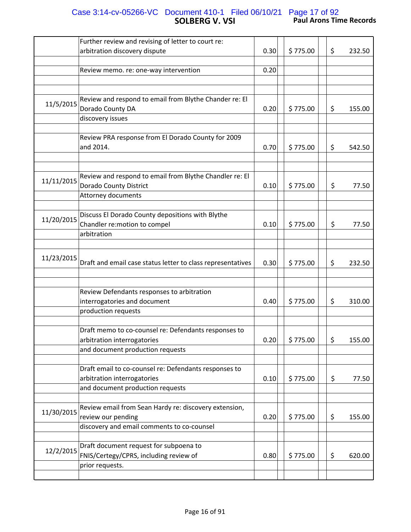#### **SOLBERG V. VSI Paul Arons Time Records** Case 3:14-cv-05266-VC Document 410-1 Filed 06/10/21 Page 17 of 92

|            | Further review and revising of letter to court re:          |      |          |    |        |
|------------|-------------------------------------------------------------|------|----------|----|--------|
|            | arbitration discovery dispute                               | 0.30 | \$775.00 | \$ | 232.50 |
|            |                                                             |      |          |    |        |
|            | Review memo. re: one-way intervention                       | 0.20 |          |    |        |
|            |                                                             |      |          |    |        |
|            |                                                             |      |          |    |        |
|            |                                                             |      |          |    |        |
| 11/5/2015  | Review and respond to email from Blythe Chander re: El      |      |          |    |        |
|            | Dorado County DA                                            | 0.20 | \$775.00 | \$ | 155.00 |
|            | discovery issues                                            |      |          |    |        |
|            |                                                             |      |          |    |        |
|            | Review PRA response from El Dorado County for 2009          |      |          |    |        |
|            | and 2014.                                                   | 0.70 | \$775.00 | \$ | 542.50 |
|            |                                                             |      |          |    |        |
|            |                                                             |      |          |    |        |
|            | Review and respond to email from Blythe Chandler re: El     |      |          |    |        |
| 11/11/2015 | <b>Dorado County District</b>                               | 0.10 | \$775.00 | \$ | 77.50  |
|            | Attorney documents                                          |      |          |    |        |
|            |                                                             |      |          |    |        |
|            | Discuss El Dorado County depositions with Blythe            |      |          |    |        |
| 11/20/2015 | Chandler re: motion to compel                               | 0.10 | \$775.00 | \$ | 77.50  |
|            | arbitration                                                 |      |          |    |        |
|            |                                                             |      |          |    |        |
|            |                                                             |      |          |    |        |
| 11/23/2015 |                                                             |      |          |    |        |
|            | Draft and email case status letter to class representatives | 0.30 | \$775.00 | \$ | 232.50 |
|            |                                                             |      |          |    |        |
|            |                                                             |      |          |    |        |
|            | Review Defendants responses to arbitration                  |      |          |    |        |
|            | interrogatories and document                                | 0.40 | \$775.00 | \$ | 310.00 |
|            | production requests                                         |      |          |    |        |
|            |                                                             |      |          |    |        |
|            | Draft memo to co-counsel re: Defendants responses to        |      |          |    |        |
|            | arbitration interrogatories                                 | 0.20 | \$775.00 | \$ | 155.00 |
|            | and document production requests                            |      |          |    |        |
|            |                                                             |      |          |    |        |
|            | Draft email to co-counsel re: Defendants responses to       |      |          |    |        |
|            |                                                             |      |          |    |        |
|            | arbitration interrogatories                                 | 0.10 | \$775.00 | \$ | 77.50  |
|            | and document production requests                            |      |          |    |        |
|            | Review email from Sean Hardy re: discovery extension,       |      |          |    |        |
| 11/30/2015 | review our pending                                          | 0.20 | \$775.00 | \$ | 155.00 |
|            | discovery and email comments to co-counsel                  |      |          |    |        |
|            |                                                             |      |          |    |        |
|            |                                                             |      |          |    |        |
| 12/2/2015  | Draft document request for subpoena to                      |      |          |    |        |
|            | FNIS/Certegy/CPRS, including review of                      | 0.80 | \$775.00 | \$ | 620.00 |
|            | prior requests.                                             |      |          |    |        |
|            |                                                             |      |          |    |        |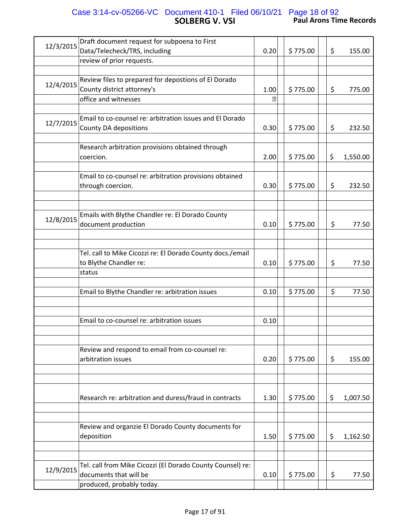### **SOLBERG V. VSI Paul Arons Time Records** Case 3:14-cv-05266-VC Document 410-1 Filed 06/10/21 Page 18 of 92

| 12/3/2015 | Draft document request for subpoena to First               |             |          |    |          |
|-----------|------------------------------------------------------------|-------------|----------|----|----------|
|           | Data/Telecheck/TRS, including                              | 0.20        | \$775.00 | \$ | 155.00   |
|           | review of prior requests.                                  |             |          |    |          |
|           |                                                            |             |          |    |          |
|           | Review files to prepared for depostions of El Dorado       |             |          |    |          |
| 12/4/2015 | County district attorney's                                 | 1.00        | \$775.00 | \$ | 775.00   |
|           | office and witnesses                                       | $\boxed{?}$ |          |    |          |
|           |                                                            |             |          |    |          |
|           | Email to co-counsel re: arbitration issues and El Dorado   |             |          |    |          |
| 12/7/2015 | County DA depositions                                      | 0.30        | \$775.00 | \$ | 232.50   |
|           |                                                            |             |          |    |          |
|           |                                                            |             |          |    |          |
|           | Research arbitration provisions obtained through           |             |          |    |          |
|           | coercion.                                                  | 2.00        | \$775.00 | \$ | 1,550.00 |
|           |                                                            |             |          |    |          |
|           | Email to co-counsel re: arbitration provisions obtained    |             |          |    |          |
|           | through coercion.                                          | 0.30        | \$775.00 | \$ | 232.50   |
|           |                                                            |             |          |    |          |
|           |                                                            |             |          |    |          |
|           |                                                            |             |          |    |          |
| 12/8/2015 | Emails with Blythe Chandler re: El Dorado County           |             |          |    |          |
|           | document production                                        | 0.10        | \$775.00 | \$ | 77.50    |
|           |                                                            |             |          |    |          |
|           |                                                            |             |          |    |          |
|           | Tel. call to Mike Cicozzi re: El Dorado County docs./email |             |          |    |          |
|           | to Blythe Chandler re:                                     | 0.10        | \$775.00 | \$ | 77.50    |
|           | status                                                     |             |          |    |          |
|           |                                                            |             |          |    |          |
|           | Email to Blythe Chandler re: arbitration issues            | 0.10        | \$775.00 | \$ | 77.50    |
|           |                                                            |             |          |    |          |
|           |                                                            |             |          |    |          |
|           |                                                            |             |          |    |          |
|           | Email to co-counsel re: arbitration issues                 | 0.10        |          |    |          |
|           |                                                            |             |          |    |          |
|           |                                                            |             |          |    |          |
|           | Review and respond to email from co-counsel re:            |             |          |    |          |
|           | arbitration issues                                         | 0.20        | \$775.00 | \$ | 155.00   |
|           |                                                            |             |          |    |          |
|           |                                                            |             |          |    |          |
|           |                                                            |             |          |    |          |
|           | Research re: arbitration and duress/fraud in contracts     | 1.30        | \$775.00 | \$ | 1,007.50 |
|           |                                                            |             |          |    |          |
|           |                                                            |             |          |    |          |
|           |                                                            |             |          |    |          |
|           | Review and organzie El Dorado County documents for         |             |          |    |          |
|           | deposition                                                 | 1.50        | \$775.00 | \$ | 1,162.50 |
|           |                                                            |             |          |    |          |
|           |                                                            |             |          |    |          |
|           | Tel. call from Mike Cicozzi (El Dorado County Counsel) re: |             |          |    |          |
| 12/9/2015 | documents that will be                                     | 0.10        | \$775.00 | \$ | 77.50    |
|           | produced, probably today.                                  |             |          |    |          |
|           |                                                            |             |          |    |          |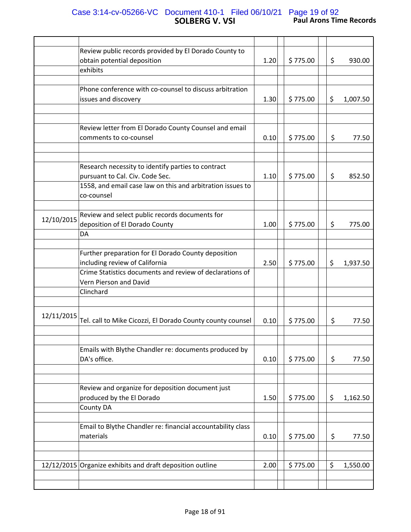#### **SOLBERG V. VSI Paul Arons Time Records** Case 3:14-cv-05266-VC Document 410-1 Filed 06/10/21 Page 19 of 92

|            | Review public records provided by El Dorado County to<br>obtain potential deposition                                                                              | 1.20 | \$775.00 | \$ | 930.00   |
|------------|-------------------------------------------------------------------------------------------------------------------------------------------------------------------|------|----------|----|----------|
|            | exhibits                                                                                                                                                          |      |          |    |          |
|            |                                                                                                                                                                   |      |          |    |          |
|            | Phone conference with co-counsel to discuss arbitration<br>issues and discovery                                                                                   | 1.30 | \$775.00 | \$ | 1,007.50 |
|            |                                                                                                                                                                   |      |          |    |          |
|            |                                                                                                                                                                   |      |          |    |          |
|            | Review letter from El Dorado County Counsel and email<br>comments to co-counsel                                                                                   | 0.10 | \$775.00 | \$ | 77.50    |
|            |                                                                                                                                                                   |      |          |    |          |
|            | Research necessity to identify parties to contract<br>pursuant to Cal. Civ. Code Sec.<br>1558, and email case law on this and arbitration issues to<br>co-counsel | 1.10 | \$775.00 | \$ | 852.50   |
|            |                                                                                                                                                                   |      |          |    |          |
| 12/10/2015 | Review and select public records documents for<br>deposition of El Dorado County                                                                                  | 1.00 | \$775.00 | \$ | 775.00   |
|            | DA                                                                                                                                                                |      |          |    |          |
|            |                                                                                                                                                                   |      |          |    |          |
|            | Further preparation for El Dorado County deposition<br>including review of California                                                                             | 2.50 | \$775.00 | \$ | 1,937.50 |
|            | Crime Statistics documents and review of declarations of<br>Vern Pierson and David                                                                                |      |          |    |          |
|            | Clinchard                                                                                                                                                         |      |          |    |          |
| 12/11/2015 | Tel. call to Mike Cicozzi, El Dorado County county counsel                                                                                                        | 0.10 | \$775.00 | \$ | 77.50    |
|            |                                                                                                                                                                   |      |          |    |          |
|            | Emails with Blythe Chandler re: documents produced by                                                                                                             |      |          |    |          |
|            | DA's office.                                                                                                                                                      | 0.10 | \$775.00 | \$ | 77.50    |
|            |                                                                                                                                                                   |      |          |    |          |
|            | Review and organize for deposition document just                                                                                                                  |      |          |    |          |
|            | produced by the El Dorado                                                                                                                                         | 1.50 | \$775.00 | \$ | 1,162.50 |
|            | County DA                                                                                                                                                         |      |          |    |          |
|            | Email to Blythe Chandler re: financial accountability class                                                                                                       |      |          |    |          |
|            | materials                                                                                                                                                         | 0.10 | \$775.00 | \$ | 77.50    |
|            |                                                                                                                                                                   |      |          |    |          |
|            | 12/12/2015 Organize exhibits and draft deposition outline                                                                                                         | 2.00 | \$775.00 | \$ | 1,550.00 |
|            |                                                                                                                                                                   |      |          |    |          |
|            |                                                                                                                                                                   |      |          |    |          |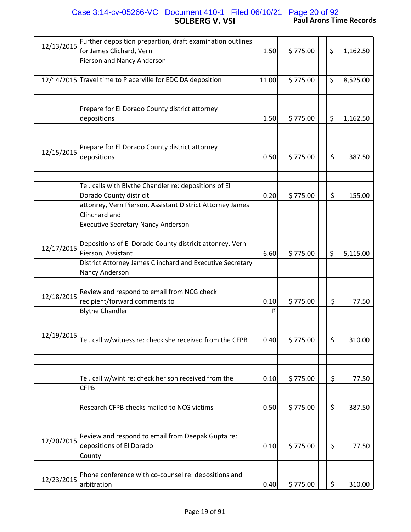#### **SOLBERG V. VSI Paul Arons Time Records** Case 3:14-cv-05266-VC Document 410-1 Filed 06/10/21 Page 20 of 92

| 12/13/2015 | Further deposition prepartion, draft examination outlines                      |                |          |                |
|------------|--------------------------------------------------------------------------------|----------------|----------|----------------|
|            | for James Clichard, Vern                                                       | 1.50           | \$775.00 | \$<br>1,162.50 |
|            | Pierson and Nancy Anderson                                                     |                |          |                |
|            |                                                                                |                |          |                |
|            | 12/14/2015 Travel time to Placerville for EDC DA deposition                    | 11.00          | \$775.00 | \$<br>8,525.00 |
|            |                                                                                |                |          |                |
|            | Prepare for El Dorado County district attorney                                 |                |          |                |
|            | depositions                                                                    | 1.50           | \$775.00 | \$<br>1,162.50 |
|            |                                                                                |                |          |                |
|            |                                                                                |                |          |                |
|            | Prepare for El Dorado County district attorney                                 |                |          |                |
| 12/15/2015 | depositions                                                                    | 0.50           | \$775.00 | \$<br>387.50   |
|            |                                                                                |                |          |                |
|            |                                                                                |                |          |                |
|            | Tel. calls with Blythe Chandler re: depositions of El                          |                |          |                |
|            | Dorado County districit                                                        | 0.20           | \$775.00 | \$<br>155.00   |
|            | attonrey, Vern Pierson, Assistant District Attorney James                      |                |          |                |
|            | Clinchard and                                                                  |                |          |                |
|            | <b>Executive Secretary Nancy Anderson</b>                                      |                |          |                |
|            |                                                                                |                |          |                |
| 12/17/2015 | Depositions of El Dorado County districit attonrey, Vern<br>Pierson, Assistant | 6.60           | \$775.00 |                |
|            | District Attorney James Clinchard and Executive Secretary                      |                |          | \$<br>5,115.00 |
|            | Nancy Anderson                                                                 |                |          |                |
|            |                                                                                |                |          |                |
|            | Review and respond to email from NCG check                                     |                |          |                |
| 12/18/2015 | recipient/forward comments to                                                  | 0.10           | \$775.00 | \$<br>77.50    |
|            | <b>Blythe Chandler</b>                                                         | $\overline{P}$ |          |                |
|            |                                                                                |                |          |                |
| 12/19/2015 |                                                                                |                |          |                |
|            | Tel. call w/witness re: check she received from the CFPB                       | 0.40           | \$775.00 | \$<br>310.00   |
|            |                                                                                |                |          |                |
|            |                                                                                |                |          |                |
|            |                                                                                |                |          |                |
|            | Tel. call w/wint re: check her son received from the<br><b>CFPB</b>            | 0.10           | \$775.00 | \$<br>77.50    |
|            |                                                                                |                |          |                |
|            | Research CFPB checks mailed to NCG victims                                     | 0.50           | \$775.00 | \$<br>387.50   |
|            |                                                                                |                |          |                |
|            |                                                                                |                |          |                |
|            | Review and respond to email from Deepak Gupta re:                              |                |          |                |
| 12/20/2015 | depositions of El Dorado                                                       | 0.10           | \$775.00 | \$<br>77.50    |
|            | County                                                                         |                |          |                |
|            |                                                                                |                |          |                |
| 12/23/2015 | Phone conference with co-counsel re: depositions and                           |                |          |                |
|            | arbitration                                                                    | 0.40           | \$775.00 | \$<br>310.00   |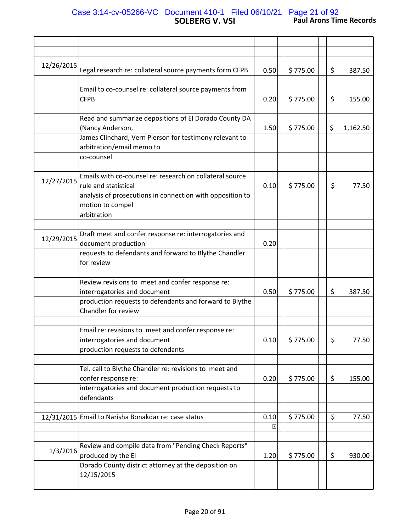## **SOLBERG V. VSI Paul Arons Time Records** Case 3:14-cv-05266-VC Document 410-1 Filed 06/10/21 Page 21 of 92

| 12/26/2015 | Legal research re: collateral source payments form CFPB                                                                            | 0.50                | \$775.00 | \$ | 387.50   |
|------------|------------------------------------------------------------------------------------------------------------------------------------|---------------------|----------|----|----------|
|            | Email to co-counsel re: collateral source payments from<br><b>CFPB</b>                                                             | 0.20                | \$775.00 | \$ | 155.00   |
|            | Read and summarize depositions of El Dorado County DA<br>(Nancy Anderson,                                                          | 1.50                | \$775.00 | \$ | 1,162.50 |
|            | James Clinchard, Vern Pierson for testimony relevant to<br>arbitration/email memo to                                               |                     |          |    |          |
|            | co-counsel                                                                                                                         |                     |          |    |          |
| 12/27/2015 | Emails with co-counsel re: research on collateral source<br>rule and statistical                                                   | 0.10                | \$775.00 | \$ | 77.50    |
|            | analysis of prosecutions in connection with opposition to<br>motion to compel                                                      |                     |          |    |          |
|            | arbitration                                                                                                                        |                     |          |    |          |
| 12/29/2015 | Draft meet and confer response re: interrogatories and<br>document production                                                      | 0.20                |          |    |          |
|            | requests to defendants and forward to Blythe Chandler<br>for review                                                                |                     |          |    |          |
|            | Review revisions to meet and confer response re:                                                                                   |                     |          |    |          |
|            | interrogatories and document                                                                                                       | 0.50                | \$775.00 | \$ | 387.50   |
|            | production requests to defendants and forward to Blythe<br>Chandler for review                                                     |                     |          |    |          |
|            |                                                                                                                                    |                     |          |    |          |
|            | Email re: revisions to meet and confer response re:<br>interrogatories and document                                                | 0.10                | \$775.00 | \$ | 77.50    |
|            | production requests to defendants                                                                                                  |                     |          |    |          |
|            | Tel. call to Blythe Chandler re: revisions to meet and<br>confer response re:                                                      | 0.20                | \$775.00 | \$ | 155.00   |
|            | interrogatories and document production requests to<br>defendants                                                                  |                     |          |    |          |
|            | 12/31/2015 Email to Narisha Bonakdar re: case status                                                                               | 0.10<br>$\boxed{2}$ | \$775.00 | \$ | 77.50    |
|            |                                                                                                                                    |                     |          |    |          |
| 1/3/2016   | Review and compile data from "Pending Check Reports"<br>produced by the El<br>Dorado County district attorney at the deposition on | 1.20                | \$775.00 | \$ | 930.00   |
|            | 12/15/2015                                                                                                                         |                     |          |    |          |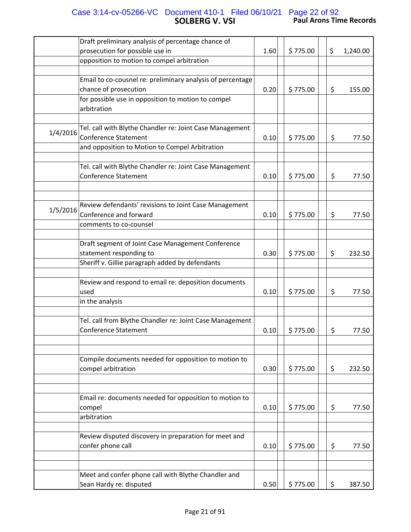### **SOLBERG V. VSI Paul Arons Time Records** Case 3:14-cv-05266-VC Document 410-1 Filed 06/10/21 Page 22 of 92

|          | Draft preliminary analysis of percentage chance of                                      |      |          |                |
|----------|-----------------------------------------------------------------------------------------|------|----------|----------------|
|          | prosecution for possible use in                                                         | 1.60 | \$775.00 | \$<br>1,240.00 |
|          | opposition to motion to compel arbitration                                              |      |          |                |
|          |                                                                                         |      |          |                |
|          | Email to co-cousnel re: preliminary analysis of percentage                              |      |          |                |
|          | chance of prosecution                                                                   | 0.20 | \$775.00 | \$<br>155.00   |
|          | for possible use in opposition to motion to compel<br>arbitration                       |      |          |                |
|          |                                                                                         |      |          |                |
| 1/4/2016 | Tel. call with Blythe Chandler re: Joint Case Management<br><b>Conference Statement</b> | 0.10 | \$775.00 | \$<br>77.50    |
|          | and opposition to Motion to Compel Arbitration                                          |      |          |                |
|          |                                                                                         |      |          |                |
|          | Tel. call with Blythe Chandler re: Joint Case Management                                |      |          |                |
|          | <b>Conference Statement</b>                                                             | 0.10 | \$775.00 | \$<br>77.50    |
|          |                                                                                         |      |          |                |
|          |                                                                                         |      |          |                |
| 1/5/2016 | Review defendants' revisions to Joint Case Management                                   |      |          |                |
|          | Conference and forward                                                                  | 0.10 | \$775.00 | \$<br>77.50    |
|          | comments to co-counsel                                                                  |      |          |                |
|          |                                                                                         |      |          |                |
|          | Draft segment of Joint Case Management Conference                                       |      |          |                |
|          | statement responding to                                                                 | 0.30 | \$775.00 | \$<br>232.50   |
|          | Sheriff v. Gillie paragraph added by defendants                                         |      |          |                |
|          |                                                                                         |      |          |                |
|          | Review and respond to email re: deposition documents                                    |      |          |                |
|          | used                                                                                    | 0.10 | \$775.00 | \$<br>77.50    |
|          | in the analysis                                                                         |      |          |                |
|          |                                                                                         |      |          |                |
|          | Tel. call from Blythe Chandler re: Joint Case Management                                |      |          |                |
|          | <b>Conference Statement</b>                                                             | 0.10 | \$775.00 | \$<br>77.50    |
|          |                                                                                         |      |          |                |
|          | Compile documents needed for opposition to motion to                                    |      |          |                |
|          | compel arbitration                                                                      | 0.30 | \$775.00 | \$<br>232.50   |
|          |                                                                                         |      |          |                |
|          |                                                                                         |      |          |                |
|          | Email re: documents needed for opposition to motion to                                  |      |          |                |
|          | compel                                                                                  | 0.10 | \$775.00 | \$<br>77.50    |
|          | arbitration                                                                             |      |          |                |
|          |                                                                                         |      |          |                |
|          | Review disputed discovery in preparation for meet and                                   |      |          |                |
|          | confer phone call                                                                       | 0.10 | \$775.00 | \$<br>77.50    |
|          |                                                                                         |      |          |                |
|          |                                                                                         |      |          |                |
|          | Meet and confer phone call with Blythe Chandler and                                     |      |          |                |
|          | Sean Hardy re: disputed                                                                 | 0.50 | \$775.00 | \$<br>387.50   |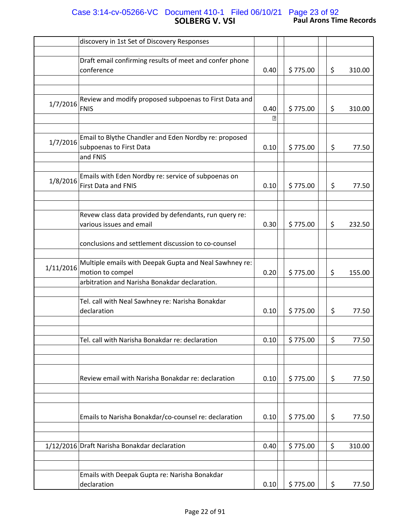## **SOLBERG V. VSI Paul Arons Time Records** Case 3:14-cv-05266-VC Document 410-1 Filed 06/10/21 Page 23 of 92

|           | discovery in 1st Set of Discovery Responses             |      |          |    |        |
|-----------|---------------------------------------------------------|------|----------|----|--------|
|           |                                                         |      |          |    |        |
|           | Draft email confirming results of meet and confer phone |      |          |    |        |
|           | conference                                              | 0.40 | \$775.00 | \$ | 310.00 |
|           |                                                         |      |          |    |        |
|           |                                                         |      |          |    |        |
|           | Review and modify proposed subpoenas to First Data and  |      |          |    |        |
| 1/7/2016  | FNIS                                                    | 0.40 | \$775.00 | \$ | 310.00 |
|           |                                                         | P    |          |    |        |
|           |                                                         |      |          |    |        |
|           | Email to Blythe Chandler and Eden Nordby re: proposed   |      |          |    |        |
| 1/7/2016  | subpoenas to First Data                                 | 0.10 | \$775.00 | \$ | 77.50  |
|           | and FNIS                                                |      |          |    |        |
|           |                                                         |      |          |    |        |
|           |                                                         |      |          |    |        |
| 1/8/2016  | Emails with Eden Nordby re: service of subpoenas on     |      |          |    |        |
|           | <b>First Data and FNIS</b>                              | 0.10 | \$775.00 | \$ | 77.50  |
|           |                                                         |      |          |    |        |
|           |                                                         |      |          |    |        |
|           | Revew class data provided by defendants, run query re:  |      |          |    |        |
|           | various issues and email                                | 0.30 | \$775.00 | \$ | 232.50 |
|           |                                                         |      |          |    |        |
|           | conclusions and settlement discussion to co-counsel     |      |          |    |        |
|           |                                                         |      |          |    |        |
|           | Multiple emails with Deepak Gupta and Neal Sawhney re:  |      |          |    |        |
| 1/11/2016 |                                                         |      |          |    |        |
|           | motion to compel                                        | 0.20 | \$775.00 | \$ | 155.00 |
|           | arbitration and Narisha Bonakdar declaration.           |      |          |    |        |
|           |                                                         |      |          |    |        |
|           | Tel. call with Neal Sawhney re: Narisha Bonakdar        |      |          |    |        |
|           | declaration                                             | 0.10 | \$775.00 | \$ | 77.50  |
|           |                                                         |      |          |    |        |
|           |                                                         |      |          |    |        |
|           | Tel. call with Narisha Bonakdar re: declaration         | 0.10 | \$775.00 | \$ | 77.50  |
|           |                                                         |      |          |    |        |
|           |                                                         |      |          |    |        |
|           |                                                         |      |          |    |        |
|           | Review email with Narisha Bonakdar re: declaration      | 0.10 | \$775.00 | \$ | 77.50  |
|           |                                                         |      |          |    |        |
|           |                                                         |      |          |    |        |
|           |                                                         |      |          |    |        |
|           |                                                         |      |          |    |        |
|           | Emails to Narisha Bonakdar/co-counsel re: declaration   | 0.10 | \$775.00 | \$ | 77.50  |
|           |                                                         |      |          |    |        |
|           |                                                         |      |          |    |        |
|           | 1/12/2016 Draft Narisha Bonakdar declaration            | 0.40 | \$775.00 | \$ | 310.00 |
|           |                                                         |      |          |    |        |
|           |                                                         |      |          |    |        |
|           | Emails with Deepak Gupta re: Narisha Bonakdar           |      |          |    |        |
|           | declaration                                             | 0.10 | \$775.00 | \$ | 77.50  |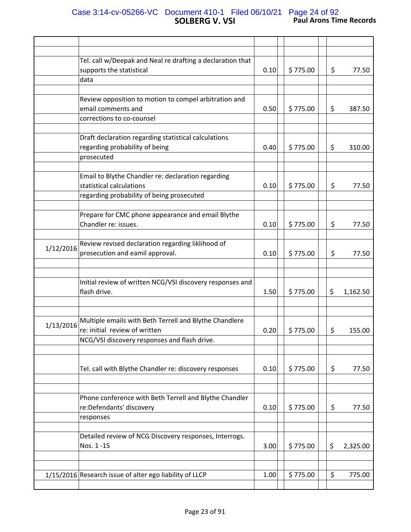### **SOLBERG V. VSI Paul Arons Time Records** Case 3:14-cv-05266-VC Document 410-1 Filed 06/10/21 Page 24 of 92

|           | Tel. call w/Deepak and Neal re drafting a declaration that                         |      |          |    |          |
|-----------|------------------------------------------------------------------------------------|------|----------|----|----------|
|           | supports the statistical                                                           | 0.10 | \$775.00 | \$ | 77.50    |
|           | data                                                                               |      |          |    |          |
|           | Review opposition to motion to compel arbitration and                              |      |          |    |          |
|           | email comments and                                                                 | 0.50 | \$775.00 | \$ | 387.50   |
|           | corrections to co-counsel                                                          |      |          |    |          |
|           | Draft declaration regarding statistical calculations                               |      |          |    |          |
|           | regarding probability of being                                                     | 0.40 | \$775.00 | \$ | 310.00   |
|           | prosecuted                                                                         |      |          |    |          |
|           |                                                                                    |      |          |    |          |
|           | Email to Blythe Chandler re: declaration regarding                                 |      |          |    |          |
|           | statistical calculations                                                           | 0.10 | \$775.00 | \$ | 77.50    |
|           | regarding probability of being prosecuted                                          |      |          |    |          |
|           | Prepare for CMC phone appearance and email Blythe                                  |      |          |    |          |
|           | Chandler re: issues.                                                               | 0.10 | \$775.00 | \$ | 77.50    |
|           |                                                                                    |      |          |    |          |
| 1/12/2016 | Review revised declaration regarding liklihood of                                  |      |          |    |          |
|           | prosecution and eamil approval.                                                    | 0.10 | \$775.00 | \$ | 77.50    |
|           |                                                                                    |      |          |    |          |
|           | Initial review of written NCG/VSI discovery responses and                          |      |          |    |          |
|           | flash drive.                                                                       | 1.50 | \$775.00 | \$ | 1,162.50 |
|           |                                                                                    |      |          |    |          |
|           |                                                                                    |      |          |    |          |
| 1/13/2016 | Multiple emails with Beth Terrell and Blythe Chandlere                             |      |          |    |          |
|           | re: initial review of written<br>NCG/VSI discovery responses and flash drive.      | 0.20 | \$775.00 | \$ | 155.00   |
|           |                                                                                    |      |          |    |          |
|           |                                                                                    |      |          |    |          |
|           | Tel. call with Blythe Chandler re: discovery responses                             | 0.10 | \$775.00 | \$ | 77.50    |
|           |                                                                                    |      |          |    |          |
|           |                                                                                    |      |          |    |          |
|           | Phone conference with Beth Terrell and Blythe Chandler<br>re:Defendants' discovery | 0.10 | \$775.00 | \$ | 77.50    |
|           | responses                                                                          |      |          |    |          |
|           |                                                                                    |      |          |    |          |
|           | Detailed review of NCG Discovery responses, Interrogs.                             |      |          |    |          |
|           | Nos. 1-15                                                                          | 3.00 | \$775.00 | \$ | 2,325.00 |
|           |                                                                                    |      |          |    |          |
|           | 1/15/2016 Research issue of alter ego liability of LLCP                            | 1.00 | \$775.00 | \$ | 775.00   |
|           |                                                                                    |      |          |    |          |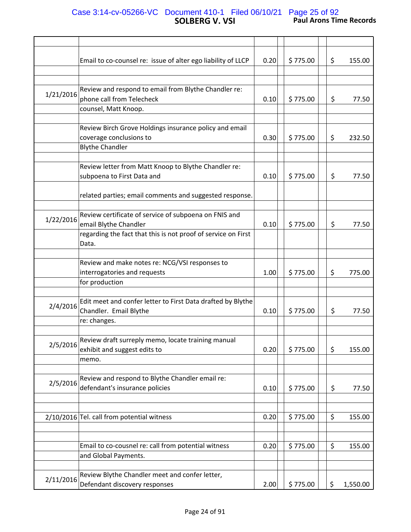## **SOLBERG V. VSI Paul Arons Time Records** Case 3:14-cv-05266-VC Document 410-1 Filed 06/10/21 Page 25 of 92

|           | Email to co-counsel re: issue of alter ego liability of LLCP  | 0.20 | \$775.00 | \$ | 155.00   |
|-----------|---------------------------------------------------------------|------|----------|----|----------|
|           |                                                               |      |          |    |          |
|           |                                                               |      |          |    |          |
|           |                                                               |      |          |    |          |
| 1/21/2016 | Review and respond to email from Blythe Chandler re:          |      |          |    |          |
|           | phone call from Telecheck                                     | 0.10 | \$775.00 | \$ | 77.50    |
|           | counsel, Matt Knoop.                                          |      |          |    |          |
|           |                                                               |      |          |    |          |
|           | Review Birch Grove Holdings insurance policy and email        |      |          |    |          |
|           |                                                               |      |          |    |          |
|           | coverage conclusions to                                       | 0.30 | \$775.00 | \$ | 232.50   |
|           | <b>Blythe Chandler</b>                                        |      |          |    |          |
|           |                                                               |      |          |    |          |
|           | Review letter from Matt Knoop to Blythe Chandler re:          |      |          |    |          |
|           |                                                               | 0.10 | \$775.00 | \$ | 77.50    |
|           | subpoena to First Data and                                    |      |          |    |          |
|           |                                                               |      |          |    |          |
|           | related parties; email comments and suggested response.       |      |          |    |          |
|           |                                                               |      |          |    |          |
|           | Review certificate of service of subpoena on FNIS and         |      |          |    |          |
| 1/22/2016 |                                                               |      |          |    |          |
|           | email Blythe Chandler                                         | 0.10 | \$775.00 | \$ | 77.50    |
|           | regarding the fact that this is not proof of service on First |      |          |    |          |
|           | Data.                                                         |      |          |    |          |
|           |                                                               |      |          |    |          |
|           | Review and make notes re: NCG/VSI responses to                |      |          |    |          |
|           |                                                               |      |          |    |          |
|           | interrogatories and requests                                  | 1.00 | \$775.00 | \$ | 775.00   |
|           | for production                                                |      |          |    |          |
|           |                                                               |      |          |    |          |
|           | Edit meet and confer letter to First Data drafted by Blythe   |      |          |    |          |
| 2/4/2016  | Chandler. Email Blythe                                        | 0.10 | \$775.00 | \$ | 77.50    |
|           |                                                               |      |          |    |          |
|           | re: changes.                                                  |      |          |    |          |
|           |                                                               |      |          |    |          |
|           | Review draft surreply memo, locate training manual            |      |          |    |          |
| 2/5/2016  | exhibit and suggest edits to                                  | 0.20 | \$775.00 | \$ | 155.00   |
|           | memo.                                                         |      |          |    |          |
|           |                                                               |      |          |    |          |
|           |                                                               |      |          |    |          |
| 2/5/2016  | Review and respond to Blythe Chandler email re:               |      |          |    |          |
|           | defendant's insurance policies                                | 0.10 | \$775.00 | \$ | 77.50    |
|           |                                                               |      |          |    |          |
|           |                                                               |      |          |    |          |
|           | 2/10/2016 Tel. call from potential witness                    | 0.20 | \$775.00 | \$ | 155.00   |
|           |                                                               |      |          |    |          |
|           |                                                               |      |          |    |          |
|           |                                                               |      |          |    |          |
|           | Email to co-cousnel re: call from potential witness           | 0.20 | \$775.00 | \$ | 155.00   |
|           | and Global Payments.                                          |      |          |    |          |
|           |                                                               |      |          |    |          |
|           |                                                               |      |          |    |          |
| 2/11/2016 | Review Blythe Chandler meet and confer letter,                |      |          |    |          |
|           | Defendant discovery responses                                 | 2.00 | \$775.00 | \$ | 1,550.00 |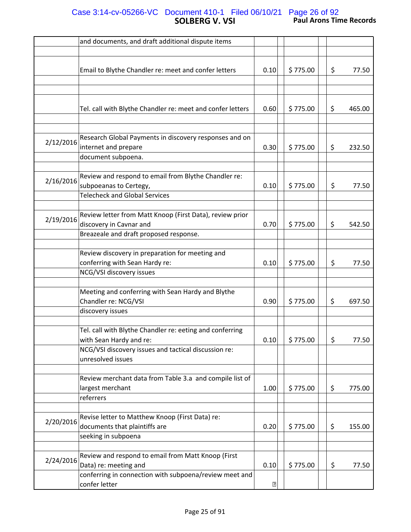## **SOLBERG V. VSI Paul Arons Time Records** Case 3:14-cv-05266-VC Document 410-1 Filed 06/10/21 Page 26 of 92

|           | and documents, and draft additional dispute items              |             |          |    |        |
|-----------|----------------------------------------------------------------|-------------|----------|----|--------|
|           |                                                                |             |          |    |        |
|           | Email to Blythe Chandler re: meet and confer letters           | 0.10        | \$775.00 | \$ | 77.50  |
|           |                                                                |             |          |    |        |
|           |                                                                |             |          |    |        |
|           |                                                                |             |          |    |        |
|           | Tel. call with Blythe Chandler re: meet and confer letters     | 0.60        | \$775.00 | \$ | 465.00 |
|           |                                                                |             |          |    |        |
|           | Research Global Payments in discovery responses and on         |             |          |    |        |
| 2/12/2016 | internet and prepare                                           | 0.30        | \$775.00 | \$ | 232.50 |
|           | document subpoena.                                             |             |          |    |        |
|           |                                                                |             |          |    |        |
| 2/16/2016 | Review and respond to email from Blythe Chandler re:           |             |          |    |        |
|           | subpoeanas to Certegy,<br><b>Telecheck and Global Services</b> | 0.10        | \$775.00 | \$ | 77.50  |
|           |                                                                |             |          |    |        |
|           | Review letter from Matt Knoop (First Data), review prior       |             |          |    |        |
| 2/19/2016 | discovery in Cavnar and                                        | 0.70        | \$775.00 | \$ | 542.50 |
|           | Breazeale and draft proposed response.                         |             |          |    |        |
|           |                                                                |             |          |    |        |
|           | Review discovery in preparation for meeting and                |             |          |    |        |
|           | conferring with Sean Hardy re:                                 | 0.10        | \$775.00 | \$ | 77.50  |
|           | NCG/VSI discovery issues                                       |             |          |    |        |
|           |                                                                |             |          |    |        |
|           | Meeting and conferring with Sean Hardy and Blythe              |             |          |    |        |
|           | Chandler re: NCG/VSI                                           | 0.90        | \$775.00 | \$ | 697.50 |
|           | discovery issues                                               |             |          |    |        |
|           | Tel. call with Blythe Chandler re: eeting and conferring       |             |          |    |        |
|           | with Sean Hardy and re:                                        | 0.10        | \$775.00 | \$ | 77.50  |
|           | NCG/VSI discovery issues and tactical discussion re:           |             |          |    |        |
|           | unresolved issues                                              |             |          |    |        |
|           |                                                                |             |          |    |        |
|           | Review merchant data from Table 3.a and compile list of        |             |          |    |        |
|           | largest merchant                                               | 1.00        | \$775.00 | \$ | 775.00 |
|           | referrers                                                      |             |          |    |        |
|           | Revise letter to Matthew Knoop (First Data) re:                |             |          |    |        |
| 2/20/2016 | documents that plaintiffs are                                  | 0.20        | \$775.00 | \$ | 155.00 |
|           | seeking in subpoena                                            |             |          |    |        |
|           |                                                                |             |          |    |        |
|           | Review and respond to email from Matt Knoop (First             |             |          |    |        |
| 2/24/2016 | Data) re: meeting and                                          | 0.10        | \$775.00 | \$ | 77.50  |
|           | conferring in connection with subpoena/review meet and         |             |          |    |        |
|           | confer letter                                                  | $\boxed{2}$ |          |    |        |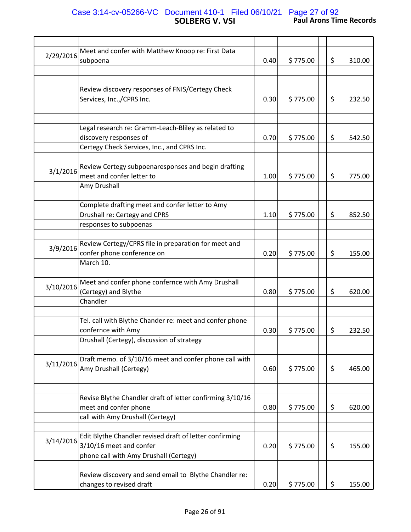#### **SOLBERG V. VSI Paul Arons Time Records** Case 3:14-cv-05266-VC Document 410-1 Filed 06/10/21 Page 27 of 92

| 2/29/2016 | Meet and confer with Matthew Knoop re: First Data         |      |          |    |        |
|-----------|-----------------------------------------------------------|------|----------|----|--------|
|           | subpoena                                                  | 0.40 | \$775.00 | \$ | 310.00 |
|           |                                                           |      |          |    |        |
|           |                                                           |      |          |    |        |
|           | Review discovery responses of FNIS/Certegy Check          |      |          |    |        |
|           |                                                           |      |          |    |        |
|           | Services, Inc.,/CPRS Inc.                                 | 0.30 | \$775.00 | \$ | 232.50 |
|           |                                                           |      |          |    |        |
|           |                                                           |      |          |    |        |
|           | Legal research re: Gramm-Leach-Bliley as related to       |      |          |    |        |
|           | discovery responses of                                    | 0.70 | \$775.00 | \$ | 542.50 |
|           |                                                           |      |          |    |        |
|           | Certegy Check Services, Inc., and CPRS Inc.               |      |          |    |        |
|           |                                                           |      |          |    |        |
|           | Review Certegy subpoenaresponses and begin drafting       |      |          |    |        |
| 3/1/2016  | meet and confer letter to                                 | 1.00 | \$775.00 | \$ | 775.00 |
|           | Amy Drushall                                              |      |          |    |        |
|           |                                                           |      |          |    |        |
|           |                                                           |      |          |    |        |
|           | Complete drafting meet and confer letter to Amy           |      |          |    |        |
|           | Drushall re: Certegy and CPRS                             | 1.10 | \$775.00 | \$ | 852.50 |
|           | responses to subpoenas                                    |      |          |    |        |
|           |                                                           |      |          |    |        |
|           | Review Certegy/CPRS file in preparation for meet and      |      |          |    |        |
| 3/9/2016  |                                                           |      |          |    |        |
|           | confer phone conference on                                | 0.20 | \$775.00 | \$ | 155.00 |
|           | March 10.                                                 |      |          |    |        |
|           |                                                           |      |          |    |        |
|           | Meet and confer phone confernce with Amy Drushall         |      |          |    |        |
| 3/10/2016 | (Certegy) and Blythe                                      | 0.80 | \$775.00 | \$ | 620.00 |
|           |                                                           |      |          |    |        |
|           | Chandler                                                  |      |          |    |        |
|           |                                                           |      |          |    |        |
|           | Tel. call with Blythe Chander re: meet and confer phone   |      |          |    |        |
|           | confernce with Amy                                        | 0.30 | \$775.00 | \$ | 232.50 |
|           | Drushall (Certegy), discussion of strategy                |      |          |    |        |
|           |                                                           |      |          |    |        |
|           |                                                           |      |          |    |        |
| 3/11/2016 | Draft memo. of 3/10/16 meet and confer phone call with    |      |          |    |        |
|           | Amy Drushall (Certegy)                                    | 0.60 | \$775.00 | \$ | 465.00 |
|           |                                                           |      |          |    |        |
|           |                                                           |      |          |    |        |
|           | Revise Blythe Chandler draft of letter confirming 3/10/16 |      |          |    |        |
|           |                                                           |      |          |    |        |
|           | meet and confer phone                                     | 0.80 | \$775.00 | \$ | 620.00 |
|           | call with Amy Drushall (Certegy)                          |      |          |    |        |
|           |                                                           |      |          |    |        |
| 3/14/2016 | Edit Blythe Chandler revised draft of letter confirming   |      |          |    |        |
|           | 3/10/16 meet and confer                                   | 0.20 | \$775.00 | \$ | 155.00 |
|           |                                                           |      |          |    |        |
|           | phone call with Amy Drushall (Certegy)                    |      |          |    |        |
|           |                                                           |      |          |    |        |
|           | Review discovery and send email to Blythe Chandler re:    |      |          |    |        |
|           | changes to revised draft                                  | 0.20 | \$775.00 | \$ | 155.00 |
|           |                                                           |      |          |    |        |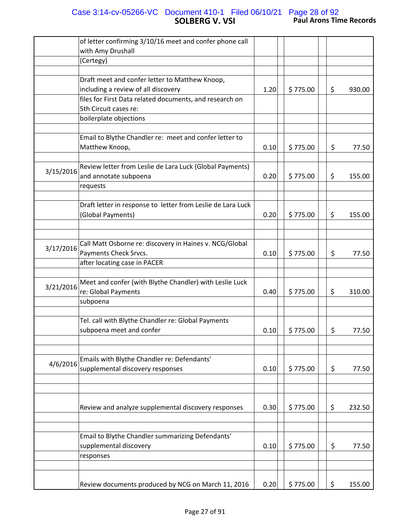#### **SOLBERG V. VSI Paul Arons Time Records** Case 3:14-cv-05266-VC Document 410-1 Filed 06/10/21 Page 28 of 92

|           | of letter confirming 3/10/16 meet and confer phone call     |      |          |              |
|-----------|-------------------------------------------------------------|------|----------|--------------|
|           | with Amy Drushall                                           |      |          |              |
|           | (Certegy)                                                   |      |          |              |
|           | Draft meet and confer letter to Matthew Knoop,              |      |          |              |
|           | including a review of all discovery                         | 1.20 | \$775.00 | \$<br>930.00 |
|           | files for First Data related documents, and research on     |      |          |              |
|           | 5th Circuit cases re:                                       |      |          |              |
|           | boilerplate objections                                      |      |          |              |
|           |                                                             |      |          |              |
|           | Email to Blythe Chandler re: meet and confer letter to      |      |          |              |
|           | Matthew Knoop,                                              | 0.10 | \$775.00 | \$<br>77.50  |
|           |                                                             |      |          |              |
|           | Review letter from Leslie de Lara Luck (Global Payments)    |      |          |              |
| 3/15/2016 | and annotate subpoena                                       | 0.20 | \$775.00 | \$<br>155.00 |
|           | requests                                                    |      |          |              |
|           |                                                             |      |          |              |
|           | Draft letter in response to letter from Leslie de Lara Luck |      |          |              |
|           | (Global Payments)                                           | 0.20 | \$775.00 | \$<br>155.00 |
|           |                                                             |      |          |              |
|           |                                                             |      |          |              |
| 3/17/2016 | Call Matt Osborne re: discovery in Haines v. NCG/Global     |      |          |              |
|           | Payments Check Srvcs.                                       | 0.10 | \$775.00 | \$<br>77.50  |
|           | after locating case in PACER                                |      |          |              |
|           |                                                             |      |          |              |
| 3/21/2016 | Meet and confer (with Blythe Chandler) with Leslie Luck     |      |          |              |
|           | re: Global Payments<br>subpoena                             | 0.40 | \$775.00 | \$<br>310.00 |
|           |                                                             |      |          |              |
|           | Tel. call with Blythe Chandler re: Global Payments          |      |          |              |
|           | subpoena meet and confer                                    | 0.10 | \$775.00 | \$<br>77.50  |
|           |                                                             |      |          |              |
|           |                                                             |      |          |              |
|           | Emails with Blythe Chandler re: Defendants'                 |      |          |              |
| 4/6/2016  | supplemental discovery responses                            | 0.10 | \$775.00 | \$<br>77.50  |
|           |                                                             |      |          |              |
|           |                                                             |      |          |              |
|           |                                                             |      |          |              |
|           | Review and analyze supplemental discovery responses         | 0.30 | \$775.00 | \$<br>232.50 |
|           |                                                             |      |          |              |
|           |                                                             |      |          |              |
|           | Email to Blythe Chandler summarizing Defendants'            |      |          |              |
|           | supplemental discovery                                      | 0.10 | \$775.00 | \$<br>77.50  |
|           | responses                                                   |      |          |              |
|           |                                                             |      |          |              |
|           |                                                             |      |          |              |
|           | Review documents produced by NCG on March 11, 2016          | 0.20 | \$775.00 | \$<br>155.00 |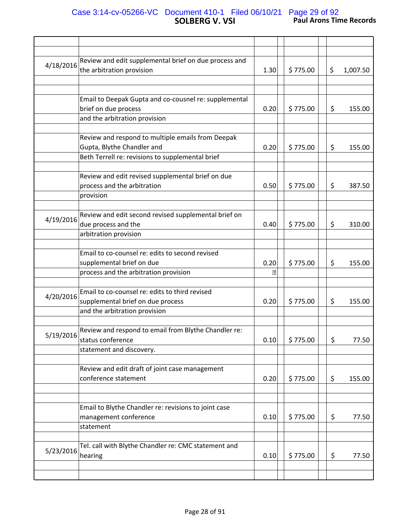### **SOLBERG V. VSI Paul Arons Time Records** Case 3:14-cv-05266-VC Document 410-1 Filed 06/10/21 Page 29 of 92

| 4/18/2016 | Review and edit supplemental brief on due process and<br>the arbitration provision                                                  | 1.30      | \$775.00 | \$<br>1,007.50 |
|-----------|-------------------------------------------------------------------------------------------------------------------------------------|-----------|----------|----------------|
|           | Email to Deepak Gupta and co-cousnel re: supplemental<br>brief on due process<br>and the arbitration provision                      | 0.20      | \$775.00 | \$<br>155.00   |
|           | Review and respond to multiple emails from Deepak<br>Gupta, Blythe Chandler and<br>Beth Terrell re: revisions to supplemental brief | 0.20      | \$775.00 | \$<br>155.00   |
|           | Review and edit revised supplemental brief on due<br>process and the arbitration<br>provision                                       | 0.50      | \$775.00 | \$<br>387.50   |
| 4/19/2016 | Review and edit second revised supplemental brief on<br>due process and the<br>arbitration provision                                | 0.40      | \$775.00 | \$<br>310.00   |
|           | Email to co-counsel re: edits to second revised<br>supplemental brief on due<br>process and the arbitration provision               | 0.20<br>卪 | \$775.00 | \$<br>155.00   |
| 4/20/2016 | Email to co-counsel re: edits to third revised<br>supplemental brief on due process<br>and the arbitration provision                | 0.20      | \$775.00 | \$<br>155.00   |
| 5/19/2016 | Review and respond to email from Blythe Chandler re:<br>status conference<br>statement and discovery.                               | 0.10      | \$775.00 | \$<br>77.50    |
|           | Review and edit draft of joint case management<br>conference statement                                                              | 0.20      | \$775.00 | \$<br>155.00   |
|           | Email to Blythe Chandler re: revisions to joint case<br>management conference<br>statement                                          | 0.10      | \$775.00 | \$<br>77.50    |
| 5/23/2016 | Tel. call with Blythe Chandler re: CMC statement and<br>hearing                                                                     | 0.10      | \$775.00 | \$<br>77.50    |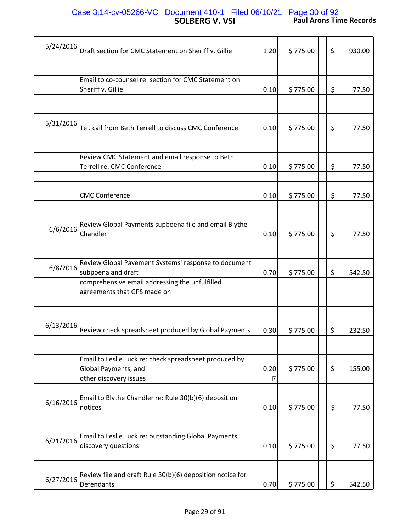## **SOLBERG V. VSI Paul Arons Time Records** Case 3:14-cv-05266-VC Document 410-1 Filed 06/10/21 Page 30 of 92

| 5/24/2016 | Draft section for CMC Statement on Sheriff v. Gillie      | 1.20  | \$775.00 | \$      | 930.00 |
|-----------|-----------------------------------------------------------|-------|----------|---------|--------|
|           |                                                           |       |          |         |        |
|           |                                                           |       |          |         |        |
|           | Email to co-counsel re: section for CMC Statement on      |       |          |         |        |
|           | Sheriff v. Gillie                                         | 0.10  | \$775.00 | \$      | 77.50  |
|           |                                                           |       |          |         |        |
|           |                                                           |       |          |         |        |
| 5/31/2016 |                                                           |       |          |         |        |
|           | Tel. call from Beth Terrell to discuss CMC Conference     | 0.10  | \$775.00 | \$      | 77.50  |
|           |                                                           |       |          |         |        |
|           |                                                           |       |          |         |        |
|           | Review CMC Statement and email response to Beth           |       |          |         |        |
|           | Terrell re: CMC Conference                                | 0.10  | \$775.00 | \$      | 77.50  |
|           |                                                           |       |          |         |        |
|           |                                                           |       |          |         |        |
|           | <b>CMC Conference</b>                                     | 0.10  | \$775.00 | $\zeta$ | 77.50  |
|           |                                                           |       |          |         |        |
|           | Review Global Payments supboena file and email Blythe     |       |          |         |        |
| 6/6/2016  | Chandler                                                  |       |          |         | 77.50  |
|           |                                                           | 0.10  | \$775.00 | \$      |        |
|           |                                                           |       |          |         |        |
|           | Review Global Payement Systems' response to document      |       |          |         |        |
| 6/8/2016  | subpoena and draft                                        |       |          |         |        |
|           |                                                           | 0.70  | \$775.00 | \$      | 542.50 |
|           | comprehensive email addressing the unfulfilled            |       |          |         |        |
|           | agreements that GPS made on                               |       |          |         |        |
|           |                                                           |       |          |         |        |
|           |                                                           |       |          |         |        |
| 6/13/2016 | Review check spreadsheet produced by Global Payments      | 0.30  | \$775.00 | \$      | 232.50 |
|           |                                                           |       |          |         |        |
|           |                                                           |       |          |         |        |
|           | Email to Leslie Luck re: check spreadsheet produced by    |       |          |         |        |
|           | Global Payments, and                                      | 0.20  | \$775.00 | \$      | 155.00 |
|           | other discovery issues                                    | ิ้ียิ |          |         |        |
|           |                                                           |       |          |         |        |
|           | Email to Blythe Chandler re: Rule 30(b)(6) deposition     |       |          |         |        |
| 6/16/2016 | notices                                                   | 0.10  | \$775.00 | \$      | 77.50  |
|           |                                                           |       |          |         |        |
|           |                                                           |       |          |         |        |
|           | Email to Leslie Luck re: outstanding Global Payments      |       |          |         |        |
| 6/21/2016 | discovery questions                                       | 0.10  | \$775.00 | \$      | 77.50  |
|           |                                                           |       |          |         |        |
|           |                                                           |       |          |         |        |
|           | Review file and draft Rule 30(b)(6) deposition notice for |       |          |         |        |
| 6/27/2016 | Defendants                                                | 0.70  | \$775.00 | \$      | 542.50 |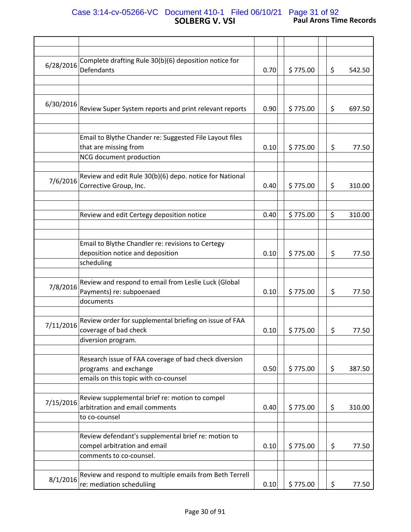## **SOLBERG V. VSI Paul Arons Time Records** Case 3:14-cv-05266-VC Document 410-1 Filed 06/10/21 Page 31 of 92

| 6/28/2016 | Complete drafting Rule 30(b)(6) deposition notice for   |      |          |              |
|-----------|---------------------------------------------------------|------|----------|--------------|
|           | Defendants                                              | 0.70 | \$775.00 | \$<br>542.50 |
|           |                                                         |      |          |              |
|           |                                                         |      |          |              |
| 6/30/2016 |                                                         |      |          |              |
|           | Review Super System reports and print relevant reports  | 0.90 | \$775.00 | \$<br>697.50 |
|           |                                                         |      |          |              |
|           |                                                         |      |          |              |
|           | Email to Blythe Chander re: Suggested File Layout files |      |          |              |
|           | that are missing from                                   | 0.10 | \$775.00 | \$<br>77.50  |
|           | NCG document production                                 |      |          |              |
|           |                                                         |      |          |              |
| 7/6/2016  | Review and edit Rule 30(b)(6) depo. notice for National |      |          |              |
|           | Corrective Group, Inc.                                  | 0.40 | \$775.00 | \$<br>310.00 |
|           |                                                         |      |          |              |
|           |                                                         |      |          |              |
|           | Review and edit Certegy deposition notice               | 0.40 | \$775.00 | \$<br>310.00 |
|           |                                                         |      |          |              |
|           |                                                         |      |          |              |
|           | Email to Blythe Chandler re: revisions to Certegy       |      |          |              |
|           | deposition notice and deposition                        | 0.10 | \$775.00 | \$<br>77.50  |
|           | scheduling                                              |      |          |              |
|           |                                                         |      |          |              |
| 7/8/2016  | Review and respond to email from Leslie Luck (Global    |      |          |              |
|           | Payments) re: subpoenaed                                | 0.10 | \$775.00 | \$<br>77.50  |
|           | documents                                               |      |          |              |
|           |                                                         |      |          |              |
| 7/11/2016 | Review order for supplemental briefing on issue of FAA  |      |          |              |
|           | coverage of bad check                                   | 0.10 | \$775.00 | \$<br>77.50  |
|           | diversion program.                                      |      |          |              |
|           |                                                         |      |          |              |
|           | Research issue of FAA coverage of bad check diversion   |      |          |              |
|           | programs and exchange                                   | 0.50 | \$775.00 | \$<br>387.50 |
|           | emails on this topic with co-counsel                    |      |          |              |
|           |                                                         |      |          |              |
| 7/15/2016 | Review supplemental brief re: motion to compel          |      |          |              |
|           | arbitration and email comments                          | 0.40 | \$775.00 | \$<br>310.00 |
|           | to co-counsel                                           |      |          |              |
|           |                                                         |      |          |              |
|           | Review defendant's supplemental brief re: motion to     |      |          |              |
|           | compel arbitration and email                            | 0.10 | \$775.00 | \$<br>77.50  |
|           | comments to co-counsel.                                 |      |          |              |
|           |                                                         |      |          |              |
| 8/1/2016  | Review and respond to multiple emails from Beth Terrell |      |          |              |
|           | re: mediation scheduliing                               | 0.10 | \$775.00 | \$<br>77.50  |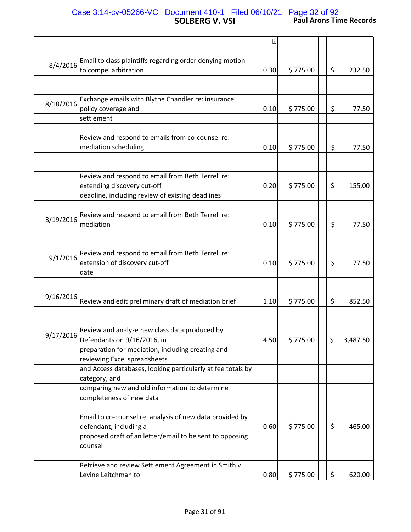# **SOLBERG V. VSI Paul Arons Time Records** Case 3:14-cv-05266-VC Document 410-1 Filed 06/10/21 Page 32 of 92

|           |                                                                                                                                                           | $\boxed{2}$ |          |                |
|-----------|-----------------------------------------------------------------------------------------------------------------------------------------------------------|-------------|----------|----------------|
|           |                                                                                                                                                           |             |          |                |
| 8/4/2016  | Email to class plaintiffs regarding order denying motion<br>to compel arbitration                                                                         | 0.30        | \$775.00 | \$<br>232.50   |
|           |                                                                                                                                                           |             |          |                |
| 8/18/2016 | Exchange emails with Blythe Chandler re: insurance<br>policy coverage and<br>settlement                                                                   | 0.10        | \$775.00 | \$<br>77.50    |
|           | Review and respond to emails from co-counsel re:<br>mediation scheduling                                                                                  | 0.10        | \$775.00 | \$<br>77.50    |
|           | Review and respond to email from Beth Terrell re:<br>extending discovery cut-off<br>deadline, including review of existing deadlines                      | 0.20        | \$775.00 | \$<br>155.00   |
| 8/19/2016 | Review and respond to email from Beth Terrell re:<br>mediation                                                                                            | 0.10        | \$775.00 | \$<br>77.50    |
| 9/1/2016  | Review and respond to email from Beth Terrell re:<br>extension of discovery cut-off<br>date                                                               | 0.10        | \$775.00 | \$<br>77.50    |
|           |                                                                                                                                                           |             |          |                |
| 9/16/2016 | Review and edit preliminary draft of mediation brief                                                                                                      | 1.10        | \$775.00 | \$<br>852.50   |
| 9/17/2016 | Review and analyze new class data produced by<br>Defendants on 9/16/2016, in                                                                              | 4.50        | \$775.00 | \$<br>3,487.50 |
|           | preparation for mediation, including creating and<br>reviewing Excel spreadsheets                                                                         |             |          |                |
|           | and Access databases, looking particularly at fee totals by<br>category, and                                                                              |             |          |                |
|           | comparing new and old information to determine<br>completeness of new data                                                                                |             |          |                |
|           | Email to co-counsel re: analysis of new data provided by<br>defendant, including a<br>proposed draft of an letter/email to be sent to opposing<br>counsel | 0.60        | \$775.00 | \$<br>465.00   |
|           | Retrieve and review Settlement Agreement in Smith v.                                                                                                      |             |          |                |
|           | Levine Leitchman to                                                                                                                                       | 0.80        | \$775.00 | \$<br>620.00   |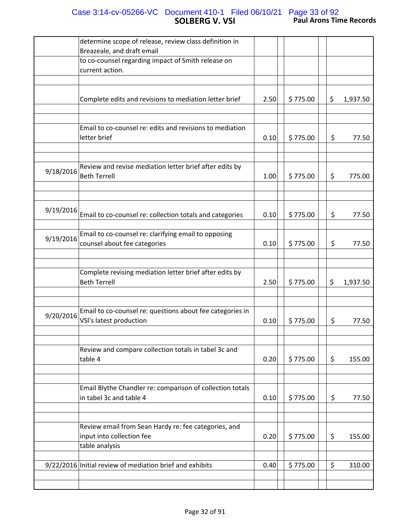# **SOLBERG V. VSI Paul Arons Time Records** Case 3:14-cv-05266-VC Document 410-1 Filed 06/10/21 Page 33 of 92

|           | determine scope of release, review class definition in                                              |      |          |                |
|-----------|-----------------------------------------------------------------------------------------------------|------|----------|----------------|
|           | Breazeale, and draft email                                                                          |      |          |                |
|           | to co-counsel regarding impact of Smith release on                                                  |      |          |                |
|           | current action.                                                                                     |      |          |                |
|           |                                                                                                     |      |          |                |
|           |                                                                                                     |      |          |                |
|           | Complete edits and revisions to mediation letter brief                                              | 2.50 | \$775.00 | \$<br>1,937.50 |
|           | Email to co-counsel re: edits and revisions to mediation<br>letter brief                            | 0.10 | \$775.00 | \$<br>77.50    |
|           |                                                                                                     |      |          |                |
| 9/18/2016 | Review and revise mediation letter brief after edits by<br><b>Beth Terrell</b>                      | 1.00 | \$775.00 | \$<br>775.00   |
|           |                                                                                                     |      |          |                |
| 9/19/2016 | Email to co-counsel re: collection totals and categories                                            | 0.10 | \$775.00 | \$<br>77.50    |
| 9/19/2016 | Email to co-counsel re: clarifying email to opposing<br>counsel about fee categories                | 0.10 | \$775.00 | \$<br>77.50    |
|           |                                                                                                     |      |          |                |
|           | Complete revising mediation letter brief after edits by<br><b>Beth Terrell</b>                      | 2.50 | \$775.00 | \$<br>1,937.50 |
|           |                                                                                                     |      |          |                |
| 9/20/2016 | Email to co-counsel re: questions about fee categories in<br>VSI's latest production                | 0.10 | \$775.00 | \$<br>77.50    |
|           |                                                                                                     |      |          |                |
|           | Review and compare collection totals in tabel 3c and<br>table 4                                     | 0.20 | \$775.00 | \$<br>155.00   |
|           |                                                                                                     |      |          |                |
|           | Email Blythe Chandler re: comparison of collection totals<br>in tabel 3c and table 4                | 0.10 | \$775.00 | \$<br>77.50    |
|           |                                                                                                     |      |          |                |
|           | Review email from Sean Hardy re: fee categories, and<br>input into collection fee<br>table analysis | 0.20 | \$775.00 | \$<br>155.00   |
|           |                                                                                                     |      |          |                |
|           | 9/22/2016 Initial review of mediation brief and exhibits                                            | 0.40 | \$775.00 | \$<br>310.00   |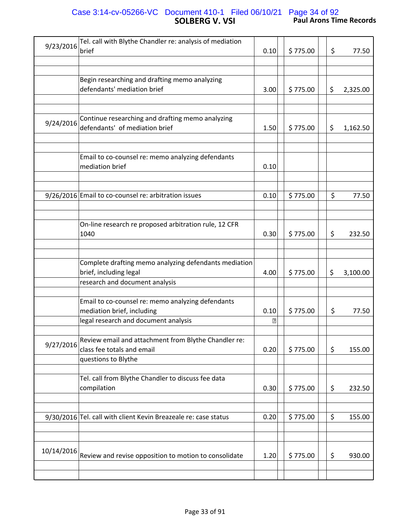# **SOLBERG V. VSI Paul Arons Time Records** Case 3:14-cv-05266-VC Document 410-1 Filed 06/10/21 Page 34 of 92

| 9/23/2016  | Tel. call with Blythe Chandler re: analysis of mediation<br>brief                                                       | 0.10      | \$775.00 | \$ | 77.50    |
|------------|-------------------------------------------------------------------------------------------------------------------------|-----------|----------|----|----------|
|            |                                                                                                                         |           |          |    |          |
|            | Begin researching and drafting memo analyzing<br>defendants' mediation brief                                            | 3.00      | \$775.00 | \$ | 2,325.00 |
| 9/24/2016  | Continue researching and drafting memo analyzing<br>defendants' of mediation brief                                      | 1.50      | \$775.00 | \$ | 1,162.50 |
|            | Email to co-counsel re: memo analyzing defendants<br>mediation brief                                                    | 0.10      |          |    |          |
|            | 9/26/2016 Email to co-counsel re: arbitration issues                                                                    | 0.10      | \$775.00 | \$ | 77.50    |
|            | On-line research re proposed arbitration rule, 12 CFR<br>1040                                                           | 0.30      | \$775.00 | \$ | 232.50   |
|            | Complete drafting memo analyzing defendants mediation<br>brief, including legal<br>research and document analysis       | 4.00      | \$775.00 | \$ | 3,100.00 |
|            | Email to co-counsel re: memo analyzing defendants<br>mediation brief, including<br>legal research and document analysis | 0.10<br>卪 | \$775.00 | \$ | 77.50    |
| 9/27/2016  | Review email and attachment from Blythe Chandler re:<br>class fee totals and email<br>questions to Blythe               | 0.20      | \$775.00 | \$ | 155.00   |
|            | Tel. call from Blythe Chandler to discuss fee data<br>compilation                                                       | 0.30      | \$775.00 | \$ | 232.50   |
|            | 9/30/2016 Tel. call with client Kevin Breazeale re: case status                                                         | 0.20      | \$775.00 | \$ | 155.00   |
| 10/14/2016 | Review and revise opposition to motion to consolidate                                                                   | 1.20      | \$775.00 | \$ | 930.00   |
|            |                                                                                                                         |           |          |    |          |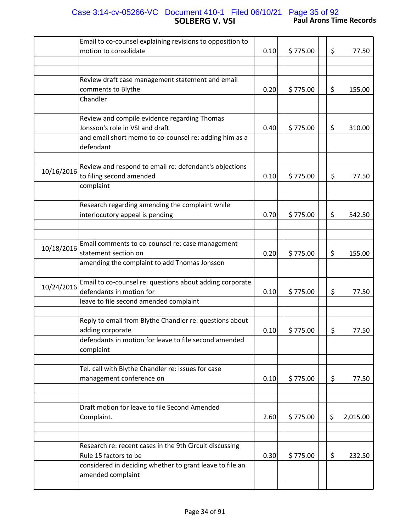# **SOLBERG V. VSI Paul Arons Time Records** Case 3:14-cv-05266-VC Document 410-1 Filed 06/10/21 Page 35 of 92

|            | Email to co-counsel explaining revisions to opposition to<br>motion to consolidate                                                                | 0.10 | \$775.00 | \$ | 77.50    |
|------------|---------------------------------------------------------------------------------------------------------------------------------------------------|------|----------|----|----------|
|            |                                                                                                                                                   |      |          |    |          |
|            | Review draft case management statement and email<br>comments to Blythe                                                                            | 0.20 | \$775.00 | \$ | 155.00   |
|            | Chandler                                                                                                                                          |      |          |    |          |
|            | Review and compile evidence regarding Thomas<br>Jonsson's role in VSI and draft                                                                   | 0.40 | \$775.00 | \$ | 310.00   |
|            | and email short memo to co-counsel re: adding him as a<br>defendant                                                                               |      |          |    |          |
| 10/16/2016 | Review and respond to email re: defendant's objections<br>to filing second amended                                                                | 0.10 | \$775.00 | \$ | 77.50    |
|            | complaint                                                                                                                                         |      |          |    |          |
|            | Research regarding amending the complaint while<br>interlocutory appeal is pending                                                                | 0.70 | \$775.00 | \$ | 542.50   |
|            |                                                                                                                                                   |      |          |    |          |
| 10/18/2016 | Email comments to co-counsel re: case management<br>statement section on<br>amending the complaint to add Thomas Jonsson                          | 0.20 | \$775.00 | \$ | 155.00   |
|            |                                                                                                                                                   |      |          |    |          |
| 10/24/2016 | Email to co-counsel re: questions about adding corporate<br>defendants in motion for<br>leave to file second amended complaint                    | 0.10 | \$775.00 | \$ | 77.50    |
|            |                                                                                                                                                   |      |          |    |          |
|            | Reply to email from Blythe Chandler re: questions about<br>adding corporate<br>defendants in motion for leave to file second amended<br>complaint | 0.10 | \$775.00 | \$ | 77.50    |
|            |                                                                                                                                                   |      |          |    |          |
|            | Tel. call with Blythe Chandler re: issues for case<br>management conference on                                                                    | 0.10 | \$775.00 | \$ | 77.50    |
|            |                                                                                                                                                   |      |          |    |          |
|            | Draft motion for leave to file Second Amended<br>Complaint.                                                                                       | 2.60 | \$775.00 | \$ | 2,015.00 |
|            |                                                                                                                                                   |      |          |    |          |
|            | Research re: recent cases in the 9th Circuit discussing<br>Rule 15 factors to be<br>considered in deciding whether to grant leave to file an      | 0.30 | \$775.00 | \$ | 232.50   |
|            | amended complaint                                                                                                                                 |      |          |    |          |
|            |                                                                                                                                                   |      |          |    |          |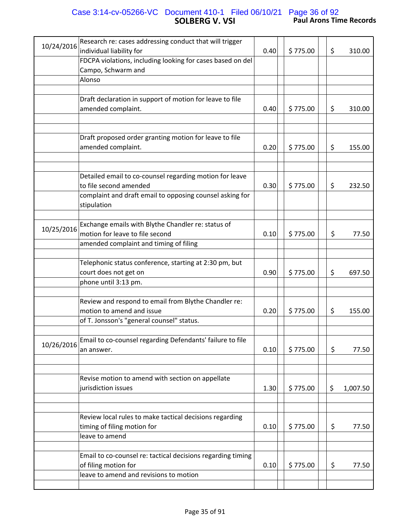## **SOLBERG V. VSI Paul Arons Time Records** Case 3:14-cv-05266-VC Document 410-1 Filed 06/10/21 Page 36 of 92

| 10/24/2016 | Research re: cases addressing conduct that will trigger     |      |          |                |
|------------|-------------------------------------------------------------|------|----------|----------------|
|            | individual liability for                                    | 0.40 | \$775.00 | \$<br>310.00   |
|            | FDCPA violations, including looking for cases based on del  |      |          |                |
|            | Campo, Schwarm and                                          |      |          |                |
|            | Alonso                                                      |      |          |                |
|            |                                                             |      |          |                |
|            | Draft declaration in support of motion for leave to file    |      |          |                |
|            | amended complaint.                                          | 0.40 | \$775.00 | \$<br>310.00   |
|            |                                                             |      |          |                |
|            |                                                             |      |          |                |
|            | Draft proposed order granting motion for leave to file      |      |          |                |
|            | amended complaint.                                          | 0.20 | \$775.00 | \$<br>155.00   |
|            |                                                             |      |          |                |
|            | Detailed email to co-counsel regarding motion for leave     |      |          |                |
|            | to file second amended                                      | 0.30 | \$775.00 | \$<br>232.50   |
|            | complaint and draft email to opposing counsel asking for    |      |          |                |
|            | stipulation                                                 |      |          |                |
|            |                                                             |      |          |                |
|            | Exchange emails with Blythe Chandler re: status of          |      |          |                |
| 10/25/2016 | motion for leave to file second                             | 0.10 | \$775.00 | \$<br>77.50    |
|            | amended complaint and timing of filing                      |      |          |                |
|            |                                                             |      |          |                |
|            | Telephonic status conference, starting at 2:30 pm, but      |      |          |                |
|            | court does not get on                                       | 0.90 | \$775.00 | \$<br>697.50   |
|            | phone until 3:13 pm.                                        |      |          |                |
|            |                                                             |      |          |                |
|            | Review and respond to email from Blythe Chandler re:        |      |          |                |
|            | motion to amend and issue                                   | 0.20 | \$775.00 | \$<br>155.00   |
|            | of T. Jonsson's "general counsel" status.                   |      |          |                |
|            |                                                             |      |          |                |
| 10/26/2016 | Email to co-counsel regarding Defendants' failure to file   |      |          |                |
|            | an answer.                                                  | 0.10 | \$775.00 | \$<br>77.50    |
|            |                                                             |      |          |                |
|            |                                                             |      |          |                |
|            | Revise motion to amend with section on appellate            |      |          |                |
|            | jurisdiction issues                                         | 1.30 | \$775.00 | \$<br>1,007.50 |
|            |                                                             |      |          |                |
|            |                                                             |      |          |                |
|            | Review local rules to make tactical decisions regarding     |      |          |                |
|            | timing of filing motion for                                 | 0.10 | \$775.00 | \$<br>77.50    |
|            | leave to amend                                              |      |          |                |
|            |                                                             |      |          |                |
|            | Email to co-counsel re: tactical decisions regarding timing |      |          |                |
|            | of filing motion for                                        | 0.10 | \$775.00 | \$<br>77.50    |
|            | leave to amend and revisions to motion                      |      |          |                |
|            |                                                             |      |          |                |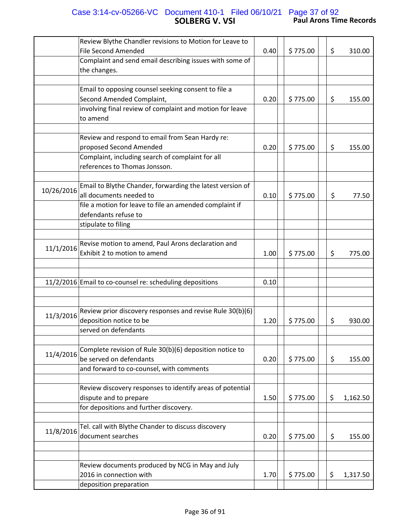## **SOLBERG V. VSI Paul Arons Time Records** Case 3:14-cv-05266-VC Document 410-1 Filed 06/10/21 Page 37 of 92

|            | Review Blythe Chandler revisions to Motion for Leave to<br><b>File Second Amended</b><br>Complaint and send email describing issues with some of | 0.40 | \$775.00 | \$ | 310.00   |
|------------|--------------------------------------------------------------------------------------------------------------------------------------------------|------|----------|----|----------|
|            | the changes.                                                                                                                                     |      |          |    |          |
|            |                                                                                                                                                  |      |          |    |          |
|            | Email to opposing counsel seeking consent to file a                                                                                              | 0.20 | \$775.00 |    |          |
|            | Second Amended Complaint,<br>involving final review of complaint and motion for leave                                                            |      |          | \$ | 155.00   |
|            | to amend                                                                                                                                         |      |          |    |          |
|            |                                                                                                                                                  |      |          |    |          |
|            | Review and respond to email from Sean Hardy re:                                                                                                  |      |          |    |          |
|            | proposed Second Amended                                                                                                                          | 0.20 | \$775.00 | \$ | 155.00   |
|            | Complaint, including search of complaint for all                                                                                                 |      |          |    |          |
|            | references to Thomas Jonsson.                                                                                                                    |      |          |    |          |
|            |                                                                                                                                                  |      |          |    |          |
| 10/26/2016 | Email to Blythe Chander, forwarding the latest version of                                                                                        |      |          |    |          |
|            | all documents needed to                                                                                                                          | 0.10 | \$775.00 | \$ | 77.50    |
|            | file a motion for leave to file an amended complaint if                                                                                          |      |          |    |          |
|            | defendants refuse to                                                                                                                             |      |          |    |          |
|            | stipulate to filing                                                                                                                              |      |          |    |          |
|            | Revise motion to amend, Paul Arons declaration and                                                                                               |      |          |    |          |
| 11/1/2016  | Exhibit 2 to motion to amend                                                                                                                     | 1.00 | \$775.00 | \$ | 775.00   |
|            |                                                                                                                                                  |      |          |    |          |
|            |                                                                                                                                                  |      |          |    |          |
|            | 11/2/2016 Email to co-counsel re: scheduling depositions                                                                                         | 0.10 |          |    |          |
|            |                                                                                                                                                  |      |          |    |          |
|            |                                                                                                                                                  |      |          |    |          |
| 11/3/2016  | Review prior discovery responses and revise Rule 30(b)(6)                                                                                        |      |          |    |          |
|            | deposition notice to be                                                                                                                          | 1.20 | \$775.00 | \$ | 930.00   |
|            | served on defendants                                                                                                                             |      |          |    |          |
|            | Complete revision of Rule 30(b)(6) deposition notice to                                                                                          |      |          |    |          |
| 11/4/2016  | be served on defendants                                                                                                                          | 0.20 | \$775.00 | \$ | 155.00   |
|            | and forward to co-counsel, with comments                                                                                                         |      |          |    |          |
|            |                                                                                                                                                  |      |          |    |          |
|            | Review discovery responses to identify areas of potential                                                                                        |      |          |    |          |
|            | dispute and to prepare                                                                                                                           | 1.50 | \$775.00 | \$ | 1,162.50 |
|            | for depositions and further discovery.                                                                                                           |      |          |    |          |
|            |                                                                                                                                                  |      |          |    |          |
| 11/8/2016  | Tel. call with Blythe Chander to discuss discovery                                                                                               |      |          |    |          |
|            | document searches                                                                                                                                | 0.20 | \$775.00 | \$ | 155.00   |
|            |                                                                                                                                                  |      |          |    |          |
|            | Review documents produced by NCG in May and July                                                                                                 |      |          |    |          |
|            | 2016 in connection with                                                                                                                          | 1.70 | \$775.00 | \$ | 1,317.50 |
|            | deposition preparation                                                                                                                           |      |          |    |          |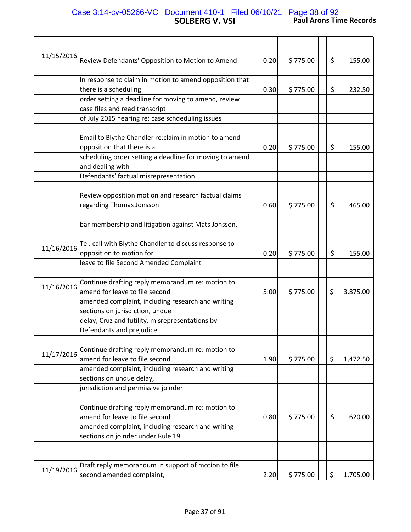## **SOLBERG V. VSI Paul Arons Time Records** Case 3:14-cv-05266-VC Document 410-1 Filed 06/10/21 Page 38 of 92

| 11/15/2016 | Review Defendants' Opposition to Motion to Amend        | 0.20 | \$775.00 | \$ | 155.00   |
|------------|---------------------------------------------------------|------|----------|----|----------|
|            | In response to claim in motion to amend opposition that |      |          |    |          |
|            | there is a scheduling                                   | 0.30 | \$775.00 | \$ | 232.50   |
|            | order setting a deadline for moving to amend, review    |      |          |    |          |
|            | case files and read transcript                          |      |          |    |          |
|            | of July 2015 hearing re: case schdeduling issues        |      |          |    |          |
|            |                                                         |      |          |    |          |
|            | Email to Blythe Chandler re: claim in motion to amend   |      |          |    |          |
|            | opposition that there is a                              | 0.20 | \$775.00 | \$ | 155.00   |
|            | scheduling order setting a deadline for moving to amend |      |          |    |          |
|            | and dealing with                                        |      |          |    |          |
|            | Defendants' factual misrepresentation                   |      |          |    |          |
|            |                                                         |      |          |    |          |
|            | Review opposition motion and research factual claims    |      |          |    |          |
|            | regarding Thomas Jonsson                                | 0.60 | \$775.00 | \$ | 465.00   |
|            |                                                         |      |          |    |          |
|            | bar membership and litigation against Mats Jonsson.     |      |          |    |          |
|            | Tel. call with Blythe Chandler to discuss response to   |      |          |    |          |
| 11/16/2016 | opposition to motion for                                | 0.20 | \$775.00 | \$ | 155.00   |
|            | leave to file Second Amended Complaint                  |      |          |    |          |
|            |                                                         |      |          |    |          |
|            | Continue drafting reply memorandum re: motion to        |      |          |    |          |
| 11/16/2016 | amend for leave to file second                          | 5.00 | \$775.00 | \$ | 3,875.00 |
|            | amended complaint, including research and writing       |      |          |    |          |
|            | sections on jurisdiction, undue                         |      |          |    |          |
|            | delay, Cruz and futility, misrepresentations by         |      |          |    |          |
|            | Defendants and prejudice                                |      |          |    |          |
|            |                                                         |      |          |    |          |
| 11/17/2016 | Continue drafting reply memorandum re: motion to        |      |          |    |          |
|            | amend for leave to file second                          | 1.90 | \$775.00 | \$ | 1,472.50 |
|            | amended complaint, including research and writing       |      |          |    |          |
|            | sections on undue delay,                                |      |          |    |          |
|            | jurisdiction and permissive joinder                     |      |          |    |          |
|            |                                                         |      |          |    |          |
|            | Continue drafting reply memorandum re: motion to        |      |          |    |          |
|            | amend for leave to file second                          | 0.80 | \$775.00 | \$ | 620.00   |
|            | amended complaint, including research and writing       |      |          |    |          |
|            | sections on joinder under Rule 19                       |      |          |    |          |
|            |                                                         |      |          |    |          |
|            |                                                         |      |          |    |          |
| 11/19/2016 | Draft reply memorandum in support of motion to file     |      |          |    |          |
|            | second amended complaint,                               | 2.20 | \$775.00 | \$ | 1,705.00 |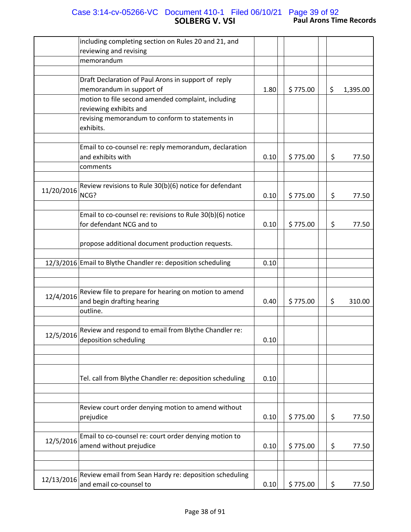## **SOLBERG V. VSI Paul Arons Time Records** Case 3:14-cv-05266-VC Document 410-1 Filed 06/10/21 Page 39 of 92

|            | including completing section on Rules 20 and 21, and                       |      |          |                |
|------------|----------------------------------------------------------------------------|------|----------|----------------|
|            | reviewing and revising                                                     |      |          |                |
|            | memorandum                                                                 |      |          |                |
|            |                                                                            |      |          |                |
|            | Draft Declaration of Paul Arons in support of reply                        |      |          |                |
|            | memorandum in support of                                                   | 1.80 | \$775.00 | \$<br>1,395.00 |
|            | motion to file second amended complaint, including                         |      |          |                |
|            | reviewing exhibits and                                                     |      |          |                |
|            | revising memorandum to conform to statements in<br>exhibits.               |      |          |                |
|            |                                                                            |      |          |                |
|            | Email to co-counsel re: reply memorandum, declaration<br>and exhibits with | 0.10 | \$775.00 | \$<br>77.50    |
|            | comments                                                                   |      |          |                |
|            |                                                                            |      |          |                |
|            | Review revisions to Rule 30(b)(6) notice for defendant                     |      |          |                |
| 11/20/2016 | NCG?                                                                       |      |          | 77.50          |
|            |                                                                            | 0.10 | \$775.00 | \$             |
|            |                                                                            |      |          |                |
|            | Email to co-counsel re: revisions to Rule 30(b)(6) notice                  |      |          |                |
|            | for defendant NCG and to                                                   | 0.10 | \$775.00 | \$<br>77.50    |
|            |                                                                            |      |          |                |
|            | propose additional document production requests.                           |      |          |                |
|            |                                                                            |      |          |                |
|            | 12/3/2016 Email to Blythe Chandler re: deposition scheduling               | 0.10 |          |                |
|            |                                                                            |      |          |                |
|            |                                                                            |      |          |                |
| 12/4/2016  | Review file to prepare for hearing on motion to amend                      |      |          |                |
|            | and begin drafting hearing                                                 | 0.40 | \$775.00 | \$<br>310.00   |
|            | outline.                                                                   |      |          |                |
|            |                                                                            |      |          |                |
|            | Review and respond to email from Blythe Chandler re:                       |      |          |                |
| 12/5/2016  | deposition scheduling                                                      | 0.10 |          |                |
|            |                                                                            |      |          |                |
|            |                                                                            |      |          |                |
|            |                                                                            |      |          |                |
|            | Tel. call from Blythe Chandler re: deposition scheduling                   | 0.10 |          |                |
|            |                                                                            |      |          |                |
|            |                                                                            |      |          |                |
|            | Review court order denying motion to amend without                         |      |          |                |
|            | prejudice                                                                  | 0.10 | \$775.00 | \$<br>77.50    |
|            |                                                                            |      |          |                |
|            | Email to co-counsel re: court order denying motion to                      |      |          |                |
| 12/5/2016  | amend without prejudice                                                    | 0.10 | \$775.00 | \$<br>77.50    |
|            |                                                                            |      |          |                |
|            |                                                                            |      |          |                |
|            | Review email from Sean Hardy re: deposition scheduling                     |      |          |                |
| 12/13/2016 | and email co-counsel to                                                    | 0.10 | \$775.00 | \$<br>77.50    |
|            |                                                                            |      |          |                |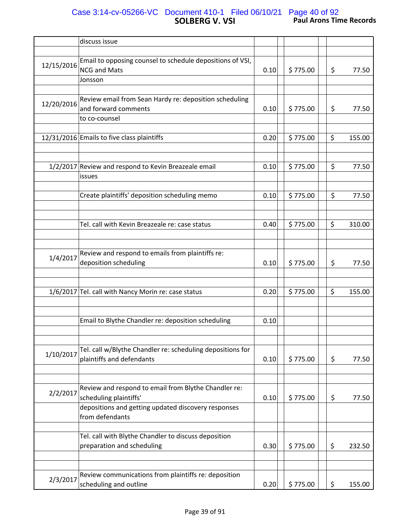# **SOLBERG V. VSI Paul Arons Time Records** Case 3:14-cv-05266-VC Document 410-1 Filed 06/10/21 Page 40 of 92

|            | discuss issue                                              |      |          |              |
|------------|------------------------------------------------------------|------|----------|--------------|
|            |                                                            |      |          |              |
| 12/15/2016 | Email to opposing counsel to schedule depositions of VSI,  |      |          |              |
|            | <b>NCG and Mats</b>                                        | 0.10 | \$775.00 | \$<br>77.50  |
|            | Jonsson                                                    |      |          |              |
|            |                                                            |      |          |              |
|            | Review email from Sean Hardy re: deposition scheduling     |      |          |              |
| 12/20/2016 | and forward comments                                       | 0.10 | \$775.00 | \$<br>77.50  |
|            | to co-counsel                                              |      |          |              |
|            |                                                            |      |          |              |
|            | 12/31/2016 Emails to five class plaintiffs                 | 0.20 | \$775.00 | \$<br>155.00 |
|            |                                                            |      |          |              |
|            |                                                            |      |          |              |
|            | 1/2/2017 Review and respond to Kevin Breazeale email       | 0.10 | \$775.00 | \$<br>77.50  |
|            | issues                                                     |      |          |              |
|            |                                                            |      |          |              |
|            | Create plaintiffs' deposition scheduling memo              | 0.10 | \$775.00 | \$<br>77.50  |
|            |                                                            |      |          |              |
|            |                                                            |      |          |              |
|            |                                                            |      |          |              |
|            | Tel. call with Kevin Breazeale re: case status             | 0.40 | \$775.00 | \$<br>310.00 |
|            |                                                            |      |          |              |
|            |                                                            |      |          |              |
| 1/4/2017   | Review and respond to emails from plaintiffs re:           |      |          |              |
|            | deposition scheduling                                      | 0.10 | \$775.00 | \$<br>77.50  |
|            |                                                            |      |          |              |
|            |                                                            |      |          |              |
|            | 1/6/2017 Tel. call with Nancy Morin re: case status        | 0.20 | \$775.00 | \$<br>155.00 |
|            |                                                            |      |          |              |
|            |                                                            |      |          |              |
|            | Email to Blythe Chandler re: deposition scheduling         | 0.10 |          |              |
|            |                                                            |      |          |              |
|            |                                                            |      |          |              |
|            | Tel. call w/Blythe Chandler re: scheduling depositions for |      |          |              |
| 1/10/2017  | plaintiffs and defendants                                  | 0.10 | \$775.00 | \$<br>77.50  |
|            |                                                            |      |          |              |
|            |                                                            |      |          |              |
|            | Review and respond to email from Blythe Chandler re:       |      |          |              |
| 2/2/2017   | scheduling plaintiffs'                                     |      |          |              |
|            |                                                            | 0.10 | \$775.00 | \$<br>77.50  |
|            | depositions and getting updated discovery responses        |      |          |              |
|            | from defendants                                            |      |          |              |
|            |                                                            |      |          |              |
|            | Tel. call with Blythe Chandler to discuss deposition       |      |          |              |
|            | preparation and scheduling                                 | 0.30 | \$775.00 | \$<br>232.50 |
|            |                                                            |      |          |              |
|            |                                                            |      |          |              |
| 2/3/2017   | Review communications from plaintiffs re: deposition       |      |          |              |
|            | scheduling and outline                                     | 0.20 | \$775.00 | \$<br>155.00 |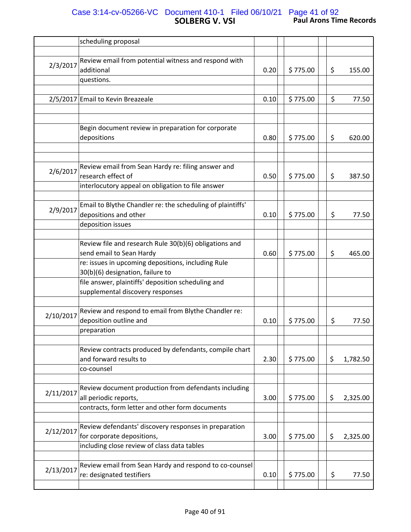# **SOLBERG V. VSI Paul Arons Time Records** Case 3:14-cv-05266-VC Document 410-1 Filed 06/10/21 Page 41 of 92

|           | scheduling proposal                                                            |      |          |    |          |
|-----------|--------------------------------------------------------------------------------|------|----------|----|----------|
|           |                                                                                |      |          |    |          |
|           | Review email from potential witness and respond with                           |      |          |    |          |
| 2/3/2017  | additional                                                                     | 0.20 | \$775.00 | \$ | 155.00   |
|           | questions.                                                                     |      |          |    |          |
|           |                                                                                |      |          |    |          |
|           | 2/5/2017 Email to Kevin Breazeale                                              | 0.10 | \$775.00 | \$ | 77.50    |
|           |                                                                                |      |          |    |          |
|           |                                                                                |      |          |    |          |
|           | Begin document review in preparation for corporate                             |      |          |    |          |
|           | depositions                                                                    | 0.80 | \$775.00 | \$ | 620.00   |
|           |                                                                                |      |          |    |          |
|           |                                                                                |      |          |    |          |
| 2/6/2017  | Review email from Sean Hardy re: filing answer and                             |      |          |    |          |
|           | research effect of                                                             | 0.50 | \$775.00 | \$ | 387.50   |
|           | interlocutory appeal on obligation to file answer                              |      |          |    |          |
|           |                                                                                |      |          |    |          |
| 2/9/2017  | Email to Blythe Chandler re: the scheduling of plaintiffs'                     |      |          |    |          |
|           | depositions and other                                                          | 0.10 | \$775.00 | \$ | 77.50    |
|           | deposition issues                                                              |      |          |    |          |
|           |                                                                                |      |          |    |          |
|           | Review file and research Rule 30(b)(6) obligations and                         |      |          |    |          |
|           | send email to Sean Hardy<br>re: issues in upcoming depositions, including Rule | 0.60 | \$775.00 | \$ | 465.00   |
|           | 30(b)(6) designation, failure to                                               |      |          |    |          |
|           | file answer, plaintiffs' deposition scheduling and                             |      |          |    |          |
|           | supplemental discovery responses                                               |      |          |    |          |
|           |                                                                                |      |          |    |          |
|           | Review and respond to email from Blythe Chandler re:                           |      |          |    |          |
| 2/10/2017 | deposition outline and                                                         | 0.10 | \$775.00 | \$ | 77.50    |
|           | preparation                                                                    |      |          |    |          |
|           |                                                                                |      |          |    |          |
|           | Review contracts produced by defendants, compile chart                         |      |          |    |          |
|           | and forward results to                                                         | 2.30 | \$775.00 | \$ | 1,782.50 |
|           | co-counsel                                                                     |      |          |    |          |
|           |                                                                                |      |          |    |          |
| 2/11/2017 | Review document production from defendants including                           |      |          |    |          |
|           | all periodic reports,                                                          | 3.00 | \$775.00 | \$ | 2,325.00 |
|           | contracts, form letter and other form documents                                |      |          |    |          |
|           |                                                                                |      |          |    |          |
| 2/12/2017 | Review defendants' discovery responses in preparation                          |      |          |    |          |
|           | for corporate depositions,                                                     | 3.00 | \$775.00 | \$ | 2,325.00 |
|           | including close review of class data tables                                    |      |          |    |          |
|           | Review email from Sean Hardy and respond to co-counsel                         |      |          |    |          |
| 2/13/2017 | re: designated testifiers                                                      | 0.10 | \$775.00 | \$ | 77.50    |
|           |                                                                                |      |          |    |          |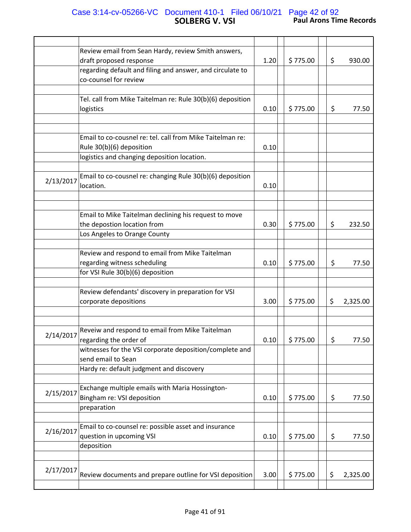## **SOLBERG V. VSI Paul Arons Time Records** Case 3:14-cv-05266-VC Document 410-1 Filed 06/10/21 Page 42 of 92

|           | Review email from Sean Hardy, review Smith answers,        |      |          |    |          |
|-----------|------------------------------------------------------------|------|----------|----|----------|
|           | draft proposed response                                    | 1.20 | \$775.00 | \$ | 930.00   |
|           | regarding default and filing and answer, and circulate to  |      |          |    |          |
|           | co-counsel for review                                      |      |          |    |          |
|           |                                                            |      |          |    |          |
|           | Tel. call from Mike Taitelman re: Rule 30(b)(6) deposition |      |          |    |          |
|           | logistics                                                  | 0.10 | \$775.00 | \$ | 77.50    |
|           |                                                            |      |          |    |          |
|           |                                                            |      |          |    |          |
|           | Email to co-cousnel re: tel. call from Mike Taitelman re:  |      |          |    |          |
|           | Rule 30(b)(6) deposition                                   | 0.10 |          |    |          |
|           | logistics and changing deposition location.                |      |          |    |          |
|           |                                                            |      |          |    |          |
|           | Email to co-cousnel re: changing Rule 30(b)(6) deposition  |      |          |    |          |
| 2/13/2017 | location.                                                  | 0.10 |          |    |          |
|           |                                                            |      |          |    |          |
|           |                                                            |      |          |    |          |
|           | Email to Mike Taitelman declining his request to move      |      |          |    |          |
|           | the depostion location from                                | 0.30 | \$775.00 | \$ | 232.50   |
|           | Los Angeles to Orange County                               |      |          |    |          |
|           |                                                            |      |          |    |          |
|           | Review and respond to email from Mike Taitelman            |      |          |    |          |
|           | regarding witness scheduling                               | 0.10 | \$775.00 | \$ | 77.50    |
|           | for VSI Rule 30(b)(6) deposition                           |      |          |    |          |
|           |                                                            |      |          |    |          |
|           | Review defendants' discovery in preparation for VSI        |      |          |    |          |
|           | corporate depositions                                      | 3.00 | \$775.00 | \$ | 2,325.00 |
|           |                                                            |      |          |    |          |
|           |                                                            |      |          |    |          |
|           | Reveiw and respond to email from Mike Taitelman            |      |          |    |          |
| 2/14/2017 | regarding the order of                                     | 0.10 | \$775.00 | \$ | 77.50    |
|           | witnesses for the VSI corporate deposition/complete and    |      |          |    |          |
|           | send email to Sean                                         |      |          |    |          |
|           | Hardy re: default judgment and discovery                   |      |          |    |          |
|           |                                                            |      |          |    |          |
|           | Exchange multiple emails with Maria Hossington-            |      |          |    |          |
| 2/15/2017 | Bingham re: VSI deposition                                 | 0.10 | \$775.00 | \$ | 77.50    |
|           | preparation                                                |      |          |    |          |
|           |                                                            |      |          |    |          |
|           | Email to co-counsel re: possible asset and insurance       |      |          |    |          |
| 2/16/2017 | question in upcoming VSI                                   | 0.10 | \$775.00 | \$ | 77.50    |
|           | deposition                                                 |      |          |    |          |
|           |                                                            |      |          |    |          |
|           |                                                            |      |          |    |          |
| 2/17/2017 | Review documents and prepare outline for VSI deposition    | 3.00 | \$775.00 | \$ | 2,325.00 |
|           |                                                            |      |          |    |          |
|           |                                                            |      |          |    |          |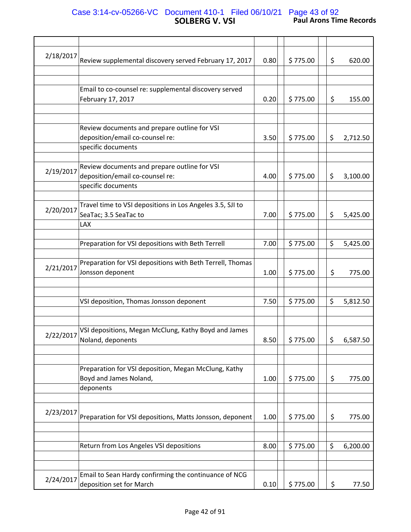## **SOLBERG V. VSI Paul Arons Time Records** Case 3:14-cv-05266-VC Document 410-1 Filed 06/10/21 Page 43 of 92

| 2/18/2017 | Review supplemental discovery served February 17, 2017    | 0.80 | \$775.00 | \$<br>620.00   |
|-----------|-----------------------------------------------------------|------|----------|----------------|
|           |                                                           |      |          |                |
|           |                                                           |      |          |                |
|           |                                                           |      |          |                |
|           | Email to co-counsel re: supplemental discovery served     |      |          |                |
|           | February 17, 2017                                         | 0.20 | \$775.00 | \$<br>155.00   |
|           |                                                           |      |          |                |
|           |                                                           |      |          |                |
|           | Review documents and prepare outline for VSI              |      |          |                |
|           | deposition/email co-counsel re:                           | 3.50 | \$775.00 | \$             |
|           |                                                           |      |          | 2,712.50       |
|           | specific documents                                        |      |          |                |
|           |                                                           |      |          |                |
|           | Review documents and prepare outline for VSI              |      |          |                |
| 2/19/2017 | deposition/email co-counsel re:                           | 4.00 | \$775.00 | \$<br>3,100.00 |
|           | specific documents                                        |      |          |                |
|           |                                                           |      |          |                |
|           |                                                           |      |          |                |
| 2/20/2017 | Travel time to VSI depositions in Los Angeles 3.5, SJI to |      |          |                |
|           | SeaTac; 3.5 SeaTac to                                     | 7.00 | \$775.00 | \$<br>5,425.00 |
|           | <b>LAX</b>                                                |      |          |                |
|           |                                                           |      |          |                |
|           |                                                           |      |          |                |
|           | Preparation for VSI depositions with Beth Terrell         | 7.00 | \$775.00 | \$<br>5,425.00 |
|           |                                                           |      |          |                |
|           | Preparation for VSI depositions with Beth Terrell, Thomas |      |          |                |
| 2/21/2017 | Jonsson deponent                                          | 1.00 | \$775.00 | \$<br>775.00   |
|           |                                                           |      |          |                |
|           |                                                           |      |          |                |
|           |                                                           |      |          |                |
|           | VSI deposition, Thomas Jonsson deponent                   | 7.50 | \$775.00 | \$<br>5,812.50 |
|           |                                                           |      |          |                |
|           |                                                           |      |          |                |
|           | VSI depositions, Megan McClung, Kathy Boyd and James      |      |          |                |
| 2/22/2017 |                                                           |      |          |                |
|           | Noland, deponents                                         | 8.50 | \$775.00 | \$<br>6,587.50 |
|           |                                                           |      |          |                |
|           |                                                           |      |          |                |
|           | Preparation for VSI deposition, Megan McClung, Kathy      |      |          |                |
|           | Boyd and James Noland,                                    | 1.00 | \$775.00 | \$<br>775.00   |
|           |                                                           |      |          |                |
|           | deponents                                                 |      |          |                |
|           |                                                           |      |          |                |
|           |                                                           |      |          |                |
| 2/23/2017 | Preparation for VSI depositions, Matts Jonsson, deponent  | 1.00 | \$775.00 | \$<br>775.00   |
|           |                                                           |      |          |                |
|           |                                                           |      |          |                |
|           |                                                           |      |          |                |
|           | Return from Los Angeles VSI depositions                   | 8.00 | \$775.00 | \$<br>6,200.00 |
|           |                                                           |      |          |                |
|           |                                                           |      |          |                |
|           | Email to Sean Hardy confirming the continuance of NCG     |      |          |                |
| 2/24/2017 |                                                           |      |          |                |
|           | deposition set for March                                  | 0.10 | \$775.00 | \$<br>77.50    |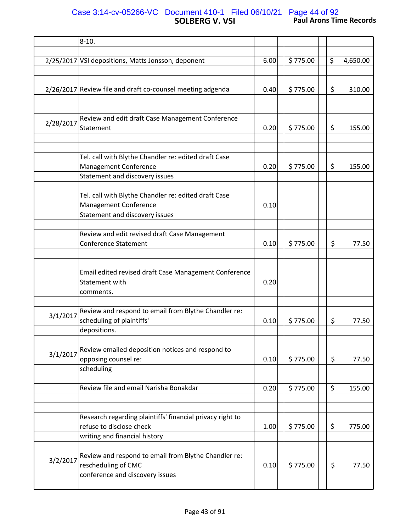# **SOLBERG V. VSI Paul Arons Time Records** Case 3:14-cv-05266-VC Document 410-1 Filed 06/10/21 Page 44 of 92

|           | $8-10.$                                                        |      |          |     |          |
|-----------|----------------------------------------------------------------|------|----------|-----|----------|
|           | 2/25/2017 VSI depositions, Matts Jonsson, deponent             | 6.00 | \$775.00 | \$  | 4,650.00 |
|           |                                                                |      |          |     |          |
|           |                                                                |      |          |     |          |
|           | 2/26/2017 Review file and draft co-counsel meeting adgenda     | 0.40 | \$775.00 | \$  | 310.00   |
|           |                                                                |      |          |     |          |
|           |                                                                |      |          |     |          |
| 2/28/2017 | Review and edit draft Case Management Conference               |      |          |     |          |
|           | Statement                                                      | 0.20 | \$775.00 | \$. | 155.00   |
|           |                                                                |      |          |     |          |
|           |                                                                |      |          |     |          |
|           | Tel. call with Blythe Chandler re: edited draft Case           |      |          |     |          |
|           | <b>Management Conference</b><br>Statement and discovery issues | 0.20 | \$775.00 | \$  | 155.00   |
|           |                                                                |      |          |     |          |
|           | Tel. call with Blythe Chandler re: edited draft Case           |      |          |     |          |
|           | Management Conference                                          | 0.10 |          |     |          |
|           | Statement and discovery issues                                 |      |          |     |          |
|           |                                                                |      |          |     |          |
|           | Review and edit revised draft Case Management                  |      |          |     |          |
|           | <b>Conference Statement</b>                                    | 0.10 | \$775.00 | \$  | 77.50    |
|           |                                                                |      |          |     |          |
|           |                                                                |      |          |     |          |
|           | Email edited revised draft Case Management Conference          |      |          |     |          |
|           | Statement with                                                 | 0.20 |          |     |          |
|           | comments.                                                      |      |          |     |          |
|           |                                                                |      |          |     |          |
| 3/1/2017  | Review and respond to email from Blythe Chandler re:           |      |          |     |          |
|           | scheduling of plaintiffs'<br>depositions.                      | 0.10 | \$775.00 | \$  | 77.50    |
|           |                                                                |      |          |     |          |
|           | Review emailed deposition notices and respond to               |      |          |     |          |
| 3/1/2017  | opposing counsel re:                                           | 0.10 | \$775.00 | \$  | 77.50    |
|           | scheduling                                                     |      |          |     |          |
|           |                                                                |      |          |     |          |
|           | Review file and email Narisha Bonakdar                         | 0.20 | \$775.00 | \$  | 155.00   |
|           |                                                                |      |          |     |          |
|           |                                                                |      |          |     |          |
|           | Research regarding plaintiffs' financial privacy right to      |      |          |     |          |
|           | refuse to disclose check                                       | 1.00 | \$775.00 | \$  | 775.00   |
|           | writing and financial history                                  |      |          |     |          |
|           |                                                                |      |          |     |          |
| 3/2/2017  | Review and respond to email from Blythe Chandler re:           |      |          |     |          |
|           | rescheduling of CMC                                            | 0.10 | \$775.00 | \$  | 77.50    |
|           | conference and discovery issues                                |      |          |     |          |
|           |                                                                |      |          |     |          |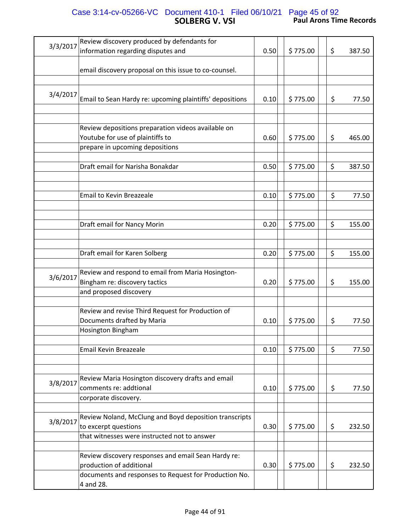# **SOLBERG V. VSI Paul Arons Time Records** Case 3:14-cv-05266-VC Document 410-1 Filed 06/10/21 Page 45 of 92

| 3/3/2017 | Review discovery produced by defendants for              |      |          |     |        |
|----------|----------------------------------------------------------|------|----------|-----|--------|
|          | information regarding disputes and                       | 0.50 | \$775.00 | \$  | 387.50 |
|          |                                                          |      |          |     |        |
|          | email discovery proposal on this issue to co-counsel.    |      |          |     |        |
|          |                                                          |      |          |     |        |
|          |                                                          |      |          |     |        |
| 3/4/2017 |                                                          |      |          |     |        |
|          | Email to Sean Hardy re: upcoming plaintiffs' depositions | 0.10 | \$775.00 | \$  | 77.50  |
|          |                                                          |      |          |     |        |
|          |                                                          |      |          |     |        |
|          | Review depositions preparation videos available on       |      |          |     |        |
|          | Youtube for use of plaintiffs to                         | 0.60 | \$775.00 | \$  | 465.00 |
|          |                                                          |      |          |     |        |
|          | prepare in upcoming depositions                          |      |          |     |        |
|          |                                                          |      |          |     |        |
|          | Draft email for Narisha Bonakdar                         | 0.50 | \$775.00 | \$  | 387.50 |
|          |                                                          |      |          |     |        |
|          |                                                          |      |          |     |        |
|          | <b>Email to Kevin Breazeale</b>                          | 0.10 | \$775.00 | \$  | 77.50  |
|          |                                                          |      |          |     |        |
|          |                                                          |      |          |     |        |
|          |                                                          |      |          |     |        |
|          | Draft email for Nancy Morin                              | 0.20 | \$775.00 | \$  | 155.00 |
|          |                                                          |      |          |     |        |
|          |                                                          |      |          |     |        |
|          |                                                          |      |          | \$  |        |
|          | Draft email for Karen Solberg                            | 0.20 | \$775.00 |     | 155.00 |
|          |                                                          |      |          |     |        |
| 3/6/2017 | Review and respond to email from Maria Hosington-        |      |          |     |        |
|          | Bingham re: discovery tactics                            | 0.20 | \$775.00 | \$  | 155.00 |
|          | and proposed discovery                                   |      |          |     |        |
|          |                                                          |      |          |     |        |
|          | Review and revise Third Request for Production of        |      |          |     |        |
|          |                                                          |      |          |     |        |
|          | Documents drafted by Maria                               | 0.10 | \$775.00 | \$  | 77.50  |
|          | Hosington Bingham                                        |      |          |     |        |
|          |                                                          |      |          |     |        |
|          | Email Kevin Breazeale                                    | 0.10 | \$775.00 | \$  | 77.50  |
|          |                                                          |      |          |     |        |
|          |                                                          |      |          |     |        |
|          |                                                          |      |          |     |        |
| 3/8/2017 | Review Maria Hosington discovery drafts and email        |      |          |     |        |
|          | comments re: addtional                                   | 0.10 | \$775.00 | \$  | 77.50  |
|          | corporate discovery.                                     |      |          |     |        |
|          |                                                          |      |          |     |        |
|          | Review Noland, McClung and Boyd deposition transcripts   |      |          |     |        |
| 3/8/2017 |                                                          |      |          |     |        |
|          | to excerpt questions                                     | 0.30 | \$775.00 | \$  | 232.50 |
|          | that witnesses were instructed not to answer             |      |          |     |        |
|          |                                                          |      |          |     |        |
|          | Review discovery responses and email Sean Hardy re:      |      |          |     |        |
|          | production of additional                                 | 0.30 | \$775.00 | \$. | 232.50 |
|          | documents and responses to Request for Production No.    |      |          |     |        |
|          |                                                          |      |          |     |        |
|          | 4 and 28.                                                |      |          |     |        |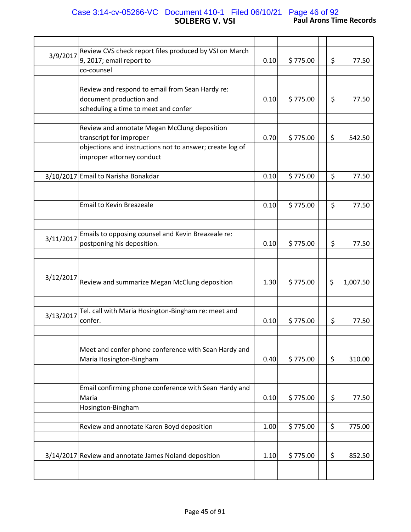# **SOLBERG V. VSI Paul Arons Time Records** Case 3:14-cv-05266-VC Document 410-1 Filed 06/10/21 Page 46 of 92

| 3/9/2017  | Review CVS check report files produced by VSI on March   |      |          |                |
|-----------|----------------------------------------------------------|------|----------|----------------|
|           | 9, 2017; email report to                                 | 0.10 | \$775.00 | \$<br>77.50    |
|           | co-counsel                                               |      |          |                |
|           |                                                          |      |          |                |
|           | Review and respond to email from Sean Hardy re:          |      |          |                |
|           | document production and                                  | 0.10 | \$775.00 | \$<br>77.50    |
|           | scheduling a time to meet and confer                     |      |          |                |
|           |                                                          |      |          |                |
|           |                                                          |      |          |                |
|           | Review and annotate Megan McClung deposition             |      |          |                |
|           | transcript for improper                                  | 0.70 | \$775.00 | \$<br>542.50   |
|           | objections and instructions not to answer; create log of |      |          |                |
|           | improper attorney conduct                                |      |          |                |
|           |                                                          |      |          |                |
|           | 3/10/2017 Email to Narisha Bonakdar                      | 0.10 | \$775.00 | \$<br>77.50    |
|           |                                                          |      |          |                |
|           |                                                          |      |          |                |
|           |                                                          |      |          |                |
|           | <b>Email to Kevin Breazeale</b>                          | 0.10 | \$775.00 | \$<br>77.50    |
|           |                                                          |      |          |                |
|           |                                                          |      |          |                |
|           | Emails to opposing counsel and Kevin Breazeale re:       |      |          |                |
| 3/11/2017 | postponing his deposition.                               | 0.10 | \$775.00 | \$<br>77.50    |
|           |                                                          |      |          |                |
|           |                                                          |      |          |                |
|           |                                                          |      |          |                |
| 3/12/2017 |                                                          |      |          |                |
|           | Review and summarize Megan McClung deposition            | 1.30 | \$775.00 | \$<br>1,007.50 |
|           |                                                          |      |          |                |
|           |                                                          |      |          |                |
|           | Tel. call with Maria Hosington-Bingham re: meet and      |      |          |                |
| 3/13/2017 | confer.                                                  | 0.10 | \$775.00 | \$<br>77.50    |
|           |                                                          |      |          |                |
|           |                                                          |      |          |                |
|           | Meet and confer phone conference with Sean Hardy and     |      |          |                |
|           |                                                          |      |          |                |
|           | Maria Hosington-Bingham                                  | 0.40 | \$775.00 | \$<br>310.00   |
|           |                                                          |      |          |                |
|           |                                                          |      |          |                |
|           | Email confirming phone conference with Sean Hardy and    |      |          |                |
|           | Maria                                                    | 0.10 | \$775.00 | \$<br>77.50    |
|           | Hosington-Bingham                                        |      |          |                |
|           |                                                          |      |          |                |
|           | Review and annotate Karen Boyd deposition                | 1.00 | \$775.00 | \$<br>775.00   |
|           |                                                          |      |          |                |
|           |                                                          |      |          |                |
|           |                                                          |      |          |                |
|           | 3/14/2017 Review and annotate James Noland deposition    | 1.10 | \$775.00 | \$<br>852.50   |
|           |                                                          |      |          |                |
|           |                                                          |      |          |                |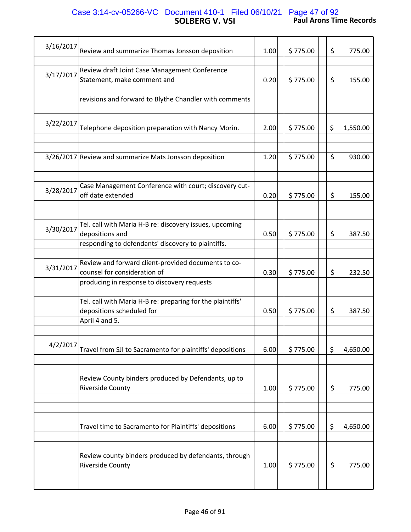# **SOLBERG V. VSI Paul Arons Time Records** Case 3:14-cv-05266-VC Document 410-1 Filed 06/10/21 Page 47 of 92

| 3/16/2017 | Review and summarize Thomas Jonsson deposition                                                                                     | 1.00 | \$775.00 | \$<br>775.00   |
|-----------|------------------------------------------------------------------------------------------------------------------------------------|------|----------|----------------|
| 3/17/2017 | Review draft Joint Case Management Conference<br>Statement, make comment and                                                       | 0.20 | \$775.00 | \$<br>155.00   |
|           | revisions and forward to Blythe Chandler with comments                                                                             |      |          |                |
| 3/22/2017 | Telephone deposition preparation with Nancy Morin.                                                                                 | 2.00 | \$775.00 | \$<br>1,550.00 |
|           | 3/26/2017 Review and summarize Mats Jonsson deposition                                                                             | 1.20 | \$775.00 | \$<br>930.00   |
| 3/28/2017 | Case Management Conference with court; discovery cut-<br>off date extended                                                         | 0.20 | \$775.00 | \$<br>155.00   |
| 3/30/2017 | Tel. call with Maria H-B re: discovery issues, upcoming<br>depositions and<br>responding to defendants' discovery to plaintiffs.   | 0.50 | \$775.00 | \$<br>387.50   |
| 3/31/2017 | Review and forward client-provided documents to co-<br>counsel for consideration of<br>producing in response to discovery requests | 0.30 | \$775.00 | \$<br>232.50   |
|           | Tel. call with Maria H-B re: preparing for the plaintiffs'<br>depositions scheduled for<br>April 4 and 5.                          | 0.50 | \$775.00 | \$<br>387.50   |
| 4/2/2017  | Travel from SJI to Sacramento for plaintiffs' depositions                                                                          | 6.00 | \$775.00 | \$<br>4,650.00 |
|           | Review County binders produced by Defendants, up to<br><b>Riverside County</b>                                                     | 1.00 | \$775.00 | \$<br>775.00   |
|           | Travel time to Sacramento for Plaintiffs' depositions                                                                              | 6.00 | \$775.00 | \$<br>4,650.00 |
|           | Review county binders produced by defendants, through<br><b>Riverside County</b>                                                   | 1.00 | \$775.00 | \$<br>775.00   |
|           |                                                                                                                                    |      |          |                |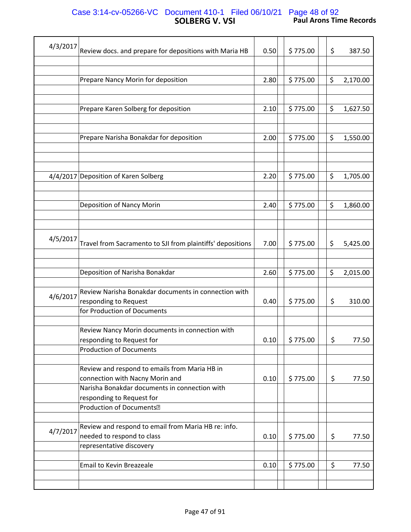# **SOLBERG V. VSI Paul Arons Time Records** Case 3:14-cv-05266-VC Document 410-1 Filed 06/10/21 Page 48 of 92

| 4/3/2017 | Review docs. and prepare for depositions with Maria HB     | 0.50 | \$775.00 | \$<br>387.50   |
|----------|------------------------------------------------------------|------|----------|----------------|
|          |                                                            |      |          |                |
|          |                                                            |      |          |                |
|          | Prepare Nancy Morin for deposition                         | 2.80 | \$775.00 | \$<br>2,170.00 |
|          |                                                            |      |          |                |
|          |                                                            |      |          |                |
|          | Prepare Karen Solberg for deposition                       | 2.10 | \$775.00 | \$<br>1,627.50 |
|          |                                                            |      |          |                |
|          |                                                            |      |          |                |
|          | Prepare Narisha Bonakdar for deposition                    | 2.00 | \$775.00 | \$<br>1,550.00 |
|          |                                                            |      |          |                |
|          |                                                            |      |          |                |
|          |                                                            |      |          |                |
|          | 4/4/2017 Deposition of Karen Solberg                       | 2.20 | \$775.00 | \$<br>1,705.00 |
|          |                                                            |      |          |                |
|          | Deposition of Nancy Morin                                  | 2.40 | \$775.00 | \$<br>1,860.00 |
|          |                                                            |      |          |                |
|          |                                                            |      |          |                |
|          |                                                            |      |          |                |
| 4/5/2017 | Travel from Sacramento to SJI from plaintiffs' depositions | 7.00 | \$775.00 | \$<br>5,425.00 |
|          |                                                            |      |          |                |
|          |                                                            |      |          |                |
|          | Deposition of Narisha Bonakdar                             | 2.60 | \$775.00 | \$<br>2,015.00 |
|          |                                                            |      |          |                |
|          | Review Narisha Bonakdar documents in connection with       |      |          |                |
| 4/6/2017 | responding to Request                                      | 0.40 | \$775.00 | \$<br>310.00   |
|          | for Production of Documents                                |      |          |                |
|          |                                                            |      |          |                |
|          | Review Nancy Morin documents in connection with            |      |          |                |
|          | responding to Request for                                  | 0.10 | \$775.00 | \$<br>77.50    |
|          | <b>Production of Documents</b>                             |      |          |                |
|          |                                                            |      |          |                |
|          | Review and respond to emails from Maria HB in              |      |          |                |
|          | connection with Nacny Morin and                            | 0.10 | \$775.00 | \$<br>77.50    |
|          | Narisha Bonakdar documents in connection with              |      |          |                |
|          | responding to Request for                                  |      |          |                |
|          | Production of Documents <sup>[2]</sup>                     |      |          |                |
|          |                                                            |      |          |                |
| 4/7/2017 | Review and respond to email from Maria HB re: info.        |      |          |                |
|          | needed to respond to class                                 | 0.10 | \$775.00 | \$<br>77.50    |
|          | representative discovery                                   |      |          |                |
|          |                                                            |      |          | \$             |
|          | Email to Kevin Breazeale                                   | 0.10 | \$775.00 | 77.50          |
|          |                                                            |      |          |                |
|          |                                                            |      |          |                |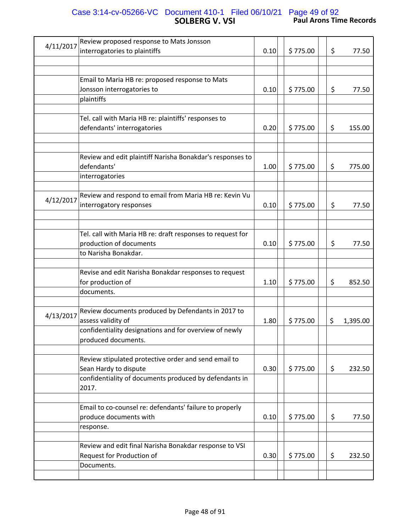# **SOLBERG V. VSI Paul Arons Time Records** Case 3:14-cv-05266-VC Document 410-1 Filed 06/10/21 Page 49 of 92

| 4/11/2017 | Review proposed response to Mats Jonsson<br>interrogatories to plaintiffs                                                                                 | 0.10 | \$775.00 | \$ | 77.50    |
|-----------|-----------------------------------------------------------------------------------------------------------------------------------------------------------|------|----------|----|----------|
|           |                                                                                                                                                           |      |          |    |          |
|           | Email to Maria HB re: proposed response to Mats                                                                                                           |      |          |    |          |
|           | Jonsson interrogatories to                                                                                                                                | 0.10 | \$775.00 | \$ | 77.50    |
|           | plaintiffs                                                                                                                                                |      |          |    |          |
|           |                                                                                                                                                           |      |          |    |          |
|           | Tel. call with Maria HB re: plaintiffs' responses to                                                                                                      |      |          |    |          |
|           | defendants' interrogatories                                                                                                                               | 0.20 | \$775.00 | \$ | 155.00   |
|           |                                                                                                                                                           |      |          |    |          |
|           | Review and edit plaintiff Narisha Bonakdar's responses to<br>defendants'<br>interrogatories                                                               | 1.00 | \$775.00 | \$ | 775.00   |
|           |                                                                                                                                                           |      |          |    |          |
|           | Review and respond to email from Maria HB re: Kevin Vu                                                                                                    |      |          |    |          |
| 4/12/2017 | interrogatory responses                                                                                                                                   | 0.10 | \$775.00 | \$ | 77.50    |
|           |                                                                                                                                                           |      |          |    |          |
|           |                                                                                                                                                           |      |          |    |          |
|           | Tel. call with Maria HB re: draft responses to request for                                                                                                |      |          |    |          |
|           | production of documents                                                                                                                                   | 0.10 | \$775.00 | \$ | 77.50    |
|           | to Narisha Bonakdar.                                                                                                                                      |      |          |    |          |
|           |                                                                                                                                                           |      |          |    |          |
|           | Revise and edit Narisha Bonakdar responses to request                                                                                                     |      |          |    |          |
|           | for production of                                                                                                                                         | 1.10 | \$775.00 | \$ | 852.50   |
|           | documents.                                                                                                                                                |      |          |    |          |
| 4/13/2017 | Review documents produced by Defendants in 2017 to<br>assess validity of<br>confidentiality designations and for overview of newly<br>produced documents. | 1.80 | \$775.00 | \$ | 1,395.00 |
|           | Review stipulated protective order and send email to                                                                                                      |      |          |    |          |
|           | Sean Hardy to dispute                                                                                                                                     | 0.30 | \$775.00 | \$ | 232.50   |
|           | confidentiality of documents produced by defendants in<br>2017.                                                                                           |      |          |    |          |
|           | Email to co-counsel re: defendants' failure to properly                                                                                                   |      |          |    |          |
|           | produce documents with                                                                                                                                    | 0.10 | \$775.00 | \$ | 77.50    |
|           | response.                                                                                                                                                 |      |          |    |          |
|           |                                                                                                                                                           |      |          |    |          |
|           | Review and edit final Narisha Bonakdar response to VSI                                                                                                    |      |          |    |          |
|           | Request for Production of                                                                                                                                 | 0.30 | \$775.00 | \$ | 232.50   |
|           | Documents.                                                                                                                                                |      |          |    |          |
|           |                                                                                                                                                           |      |          |    |          |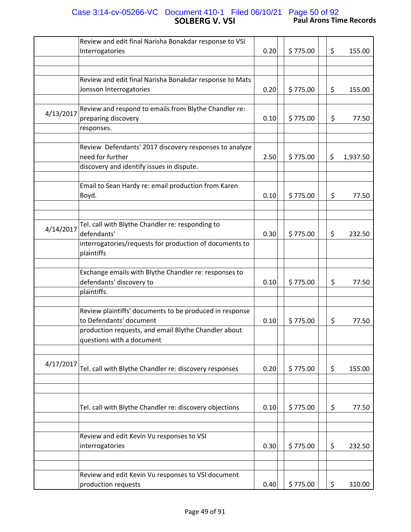# **SOLBERG V. VSI Paul Arons Time Records** Case 3:14-cv-05266-VC Document 410-1 Filed 06/10/21 Page 50 of 92

|           | Review and edit final Narisha Bonakdar response to VSI<br>Interrogatories                                               | 0.20 | \$775.00 | \$  | 155.00   |
|-----------|-------------------------------------------------------------------------------------------------------------------------|------|----------|-----|----------|
|           |                                                                                                                         |      |          |     |          |
|           |                                                                                                                         |      |          |     |          |
|           | Review and edit final Narisha Bonakdar response to Mats<br>Jonsson Interrogatories                                      | 0.20 | \$775.00 | \$  | 155.00   |
|           |                                                                                                                         |      |          |     |          |
| 4/13/2017 | Review and respond to emails from Blythe Chandler re:<br>preparing discovery                                            | 0.10 | \$775.00 | \$  | 77.50    |
|           | responses.                                                                                                              |      |          |     |          |
|           |                                                                                                                         |      |          |     |          |
|           | Review Defendants' 2017 discovery responses to analyze<br>need for further<br>discovery and identify issues in dispute. | 2.50 | \$775.00 | \$  | 1,937.50 |
|           |                                                                                                                         |      |          |     |          |
|           | Email to Sean Hardy re: email production from Karen<br>Boyd.                                                            | 0.10 | \$775.00 | \$  | 77.50    |
|           |                                                                                                                         |      |          |     |          |
|           |                                                                                                                         |      |          |     |          |
| 4/14/2017 | Tel. call with Blythe Chandler re: responding to<br>defendants'                                                         | 0.30 | \$775.00 | \$  | 232.50   |
|           | interrogatories/requests for production of documents to<br>plaintiffs                                                   |      |          |     |          |
|           | Exchange emails with Blythe Chandler re: responses to<br>defendants' discovery to<br>plaintiffs.                        | 0.10 | \$775.00 | \$  | 77.50    |
|           | Review plaintiffs' documents to be produced in response                                                                 |      |          |     |          |
|           | to Defendants' document                                                                                                 | 0.10 | \$775.00 | \$  | 77.50    |
|           | production requests, and email Blythe Chandler about<br>questions with a document                                       |      |          |     |          |
|           |                                                                                                                         |      |          |     |          |
| 4/17/2017 | Tel. call with Blythe Chandler re: discovery responses                                                                  | 0.20 | \$775.00 | \$. | 155.00   |
|           |                                                                                                                         |      |          |     |          |
|           | Tel. call with Blythe Chandler re: discovery objections                                                                 | 0.10 | \$775.00 | \$  | 77.50    |
|           | Review and edit Kevin Vu responses to VSI                                                                               |      |          |     |          |
|           | interrogatories                                                                                                         | 0.30 | \$775.00 | \$  | 232.50   |
|           |                                                                                                                         |      |          |     |          |
|           |                                                                                                                         |      |          |     |          |
|           | Review and edit Kevin Vu responses to VSI document                                                                      |      |          |     |          |
|           | production requests                                                                                                     | 0.40 | \$775.00 | \$  | 310.00   |
|           |                                                                                                                         |      |          |     |          |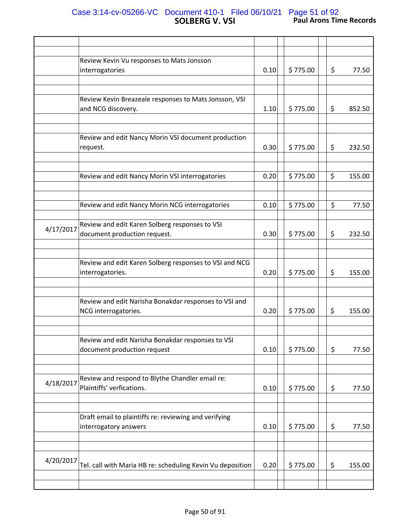# **SOLBERG V. VSI Paul Arons Time Records** Case 3:14-cv-05266-VC Document 410-1 Filed 06/10/21 Page 51 of 92

|           | Review Kevin Vu responses to Mats Jonsson<br>interrogatories                   | 0.10 | \$775.00 | \$<br>77.50  |
|-----------|--------------------------------------------------------------------------------|------|----------|--------------|
|           |                                                                                |      |          |              |
|           |                                                                                |      |          |              |
|           | Review Kevin Breazeale responses to Mats Jonsson, VSI<br>and NCG discovery.    | 1.10 | \$775.00 | \$<br>852.50 |
|           |                                                                                |      |          |              |
|           | Review and edit Nancy Morin VSI document production<br>request.                | 0.30 | \$775.00 | \$<br>232.50 |
|           |                                                                                |      |          |              |
|           | Review and edit Nancy Morin VSI interrogatories                                | 0.20 | \$775.00 | \$<br>155.00 |
|           |                                                                                |      |          |              |
|           | Review and edit Nancy Morin NCG interrogatories                                | 0.10 | \$775.00 | \$<br>77.50  |
|           |                                                                                |      |          |              |
| 4/17/2017 | Review and edit Karen Solberg responses to VSI<br>document production request. | 0.30 | \$775.00 | \$<br>232.50 |
|           |                                                                                |      |          |              |
|           | Review and edit Karen Solberg responses to VSI and NCG<br>interrogatories.     | 0.20 | \$775.00 | \$<br>155.00 |
|           |                                                                                |      |          |              |
|           | Review and edit Narisha Bonakdar responses to VSI and<br>NCG interrogatories.  | 0.20 | \$775.00 | \$<br>155.00 |
|           |                                                                                |      |          |              |
|           | Review and edit Narisha Bonakdar responses to VSI                              |      |          |              |
|           | document production request                                                    | 0.10 | \$775.00 | \$<br>77.50  |
|           |                                                                                |      |          |              |
| 4/18/2017 | Review and respond to Blythe Chandler email re:                                |      |          |              |
|           | Plaintiffs' verfications.                                                      | 0.10 | \$775.00 | \$<br>77.50  |
|           |                                                                                |      |          |              |
|           |                                                                                |      |          |              |
|           | Draft email to plaintiffs re: reviewing and verifying                          |      |          |              |
|           | interrogatory answers                                                          | 0.10 | \$775.00 | \$<br>77.50  |
|           |                                                                                |      |          |              |
|           |                                                                                |      |          |              |
| 4/20/2017 | Tel. call with Maria HB re: scheduling Kevin Vu deposition                     | 0.20 | \$775.00 | \$<br>155.00 |
|           |                                                                                |      |          |              |
|           |                                                                                |      |          |              |
|           |                                                                                |      |          |              |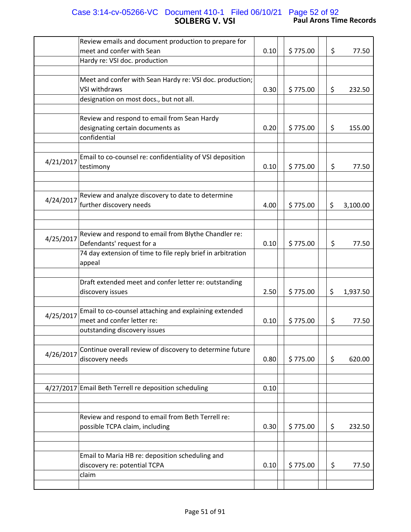## **SOLBERG V. VSI Paul Arons Time Records** Case 3:14-cv-05266-VC Document 410-1 Filed 06/10/21 Page 52 of 92

|           | Review emails and document production to prepare for                                            |      |          |    |          |
|-----------|-------------------------------------------------------------------------------------------------|------|----------|----|----------|
|           | meet and confer with Sean                                                                       |      |          |    |          |
|           |                                                                                                 | 0.10 | \$775.00 | \$ | 77.50    |
|           | Hardy re: VSI doc. production                                                                   |      |          |    |          |
|           | Meet and confer with Sean Hardy re: VSI doc. production;                                        |      |          |    |          |
|           | <b>VSI withdraws</b>                                                                            | 0.30 | \$775.00 | \$ | 232.50   |
|           | designation on most docs., but not all.                                                         |      |          |    |          |
|           |                                                                                                 |      |          |    |          |
|           | Review and respond to email from Sean Hardy<br>designating certain documents as<br>confidential | 0.20 | \$775.00 | \$ | 155.00   |
|           |                                                                                                 |      |          |    |          |
| 4/21/2017 | Email to co-counsel re: confidentiality of VSI deposition<br>testimony                          | 0.10 | \$775.00 | \$ | 77.50    |
|           |                                                                                                 |      |          |    |          |
|           | Review and analyze discovery to date to determine                                               |      |          |    |          |
| 4/24/2017 |                                                                                                 |      |          |    |          |
|           | further discovery needs                                                                         | 4.00 | \$775.00 | \$ | 3,100.00 |
|           |                                                                                                 |      |          |    |          |
|           |                                                                                                 |      |          |    |          |
| 4/25/2017 | Review and respond to email from Blythe Chandler re:                                            |      |          |    |          |
|           | Defendants' request for a                                                                       | 0.10 | \$775.00 | \$ | 77.50    |
|           | 74 day extension of time to file reply brief in arbitration                                     |      |          |    |          |
|           | appeal                                                                                          |      |          |    |          |
|           |                                                                                                 |      |          |    |          |
|           | Draft extended meet and confer letter re: outstanding                                           |      |          |    |          |
|           | discovery issues                                                                                | 2.50 | \$775.00 | \$ | 1,937.50 |
|           |                                                                                                 |      |          |    |          |
|           | Email to co-counsel attaching and explaining extended                                           |      |          |    |          |
| 4/25/2017 | meet and confer letter re:                                                                      | 0.10 | \$775.00 | \$ | 77.50    |
|           | outstanding discovery issues                                                                    |      |          |    |          |
|           |                                                                                                 |      |          |    |          |
|           | Continue overall review of discovery to determine future                                        |      |          |    |          |
| 4/26/2017 | discovery needs                                                                                 | 0.80 | \$775.00 | \$ | 620.00   |
|           |                                                                                                 |      |          |    |          |
|           |                                                                                                 |      |          |    |          |
|           | 4/27/2017 Email Beth Terrell re deposition scheduling                                           | 0.10 |          |    |          |
|           |                                                                                                 |      |          |    |          |
|           |                                                                                                 |      |          |    |          |
|           |                                                                                                 |      |          |    |          |
|           | Review and respond to email from Beth Terrell re:                                               |      |          |    |          |
|           | possible TCPA claim, including                                                                  | 0.30 | \$775.00 | \$ | 232.50   |
|           |                                                                                                 |      |          |    |          |
|           |                                                                                                 |      |          |    |          |
|           | Email to Maria HB re: deposition scheduling and                                                 |      |          |    |          |
|           | discovery re: potential TCPA                                                                    | 0.10 | \$775.00 | \$ | 77.50    |
|           | claim                                                                                           |      |          |    |          |
|           |                                                                                                 |      |          |    |          |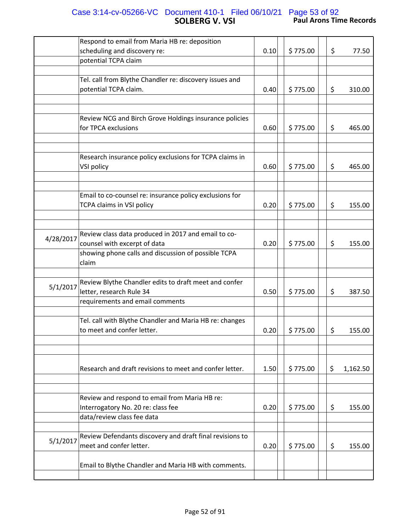## **SOLBERG V. VSI Paul Arons Time Records** Case 3:14-cv-05266-VC Document 410-1 Filed 06/10/21 Page 53 of 92

|           | Respond to email from Maria HB re: deposition            |      |          |                |
|-----------|----------------------------------------------------------|------|----------|----------------|
|           | scheduling and discovery re:                             | 0.10 | \$775.00 | \$<br>77.50    |
|           | potential TCPA claim                                     |      |          |                |
|           |                                                          |      |          |                |
|           | Tel. call from Blythe Chandler re: discovery issues and  |      |          |                |
|           | potential TCPA claim.                                    | 0.40 | \$775.00 | \$<br>310.00   |
|           |                                                          |      |          |                |
|           |                                                          |      |          |                |
|           | Review NCG and Birch Grove Holdings insurance policies   |      |          |                |
|           | for TPCA exclusions                                      | 0.60 | \$775.00 | \$<br>465.00   |
|           |                                                          |      |          |                |
|           |                                                          |      |          |                |
|           | Research insurance policy exclusions for TCPA claims in  |      |          |                |
|           | VSI policy                                               | 0.60 | \$775.00 | \$<br>465.00   |
|           |                                                          |      |          |                |
|           | Email to co-counsel re: insurance policy exclusions for  |      |          |                |
|           | TCPA claims in VSI policy                                | 0.20 | \$775.00 | \$<br>155.00   |
|           |                                                          |      |          |                |
|           |                                                          |      |          |                |
|           | Review class data produced in 2017 and email to co-      |      |          |                |
| 4/28/2017 | counsel with excerpt of data                             | 0.20 | \$775.00 | \$<br>155.00   |
|           | showing phone calls and discussion of possible TCPA      |      |          |                |
|           | claim                                                    |      |          |                |
|           |                                                          |      |          |                |
|           | Review Blythe Chandler edits to draft meet and confer    |      |          |                |
| 5/1/2017  | letter, research Rule 34                                 | 0.50 | \$775.00 | \$<br>387.50   |
|           | requirements and email comments                          |      |          |                |
|           |                                                          |      |          |                |
|           | Tel. call with Blythe Chandler and Maria HB re: changes  |      |          |                |
|           | to meet and confer letter.                               | 0.20 | \$775.00 | \$<br>155.00   |
|           |                                                          |      |          |                |
|           |                                                          |      |          |                |
|           |                                                          |      |          |                |
|           | Research and draft revisions to meet and confer letter.  | 1.50 | \$775.00 | \$<br>1,162.50 |
|           |                                                          |      |          |                |
|           |                                                          |      |          |                |
|           | Review and respond to email from Maria HB re:            |      |          |                |
|           | Interrogatory No. 20 re: class fee                       | 0.20 | \$775.00 | \$<br>155.00   |
|           | data/review class fee data                               |      |          |                |
|           |                                                          |      |          |                |
| 5/1/2017  | Review Defendants discovery and draft final revisions to |      |          |                |
|           | meet and confer letter.                                  | 0.20 | \$775.00 | \$<br>155.00   |
|           |                                                          |      |          |                |
|           | Email to Blythe Chandler and Maria HB with comments.     |      |          |                |
|           |                                                          |      |          |                |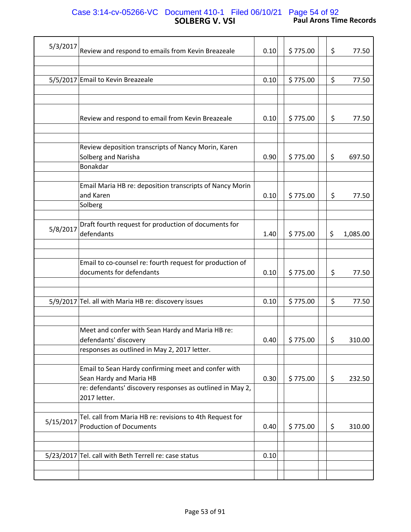# **SOLBERG V. VSI Paul Arons Time Records** Case 3:14-cv-05266-VC Document 410-1 Filed 06/10/21 Page 54 of 92

| 5/3/2017  | Review and respond to emails from Kevin Breazeale                                          | 0.10 | \$775.00 | \$<br>77.50    |
|-----------|--------------------------------------------------------------------------------------------|------|----------|----------------|
|           |                                                                                            |      |          |                |
|           | 5/5/2017 Email to Kevin Breazeale                                                          | 0.10 | \$775.00 | \$<br>77.50    |
|           |                                                                                            |      |          |                |
|           | Review and respond to email from Kevin Breazeale                                           | 0.10 | \$775.00 | \$<br>77.50    |
|           |                                                                                            |      |          |                |
|           | Review deposition transcripts of Nancy Morin, Karen<br>Solberg and Narisha<br>Bonakdar     | 0.90 | \$775.00 | \$<br>697.50   |
|           | Email Maria HB re: deposition transcripts of Nancy Morin<br>and Karen                      | 0.10 | \$775.00 | \$<br>77.50    |
|           | Solberg                                                                                    |      |          |                |
| 5/8/2017  | Draft fourth request for production of documents for<br>defendants                         | 1.40 | \$775.00 | \$<br>1,085.00 |
|           | Email to co-counsel re: fourth request for production of<br>documents for defendants       | 0.10 | \$775.00 | \$<br>77.50    |
|           |                                                                                            |      |          |                |
|           | 5/9/2017 Tel. all with Maria HB re: discovery issues                                       | 0.10 | \$775.00 | \$<br>77.50    |
|           |                                                                                            |      |          |                |
|           | Meet and confer with Sean Hardy and Maria HB re:<br>defendants' discovery                  | 0.40 | \$775.00 | \$<br>310.00   |
|           | responses as outlined in May 2, 2017 letter.                                               |      |          |                |
|           | Email to Sean Hardy confirming meet and confer with<br>Sean Hardy and Maria HB             | 0.30 | \$775.00 | \$<br>232.50   |
|           | re: defendants' discovery responses as outlined in May 2,<br>2017 letter.                  |      |          |                |
| 5/15/2017 | Tel. call from Maria HB re: revisions to 4th Request for<br><b>Production of Documents</b> | 0.40 | \$775.00 | \$<br>310.00   |
|           |                                                                                            |      |          |                |
|           | 5/23/2017 Tel. call with Beth Terrell re: case status                                      | 0.10 |          |                |
|           |                                                                                            |      |          |                |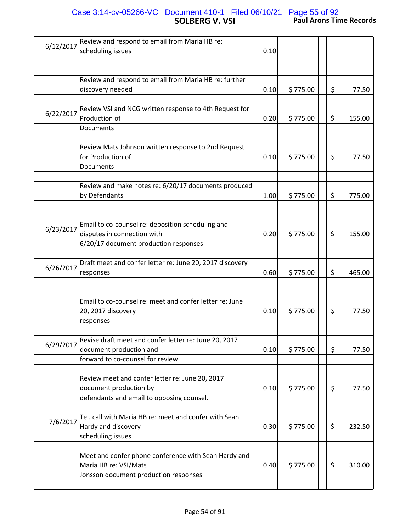# **SOLBERG V. VSI Paul Arons Time Records** Case 3:14-cv-05266-VC Document 410-1 Filed 06/10/21 Page 55 of 92

| 6/12/2017 | Review and respond to email from Maria HB re:            |      |          |              |
|-----------|----------------------------------------------------------|------|----------|--------------|
|           | scheduling issues                                        | 0.10 |          |              |
|           |                                                          |      |          |              |
|           |                                                          |      |          |              |
|           | Review and respond to email from Maria HB re: further    |      |          |              |
|           | discovery needed                                         | 0.10 | \$775.00 | \$<br>77.50  |
|           |                                                          |      |          |              |
| 6/22/2017 | Review VSI and NCG written response to 4th Request for   |      |          |              |
|           | Production of                                            | 0.20 | \$775.00 | \$<br>155.00 |
|           | Documents                                                |      |          |              |
|           |                                                          |      |          |              |
|           | Review Mats Johnson written response to 2nd Request      |      |          |              |
|           | for Production of                                        | 0.10 | \$775.00 | \$<br>77.50  |
|           | Documents                                                |      |          |              |
|           |                                                          |      |          |              |
|           | Review and make notes re: 6/20/17 documents produced     |      |          |              |
|           | by Defendants                                            | 1.00 | \$775.00 | \$<br>775.00 |
|           |                                                          |      |          |              |
|           |                                                          |      |          |              |
| 6/23/2017 | Email to co-counsel re: deposition scheduling and        |      |          |              |
|           | disputes in connection with                              | 0.20 | \$775.00 | \$<br>155.00 |
|           | 6/20/17 document production responses                    |      |          |              |
|           |                                                          |      |          |              |
| 6/26/2017 | Draft meet and confer letter re: June 20, 2017 discovery |      |          |              |
|           | responses                                                | 0.60 | \$775.00 | \$<br>465.00 |
|           |                                                          |      |          |              |
|           |                                                          |      |          |              |
|           | Email to co-counsel re: meet and confer letter re: June  |      |          |              |
|           | 20, 2017 discovery                                       | 0.10 | \$775.00 | \$<br>77.50  |
|           | responses                                                |      |          |              |
|           |                                                          |      |          |              |
|           | Revise draft meet and confer letter re: June 20, 2017    |      |          |              |
| 6/29/2017 | document production and                                  | 0.10 | \$775.00 | \$<br>77.50  |
|           | forward to co-counsel for review                         |      |          |              |
|           |                                                          |      |          |              |
|           | Review meet and confer letter re: June 20, 2017          |      |          |              |
|           | document production by                                   | 0.10 | \$775.00 | \$<br>77.50  |
|           | defendants and email to opposing counsel.                |      |          |              |
|           |                                                          |      |          |              |
|           | Tel. call with Maria HB re: meet and confer with Sean    |      |          |              |
| 7/6/2017  | Hardy and discovery                                      | 0.30 | \$775.00 | \$<br>232.50 |
|           | scheduling issues                                        |      |          |              |
|           |                                                          |      |          |              |
|           | Meet and confer phone conference with Sean Hardy and     |      |          |              |
|           | Maria HB re: VSI/Mats                                    | 0.40 | \$775.00 | \$<br>310.00 |
|           | Jonsson document production responses                    |      |          |              |
|           |                                                          |      |          |              |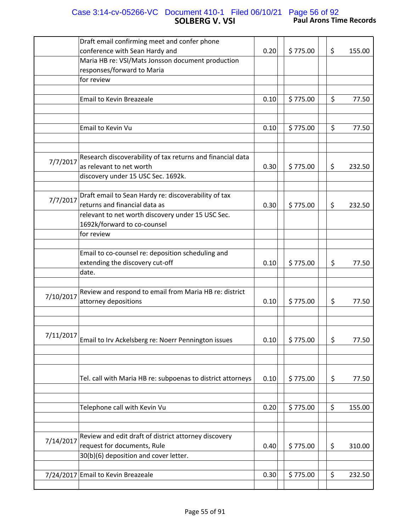## **SOLBERG V. VSI Paul Arons Time Records** Case 3:14-cv-05266-VC Document 410-1 Filed 06/10/21 Page 56 of 92

|           | Draft email confirming meet and confer phone                                   |      |          |         |        |
|-----------|--------------------------------------------------------------------------------|------|----------|---------|--------|
|           | conference with Sean Hardy and                                                 | 0.20 | \$775.00 | \$      | 155.00 |
|           | Maria HB re: VSI/Mats Jonsson document production                              |      |          |         |        |
|           | responses/forward to Maria                                                     |      |          |         |        |
|           | for review                                                                     |      |          |         |        |
|           |                                                                                |      |          |         |        |
|           | <b>Email to Kevin Breazeale</b>                                                | 0.10 | \$775.00 | \$      | 77.50  |
|           |                                                                                |      |          |         |        |
|           | Email to Kevin Vu                                                              | 0.10 | \$775.00 | $\zeta$ | 77.50  |
|           | Research discoverability of tax returns and financial data                     |      |          |         |        |
| 7/7/2017  | as relevant to net worth                                                       | 0.30 | \$775.00 | \$      | 232.50 |
|           | discovery under 15 USC Sec. 1692k.                                             |      |          |         |        |
|           |                                                                                |      |          |         |        |
|           | Draft email to Sean Hardy re: discoverability of tax                           |      |          |         |        |
| 7/7/2017  | returns and financial data as                                                  | 0.30 | \$775.00 | \$      | 232.50 |
|           | relevant to net worth discovery under 15 USC Sec.                              |      |          |         |        |
|           | 1692k/forward to co-counsel                                                    |      |          |         |        |
|           | for review                                                                     |      |          |         |        |
|           |                                                                                |      |          |         |        |
|           | Email to co-counsel re: deposition scheduling and                              |      |          |         |        |
|           | extending the discovery cut-off                                                | 0.10 | \$775.00 | \$      | 77.50  |
|           | date.                                                                          |      |          |         |        |
|           |                                                                                |      |          |         |        |
|           |                                                                                |      |          |         |        |
| 7/10/2017 | Review and respond to email from Maria HB re: district<br>attorney depositions | 0.10 | \$775.00 | \$      | 77.50  |
|           |                                                                                |      |          |         |        |
|           |                                                                                |      |          |         |        |
|           |                                                                                |      |          |         |        |
| 7/11/2017 | Email to Irv Ackelsberg re: Noerr Pennington issues                            | 0.10 |          |         |        |
|           |                                                                                |      | \$775.00 | \$      | 77.50  |
|           |                                                                                |      |          |         |        |
|           |                                                                                |      |          |         |        |
|           |                                                                                |      |          |         |        |
|           | Tel. call with Maria HB re: subpoenas to district attorneys                    | 0.10 | \$775.00 | \$      | 77.50  |
|           |                                                                                |      |          |         |        |
|           |                                                                                |      |          |         |        |
|           | Telephone call with Kevin Vu                                                   | 0.20 | \$775.00 | \$      | 155.00 |
|           |                                                                                |      |          |         |        |
|           |                                                                                |      |          |         |        |
| 7/14/2017 | Review and edit draft of district attorney discovery                           |      |          |         |        |
|           | request for documents, Rule                                                    | 0.40 | \$775.00 | \$      | 310.00 |
|           | 30(b)(6) deposition and cover letter.                                          |      |          |         |        |
|           |                                                                                |      |          |         |        |
|           | 7/24/2017 Email to Kevin Breazeale                                             | 0.30 | \$775.00 | \$      | 232.50 |
|           |                                                                                |      |          |         |        |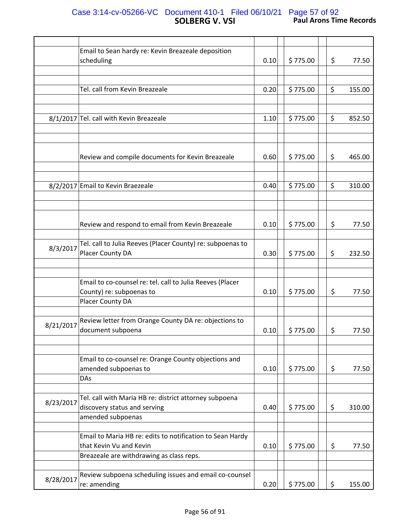# **SOLBERG V. VSI Paul Arons Time Records** Case 3:14-cv-05266-VC Document 410-1 Filed 06/10/21 Page 57 of 92

|           | Email to Sean hardy re: Kevin Breazeale deposition         |      |          |     |        |
|-----------|------------------------------------------------------------|------|----------|-----|--------|
|           | scheduling                                                 | 0.10 | \$775.00 | \$  | 77.50  |
|           |                                                            |      |          |     |        |
|           |                                                            |      |          |     |        |
|           |                                                            |      |          |     |        |
|           | Tel. call from Kevin Breazeale                             | 0.20 | \$775.00 | \$  | 155.00 |
|           |                                                            |      |          |     |        |
|           |                                                            |      |          |     |        |
|           | 8/1/2017 Tel. call with Kevin Breazeale                    | 1.10 | \$775.00 | \$  | 852.50 |
|           |                                                            |      |          |     |        |
|           |                                                            |      |          |     |        |
|           |                                                            |      |          |     |        |
|           |                                                            |      |          |     |        |
|           | Review and compile documents for Kevin Breazeale           | 0.60 | \$775.00 | \$  | 465.00 |
|           |                                                            |      |          |     |        |
|           |                                                            |      |          |     |        |
|           |                                                            |      |          |     |        |
|           | 8/2/2017 Email to Kevin Braezeale                          | 0.40 | \$775.00 | \$  | 310.00 |
|           |                                                            |      |          |     |        |
|           |                                                            |      |          |     |        |
|           |                                                            |      |          |     |        |
|           |                                                            |      |          |     |        |
|           | Review and respond to email from Kevin Breazeale           | 0.10 | \$775.00 | \$  | 77.50  |
|           |                                                            |      |          |     |        |
|           |                                                            |      |          |     |        |
| 8/3/2017  | Tel. call to Julia Reeves (Placer County) re: subpoenas to |      |          |     |        |
|           | Placer County DA                                           | 0.30 | \$775.00 | \$  | 232.50 |
|           |                                                            |      |          |     |        |
|           |                                                            |      |          |     |        |
|           |                                                            |      |          |     |        |
|           | Email to co-counsel re: tel. call to Julia Reeves (Placer  |      |          |     |        |
|           | County) re: subpoenas to                                   | 0.10 | \$775.00 | \$  | 77.50  |
|           | Placer County DA                                           |      |          |     |        |
|           |                                                            |      |          |     |        |
|           |                                                            |      |          |     |        |
| 8/21/2017 | Review letter from Orange County DA re: objections to      |      |          |     |        |
|           | document subpoena                                          | 0.10 | \$775.00 | \$  | 77.50  |
|           |                                                            |      |          |     |        |
|           |                                                            |      |          |     |        |
|           |                                                            |      |          |     |        |
|           | Email to co-counsel re: Orange County objections and       |      |          |     |        |
|           | amended subpoenas to                                       | 0.10 | \$775.00 | \$  | 77.50  |
|           | DAs                                                        |      |          |     |        |
|           |                                                            |      |          |     |        |
|           | Tel. call with Maria HB re: district attorney subpoena     |      |          |     |        |
| 8/23/2017 |                                                            |      |          |     |        |
|           | discovery status and serving                               | 0.40 | \$775.00 | \$. | 310.00 |
|           | amended subpoenas                                          |      |          |     |        |
|           |                                                            |      |          |     |        |
|           | Email to Maria HB re: edits to notification to Sean Hardy  |      |          |     |        |
|           |                                                            |      |          |     |        |
|           | that Kevin Vu and Kevin                                    | 0.10 | \$775.00 | \$  | 77.50  |
|           | Breazeale are withdrawing as class reps.                   |      |          |     |        |
|           |                                                            |      |          |     |        |
|           | Review subpoena scheduling issues and email co-counsel     |      |          |     |        |
| 8/28/2017 |                                                            |      |          |     |        |
|           | re: amending                                               | 0.20 | \$775.00 | \$  | 155.00 |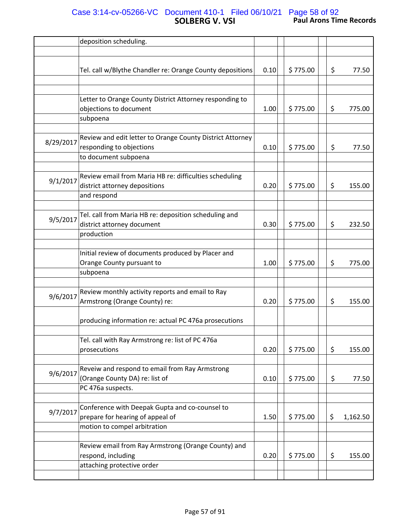# **SOLBERG V. VSI Paul Arons Time Records** Case 3:14-cv-05266-VC Document 410-1 Filed 06/10/21 Page 58 of 92

|           | deposition scheduling.                                    |      |          |    |          |
|-----------|-----------------------------------------------------------|------|----------|----|----------|
|           |                                                           |      |          |    |          |
|           | Tel. call w/Blythe Chandler re: Orange County depositions | 0.10 | \$775.00 | \$ | 77.50    |
|           |                                                           |      |          |    |          |
|           | Letter to Orange County District Attorney responding to   |      |          |    |          |
|           | objections to document                                    | 1.00 | \$775.00 | \$ | 775.00   |
|           | subpoena                                                  |      |          |    |          |
|           |                                                           |      |          |    |          |
| 8/29/2017 | Review and edit letter to Orange County District Attorney |      |          |    |          |
|           | responding to objections                                  | 0.10 | \$775.00 | \$ | 77.50    |
|           | to document subpoena                                      |      |          |    |          |
|           |                                                           |      |          |    |          |
|           | Review email from Maria HB re: difficulties scheduling    |      |          |    |          |
| 9/1/2017  | district attorney depositions                             | 0.20 | \$775.00 | \$ | 155.00   |
|           | and respond                                               |      |          |    |          |
|           |                                                           |      |          |    |          |
|           | Tel. call from Maria HB re: deposition scheduling and     |      |          |    |          |
| 9/5/2017  | district attorney document                                | 0.30 | \$775.00 | \$ | 232.50   |
|           | production                                                |      |          |    |          |
|           |                                                           |      |          |    |          |
|           | Initial review of documents produced by Placer and        |      |          |    |          |
|           | Orange County pursuant to                                 | 1.00 | \$775.00 | \$ | 775.00   |
|           | subpoena                                                  |      |          |    |          |
|           |                                                           |      |          |    |          |
|           | Review monthly activity reports and email to Ray          |      |          |    |          |
| 9/6/2017  | Armstrong (Orange County) re:                             | 0.20 | \$775.00 | \$ | 155.00   |
|           |                                                           |      |          |    |          |
|           | producing information re: actual PC 476a prosecutions     |      |          |    |          |
|           |                                                           |      |          |    |          |
|           | Tel. call with Ray Armstrong re: list of PC 476a          |      |          |    |          |
|           | prosecutions                                              |      | \$775.00 |    | 155.00   |
|           |                                                           | 0.20 |          | \$ |          |
|           |                                                           |      |          |    |          |
| 9/6/2017  | Reveiw and respond to email from Ray Armstrong            |      |          |    |          |
|           | (Orange County DA) re: list of                            | 0.10 | \$775.00 | \$ | 77.50    |
|           | PC 476a suspects.                                         |      |          |    |          |
|           |                                                           |      |          |    |          |
| 9/7/2017  | Conference with Deepak Gupta and co-counsel to            |      |          |    |          |
|           | prepare for hearing of appeal of                          | 1.50 | \$775.00 | \$ | 1,162.50 |
|           | motion to compel arbitration                              |      |          |    |          |
|           |                                                           |      |          |    |          |
|           | Review email from Ray Armstrong (Orange County) and       |      |          |    |          |
|           | respond, including                                        | 0.20 | \$775.00 | \$ | 155.00   |
|           | attaching protective order                                |      |          |    |          |
|           |                                                           |      |          |    |          |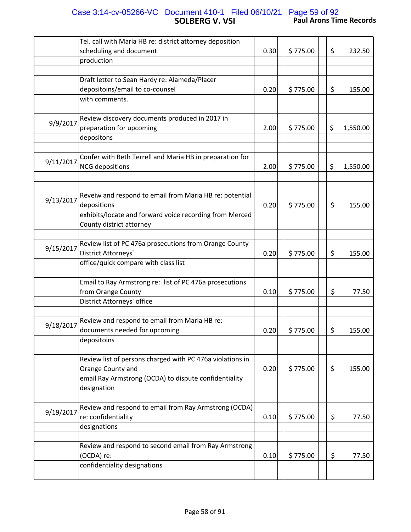# **SOLBERG V. VSI Paul Arons Time Records** Case 3:14-cv-05266-VC Document 410-1 Filed 06/10/21 Page 59 of 92

|           | Tel. call with Maria HB re: district attorney deposition                                      |      |          |                |
|-----------|-----------------------------------------------------------------------------------------------|------|----------|----------------|
|           | scheduling and document                                                                       | 0.30 | \$775.00 | \$<br>232.50   |
|           | production                                                                                    |      |          |                |
|           |                                                                                               |      |          |                |
|           | Draft letter to Sean Hardy re: Alameda/Placer                                                 |      |          |                |
|           | depositoins/email to co-counsel                                                               | 0.20 | \$775.00 | \$<br>155.00   |
|           | with comments.                                                                                |      |          |                |
| 9/9/2017  | Review discovery documents produced in 2017 in<br>preparation for upcoming<br>depositons      | 2.00 | \$775.00 | \$<br>1,550.00 |
|           | Confer with Beth Terrell and Maria HB in preparation for                                      |      |          |                |
| 9/11/2017 | <b>NCG</b> depositions                                                                        | 2.00 | \$775.00 | \$<br>1,550.00 |
|           |                                                                                               |      |          |                |
|           |                                                                                               |      |          |                |
|           | Reveiw and respond to email from Maria HB re: potential                                       |      |          |                |
| 9/13/2017 | depositions                                                                                   | 0.20 | \$775.00 | \$<br>155.00   |
|           | exhibits/locate and forward voice recording from Merced<br>County district attorney           |      |          |                |
|           | Review list of PC 476a prosecutions from Orange County                                        |      |          |                |
| 9/15/2017 | District Attorneys'                                                                           | 0.20 | \$775.00 | \$<br>155.00   |
|           | office/quick compare with class list                                                          |      |          |                |
|           |                                                                                               |      |          |                |
|           | Email to Ray Armstrong re: list of PC 476a prosecutions                                       |      |          |                |
|           | from Orange County                                                                            | 0.10 | \$775.00 | \$<br>77.50    |
|           | District Attorneys' office                                                                    |      |          |                |
| 9/18/2017 | Review and respond to email from Maria HB re:<br>documents needed for upcoming<br>depositoins | 0.20 | \$775.00 | \$<br>155.00   |
|           | Review list of persons charged with PC 476a violations in<br>Orange County and                | 0.20 | \$775.00 | \$<br>155.00   |
|           | email Ray Armstrong (OCDA) to dispute confidentiality<br>designation                          |      |          |                |
|           |                                                                                               |      |          |                |
| 9/19/2017 | Review and respond to email from Ray Armstrong (OCDA)                                         |      |          |                |
|           | re: confidentiality                                                                           | 0.10 | \$775.00 | \$<br>77.50    |
|           | designations                                                                                  |      |          |                |
|           | Review and respond to second email from Ray Armstrong                                         |      |          |                |
|           | (OCDA) re:                                                                                    | 0.10 | \$775.00 | \$<br>77.50    |
|           | confidentiality designations                                                                  |      |          |                |
|           |                                                                                               |      |          |                |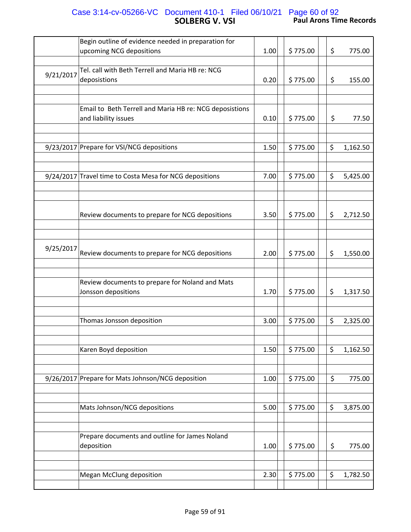# **SOLBERG V. VSI Paul Arons Time Records** Case 3:14-cv-05266-VC Document 410-1 Filed 06/10/21 Page 60 of 92

|           | Begin outline of evidence needed in preparation for<br>upcoming NCG depositions | 1.00 | \$775.00 | \$<br>775.00   |
|-----------|---------------------------------------------------------------------------------|------|----------|----------------|
|           |                                                                                 |      |          |                |
| 9/21/2017 | Tel. call with Beth Terrell and Maria HB re: NCG<br>deposistions                | 0.20 | \$775.00 | \$<br>155.00   |
|           |                                                                                 |      |          |                |
|           | Email to Beth Terrell and Maria HB re: NCG deposistions<br>and liability issues | 0.10 | \$775.00 | \$<br>77.50    |
|           | 9/23/2017 Prepare for VSI/NCG depositions                                       | 1.50 | \$775.00 | \$<br>1,162.50 |
|           | 9/24/2017 Travel time to Costa Mesa for NCG depositions                         | 7.00 | \$775.00 | \$<br>5,425.00 |
|           | Review documents to prepare for NCG depositions                                 | 3.50 | \$775.00 | \$<br>2,712.50 |
| 9/25/2017 | Review documents to prepare for NCG depositions                                 | 2.00 | \$775.00 | \$<br>1,550.00 |
|           | Review documents to prepare for Noland and Mats<br>Jonsson depositions          | 1.70 | \$775.00 | \$<br>1,317.50 |
|           |                                                                                 |      |          |                |
|           | Thomas Jonsson deposition                                                       | 3.00 | \$775.00 | \$<br>2,325.00 |
|           | Karen Boyd deposition                                                           | 1.50 | \$775.00 | \$<br>1,162.50 |
|           |                                                                                 |      |          |                |
|           | 9/26/2017 Prepare for Mats Johnson/NCG deposition                               | 1.00 | \$775.00 | \$<br>775.00   |
|           | Mats Johnson/NCG depositions                                                    | 5.00 | \$775.00 | \$<br>3,875.00 |
|           | Prepare documents and outline for James Noland<br>deposition                    | 1.00 | \$775.00 | \$<br>775.00   |
|           | <b>Megan McClung deposition</b>                                                 | 2.30 | \$775.00 | \$<br>1,782.50 |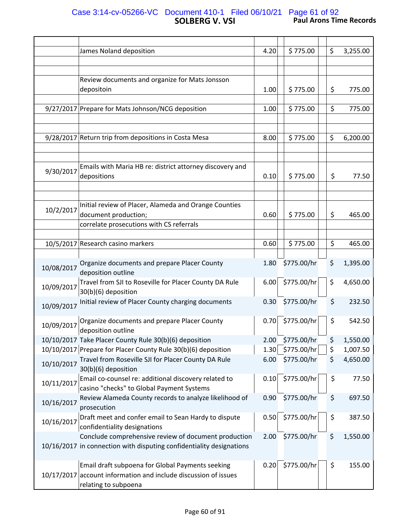# **SOLBERG V. VSI Paul Arons Time Records** Case 3:14-cv-05266-VC Document 410-1 Filed 06/10/21 Page 61 of 92

|            | James Noland deposition                                                                                                                     | 4.20 | \$775.00    | \$<br>3,255.00 |
|------------|---------------------------------------------------------------------------------------------------------------------------------------------|------|-------------|----------------|
|            |                                                                                                                                             |      |             |                |
|            |                                                                                                                                             |      |             |                |
|            | Review documents and organize for Mats Jonsson                                                                                              |      |             |                |
|            | depositoin                                                                                                                                  | 1.00 | \$775.00    | \$<br>775.00   |
|            | 9/27/2017 Prepare for Mats Johnson/NCG deposition                                                                                           | 1.00 | \$775.00    | \$<br>775.00   |
|            |                                                                                                                                             |      |             |                |
|            | 9/28/2017 Return trip from depositions in Costa Mesa                                                                                        | 8.00 | \$775.00    | \$<br>6,200.00 |
|            |                                                                                                                                             |      |             |                |
| 9/30/2017  | Emails with Maria HB re: district attorney discovery and<br>depositions                                                                     | 0.10 | \$775.00    | \$<br>77.50    |
|            |                                                                                                                                             |      |             |                |
| 10/2/2017  | Initial review of Placer, Alameda and Orange Counties<br>document production;                                                               | 0.60 | \$775.00    | \$<br>465.00   |
|            | correlate prosecutions with CS referrals                                                                                                    |      |             |                |
|            |                                                                                                                                             |      |             |                |
|            | 10/5/2017 Research casino markers                                                                                                           | 0.60 | \$775.00    | \$<br>465.00   |
| 10/08/2017 | Organize documents and prepare Placer County<br>deposition outline                                                                          | 1.80 | \$775.00/hr | \$<br>1,395.00 |
| 10/09/2017 | Travel from SJI to Roseville for Placer County DA Rule<br>30(b)(6) deposition                                                               | 6.00 | \$775.00/hr | \$<br>4,650.00 |
| 10/09/2017 | Initial review of Placer County charging documents                                                                                          | 0.30 | \$775.00/hr | \$<br>232.50   |
| 10/09/2017 | Organize documents and prepare Placer County<br>deposition outline                                                                          | 0.70 | \$775.00/hr | \$<br>542.50   |
|            | 10/10/2017 Take Placer County Rule 30(b)(6) deposition                                                                                      | 2.00 | \$775.00/hr | \$<br>1,550.00 |
|            | 10/10/2017 Prepare for Placer County Rule 30(b)(6) deposition                                                                               | 1.30 | \$775.00/hr | \$<br>1,007.50 |
| 10/10/2017 | Travel from Roseville SJI for Placer County DA Rule<br>30(b)(6) deposition                                                                  | 6.00 | \$775.00/hr | \$<br>4,650.00 |
| 10/11/2017 | Email co-counsel re: additional discovery related to<br>casino "checks" to Global Payment Systems                                           | 0.10 | \$775.00/hr | \$<br>77.50    |
| 10/16/2017 | Review Alameda County records to analyze likelihood of<br>prosecution                                                                       | 0.90 | \$775.00/hr | \$<br>697.50   |
| 10/16/2017 | Draft meet and confer email to Sean Hardy to dispute<br>confidentiality designations                                                        | 0.50 | \$775.00/hr | \$<br>387.50   |
|            | Conclude comprehensive review of document production<br>10/16/2017 in connection with disputing confidentiality designations                | 2.00 | \$775.00/hr | \$<br>1,550.00 |
|            | Email draft subpoena for Global Payments seeking<br>10/17/2017 account information and include discussion of issues<br>relating to subpoena | 0.20 | \$775.00/hr | \$<br>155.00   |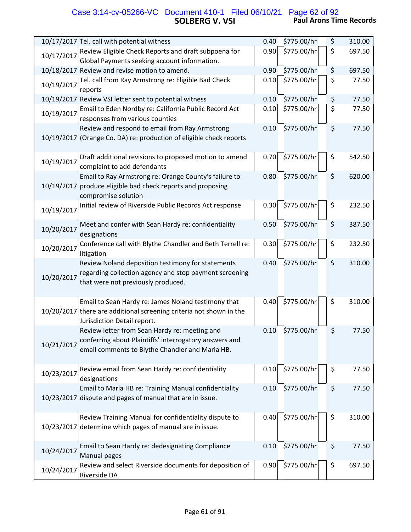## **SOLBERG V. VSI Paul Arons Time Records** Case 3:14-cv-05266-VC Document 410-1 Filed 06/10/21 Page 62 of 92

| 10/17/2017 Tel. call with potential witness                                                                                                                              | 0.40 | \$775.00/hr | \$<br>310.00 |
|--------------------------------------------------------------------------------------------------------------------------------------------------------------------------|------|-------------|--------------|
| Review Eligible Check Reports and draft subpoena for<br>10/17/2017<br>Global Payments seeking account information.                                                       | 0.90 | \$775.00/hr | \$<br>697.50 |
| 10/18/2017 Review and revise motion to amend.                                                                                                                            | 0.90 | \$775.00/hr | \$<br>697.50 |
| Tel. call from Ray Armstrong re: Eligible Bad Check                                                                                                                      | 0.10 | \$775.00/hr | \$<br>77.50  |
| 10/19/2017<br>reports                                                                                                                                                    |      |             |              |
| 10/19/2017 Review VSI letter sent to potential witness                                                                                                                   | 0.10 | \$775.00/hr | \$<br>77.50  |
| Email to Eden Nordby re: California Public Record Act<br>10/19/2017<br>responses from various counties                                                                   | 0.10 | \$775.00/hr | \$<br>77.50  |
| Review and respond to email from Ray Armstrong<br>10/19/2017 (Orange Co. DA) re: production of eligible check reports                                                    | 0.10 | \$775.00/hr | \$<br>77.50  |
| Draft additional revisions to proposed motion to amend<br>10/19/2017<br>complaint to add defendants                                                                      | 0.70 | \$775.00/hr | \$<br>542.50 |
| Email to Ray Armstrong re: Orange County's failure to<br>10/19/2017 produce eligible bad check reports and proposing<br>compromise solution                              | 0.80 | \$775.00/hr | \$<br>620.00 |
| Initial review of Riverside Public Records Act response<br>10/19/2017                                                                                                    | 0.30 | \$775.00/hr | \$<br>232.50 |
| Meet and confer with Sean Hardy re: confidentiality<br>10/20/2017<br>designations                                                                                        | 0.50 | \$775.00/hr | \$<br>387.50 |
| Conference call with Blythe Chandler and Beth Terrell re:<br>10/20/2017<br>litigation                                                                                    | 0.30 | \$775.00/hr | \$<br>232.50 |
| Review Noland deposition testimony for statements<br>regarding collection agency and stop payment screening<br>10/20/2017<br>that were not previously produced.          | 0.40 | \$775.00/hr | \$<br>310.00 |
| Email to Sean Hardy re: James Noland testimony that<br>10/20/2017 there are additional screening criteria not shown in the<br>Jurisdiction Detail report.                | 0.40 | \$775.00/hr | \$<br>310.00 |
| Review letter from Sean Hardy re: meeting and<br>conferring about Plaintiffs' interrogatory answers and<br>10/21/2017<br>email comments to Blythe Chandler and Maria HB. | 0.10 | \$775.00/hr | \$<br>77.50  |
| Review email from Sean Hardy re: confidentiality<br>10/23/2017<br>designations                                                                                           | 0.10 | \$775.00/hr | \$<br>77.50  |
| Email to Maria HB re: Training Manual confidentiality<br>10/23/2017 dispute and pages of manual that are in issue.                                                       | 0.10 | \$775.00/hr | \$<br>77.50  |
| Review Training Manual for confidentiality dispute to<br>determine which pages of manual are in issue.<br>10/23/2017                                                     | 0.40 | \$775.00/hr | \$<br>310.00 |
| Email to Sean Hardy re: dedesignating Compliance<br>10/24/2017<br>Manual pages                                                                                           | 0.10 | \$775.00/hr | \$<br>77.50  |
| Review and select Riverside documents for deposition of<br>10/24/2017<br>Riverside DA                                                                                    | 0.90 | \$775.00/hr | \$<br>697.50 |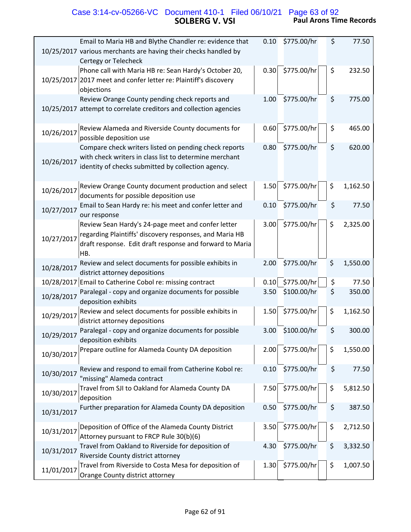#### **SOLBERG V. VSI Paul Arons Time Records** Case 3:14-cv-05266-VC Document 410-1 Filed 06/10/21 Page 63 of 92

| Email to Maria HB and Blythe Chandler re: evidence that<br>10/25/2017 various merchants are having their checks handled by<br>Certegy or Telecheck                                             | 0.10 | \$775.00/hr | \$<br>77.50    |
|------------------------------------------------------------------------------------------------------------------------------------------------------------------------------------------------|------|-------------|----------------|
| Phone call with Maria HB re: Sean Hardy's October 20,<br>10/25/2017 2017 meet and confer letter re: Plaintiff's discovery<br>objections                                                        | 0.30 | \$775.00/hr | \$<br>232.50   |
| Review Orange County pending check reports and<br>10/25/2017 attempt to correlate creditors and collection agencies                                                                            | 1.00 | \$775.00/hr | \$<br>775.00   |
| Review Alameda and Riverside County documents for<br>10/26/2017<br>possible deposition use                                                                                                     | 0.60 | \$775.00/hr | \$<br>465.00   |
| Compare check writers listed on pending check reports<br>with check writers in class list to determine merchant<br>10/26/2017<br>identity of checks submitted by collection agency.            | 0.80 | \$775.00/hr | \$<br>620.00   |
| Review Orange County document production and select<br>10/26/2017<br>documents for possible deposition use                                                                                     | 1.50 | \$775.00/hr | \$<br>1,162.50 |
| Email to Sean Hardy re: his meet and confer letter and<br>10/27/2017<br>our response                                                                                                           | 0.10 | \$775.00/hr | \$<br>77.50    |
| Review Sean Hardy's 24-page meet and confer letter<br>regarding Plaintiffs' discovery responses, and Maria HB<br>10/27/2017<br>draft response. Edit draft response and forward to Maria<br>HB. | 3.00 | \$775.00/hr | \$<br>2,325.00 |
| Review and select documents for possible exhibits in<br>10/28/2017<br>district attorney depositions                                                                                            | 2.00 | \$775.00/hr | \$<br>1,550.00 |
| 10/28/2017 Email to Catherine Cobol re: missing contract                                                                                                                                       | 0.10 | \$775.00/hr | \$<br>77.50    |
| Paralegal - copy and organize documents for possible<br>10/28/2017<br>deposition exhibits                                                                                                      | 3.50 | \$100.00/hr | \$<br>350.00   |
| Review and select documents for possible exhibits in<br>10/29/2017<br>district attorney depositions                                                                                            | 1.50 | \$775.00/hr | \$<br>1,162.50 |
| Paralegal - copy and organize documents for possible<br>10/29/2017<br>deposition exhibits                                                                                                      | 3.00 | \$100.00/hr | \$<br>300.00   |
| Prepare outline for Alameda County DA deposition<br>10/30/2017                                                                                                                                 | 2.00 | \$775.00/hr | \$<br>1,550.00 |
| Review and respond to email from Catherine Kobol re:<br>10/30/2017<br>"missing" Alameda contract                                                                                               | 0.10 | \$775.00/hr | \$<br>77.50    |
| Travel from SJI to Oakland for Alameda County DA<br>10/30/2017<br>deposition                                                                                                                   | 7.50 | \$775.00/hr | \$<br>5,812.50 |
| Further preparation for Alameda County DA deposition<br>10/31/2017                                                                                                                             | 0.50 | \$775.00/hr | \$<br>387.50   |
| Deposition of Office of the Alameda County District<br>10/31/2017<br>Attorney pursuant to FRCP Rule 30(b)(6)                                                                                   | 3.50 | \$775.00/hr | \$<br>2,712.50 |
| Travel from Oakland to Riverside for deposition of<br>10/31/2017<br>Riverside County district attorney                                                                                         | 4.30 | \$775.00/hr | \$<br>3,332.50 |
| Travel from Riverside to Costa Mesa for deposition of<br>11/01/2017<br>Orange County district attorney                                                                                         | 1.30 | \$775.00/hr | \$<br>1,007.50 |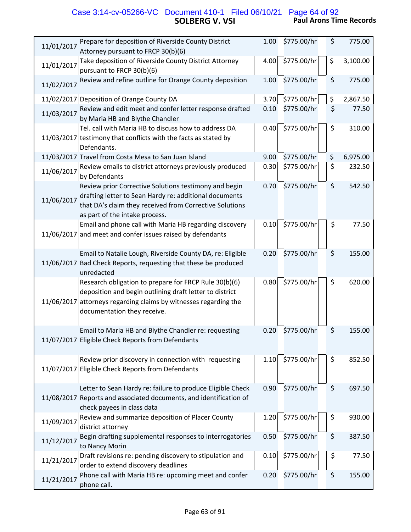#### **SOLBERG V. VSI Paul Arons Time Records** Case 3:14-cv-05266-VC Document 410-1 Filed 06/10/21 Page 64 of 92

| 11/01/2017 | Prepare for deposition of Riverside County District<br>Attorney pursuant to FRCP 30(b)(6)                                                                                                                    | 1.00 | \$775.00/hr | \$<br>775.00   |
|------------|--------------------------------------------------------------------------------------------------------------------------------------------------------------------------------------------------------------|------|-------------|----------------|
| 11/01/2017 | Take deposition of Riverside County District Attorney<br>pursuant to FRCP 30(b)(6)                                                                                                                           | 4.00 | \$775.00/hr | \$<br>3,100.00 |
| 11/02/2017 | Review and refine outline for Orange County deposition                                                                                                                                                       | 1.00 | \$775.00/hr | \$<br>775.00   |
|            | 11/02/2017 Deposition of Orange County DA                                                                                                                                                                    | 3.70 | \$775.00/hr | \$<br>2,867.50 |
| 11/03/2017 | Review and edit meet and confer letter response drafted<br>by Maria HB and Blythe Chandler                                                                                                                   | 0.10 | \$775.00/hr | \$<br>77.50    |
|            | Tel. call with Maria HB to discuss how to address DA<br>11/03/2017 testimony that conflicts with the facts as stated by<br>Defendants.                                                                       | 0.40 | \$775.00/hr | \$<br>310.00   |
|            | 11/03/2017 Travel from Costa Mesa to San Juan Island                                                                                                                                                         | 9.00 | \$775.00/hr | \$<br>6,975.00 |
| 11/06/2017 | Review emails to district attorneys previously produced<br>by Defendants                                                                                                                                     | 0.30 | \$775.00/hr | \$<br>232.50   |
| 11/06/2017 | Review prior Corrective Solutions testimony and begin<br>drafting letter to Sean Hardy re: additional documents<br>that DA's claim they received from Corrective Solutions<br>as part of the intake process. | 0.70 | \$775.00/hr | \$<br>542.50   |
|            | Email and phone call with Maria HB regarding discovery<br>11/06/2017 and meet and confer issues raised by defendants                                                                                         | 0.10 | \$775.00/hr | \$<br>77.50    |
|            | Email to Natalie Lough, Riverside County DA, re: Eligible<br>11/06/2017 Bad Check Reports, requesting that these be produced<br>unredacted                                                                   | 0.20 | \$775.00/hr | \$<br>155.00   |
| 11/06/2017 | Research obligation to prepare for FRCP Rule 30(b)(6)<br>deposition and begin outlining draft letter to district<br>attorneys regarding claims by witnesses regarding the<br>documentation they receive.     | 0.80 | \$775.00/hr | \$<br>620.00   |
|            | Email to Maria HB and Blythe Chandler re: requesting<br>11/07/2017 Eligible Check Reports from Defendants                                                                                                    | 0.20 | \$775.00/hr | \$<br>155.00   |
| 11/07/2017 | Review prior discovery in connection with requesting<br>Eligible Check Reports from Defendants                                                                                                               | 1.10 | \$775.00/hr | \$<br>852.50   |
|            | Letter to Sean Hardy re: failure to produce Eligible Check<br>11/08/2017 Reports and associated documents, and identification of<br>check payees in class data                                               | 0.90 | \$775.00/hr | \$<br>697.50   |
| 11/09/2017 | Review and summarize deposition of Placer County<br>district attorney                                                                                                                                        | 1.20 | \$775.00/hr | \$<br>930.00   |
| 11/12/2017 | Begin drafting supplemental responses to interrogatories<br>to Nancy Morin                                                                                                                                   | 0.50 | \$775.00/hr | \$<br>387.50   |
| 11/21/2017 | Draft revisions re: pending discovery to stipulation and<br>order to extend discovery deadlines                                                                                                              | 0.10 | \$775.00/hr | \$<br>77.50    |
| 11/21/2017 | Phone call with Maria HB re: upcoming meet and confer<br>phone call.                                                                                                                                         | 0.20 | \$775.00/hr | \$<br>155.00   |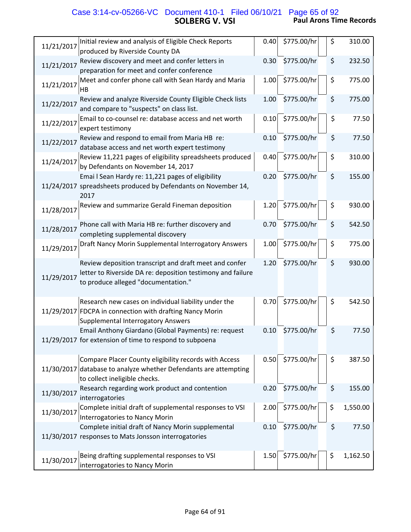#### **SOLBERG V. VSI Paul Arons Time Records** Case 3:14-cv-05266-VC Document 410-1 Filed 06/10/21 Page 65 of 92

| Initial review and analysis of Eligible Check Reports<br>11/21/2017<br>produced by Riverside County DA                                                                     | 0.40 | \$775.00/hr | \$<br>310.00   |
|----------------------------------------------------------------------------------------------------------------------------------------------------------------------------|------|-------------|----------------|
| Review discovery and meet and confer letters in<br>11/21/2017<br>preparation for meet and confer conference                                                                | 0.30 | \$775.00/hr | \$<br>232.50   |
| Meet and confer phone call with Sean Hardy and Maria<br>11/21/2017<br>HB                                                                                                   | 1.00 | \$775.00/hr | \$<br>775.00   |
| Review and analyze Riverside County Eligible Check lists<br>11/22/2017<br>and compare to "suspects" on class list.                                                         | 1.00 | \$775.00/hr | \$<br>775.00   |
| Email to co-counsel re: database access and net worth<br>11/22/2017<br>expert testimony                                                                                    | 0.10 | \$775.00/hr | \$<br>77.50    |
| Review and respond to email from Maria HB re:<br>11/22/2017<br>database access and net worth expert testimony                                                              | 0.10 | \$775.00/hr | \$<br>77.50    |
| Review 11,221 pages of eligibility spreadsheets produced<br>11/24/2017<br>by Defendants on November 14, 2017                                                               | 0.40 | \$775.00/hr | \$<br>310.00   |
| Emai I Sean Hardy re: 11,221 pages of eligibility<br>11/24/2017 spreadsheets produced by Defendants on November 14,<br>2017                                                | 0.20 | \$775.00/hr | \$<br>155.00   |
| Review and summarize Gerald Fineman deposition<br>11/28/2017                                                                                                               | 1.20 | \$775.00/hr | \$<br>930.00   |
| Phone call with Maria HB re: further discovery and<br>11/28/2017<br>completing supplemental discovery                                                                      | 0.70 | \$775.00/hr | \$<br>542.50   |
| Draft Nancy Morin Supplemental Interrogatory Answers<br>11/29/2017                                                                                                         | 1.00 | \$775.00/hr | \$<br>775.00   |
| Review deposition transcript and draft meet and confer<br>letter to Riverside DA re: deposition testimony and failure<br>11/29/2017<br>to produce alleged "documentation." | 1.20 | \$775.00/hr | \$<br>930.00   |
| Research new cases on individual liability under the<br>11/29/2017 FDCPA in connection with drafting Nancy Morin<br><b>Supplemental Interrogatory Answers</b>              | 0.70 | \$775.00/hr | \$<br>542.50   |
| Email Anthony Giardano (Global Payments) re: request<br>11/29/2017 for extension of time to respond to subpoena                                                            | 0.10 | \$775.00/hr | \$<br>77.50    |
| Compare Placer County eligibility records with Access<br>11/30/2017<br>database to analyze whether Defendants are attempting<br>to collect ineligible checks.              | 0.50 | \$775.00/hr | \$<br>387.50   |
| Research regarding work product and contention<br>11/30/2017<br>interrogatories                                                                                            | 0.20 | \$775.00/hr | \$<br>155.00   |
| Complete initial draft of supplemental responses to VSI<br>11/30/2017<br>Interrogatories to Nancy Morin                                                                    | 2.00 | \$775.00/hr | \$<br>1,550.00 |
| Complete initial draft of Nancy Morin supplemental<br>11/30/2017 responses to Mats Jonsson interrogatories                                                                 | 0.10 | \$775.00/hr | \$<br>77.50    |
| Being drafting supplemental responses to VSI<br>11/30/2017<br>interrogatories to Nancy Morin                                                                               | 1.50 | \$775.00/hr | \$<br>1,162.50 |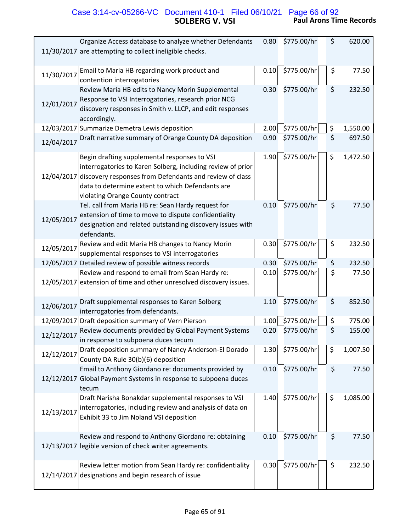#### **SOLBERG V. VSI Paul Arons Time Records** Case 3:14-cv-05266-VC Document 410-1 Filed 06/10/21 Page 66 of 92

| Organize Access database to analyze whether Defendants                                                                                                                                                                                                                       | 0.80 | \$775.00/hr | \$<br>620.00   |
|------------------------------------------------------------------------------------------------------------------------------------------------------------------------------------------------------------------------------------------------------------------------------|------|-------------|----------------|
| 11/30/2017 are attempting to collect ineligible checks.                                                                                                                                                                                                                      |      |             |                |
| Email to Maria HB regarding work product and<br>11/30/2017<br>contention interrogatories                                                                                                                                                                                     | 0.10 | \$775.00/hr | \$<br>77.50    |
| Review Maria HB edits to Nancy Morin Supplemental<br>Response to VSI Interrogatories, research prior NCG<br>12/01/2017<br>discovery responses in Smith v. LLCP, and edit responses<br>accordingly.                                                                           | 0.30 | \$775.00/hr | \$<br>232.50   |
| 12/03/2017 Summarize Demetra Lewis deposition                                                                                                                                                                                                                                | 2.00 | \$775.00/hr | \$<br>1,550.00 |
| Draft narrative summary of Orange County DA deposition<br>12/04/2017                                                                                                                                                                                                         | 0.90 | \$775.00/hr | \$<br>697.50   |
| Begin drafting supplemental responses to VSI<br>interrogatories to Karen Solberg, including review of prior<br>12/04/2017<br>discovery responses from Defendants and review of class<br>data to determine extent to which Defendants are<br>violating Orange County contract | 1.90 | \$775.00/hr | \$<br>1,472.50 |
| Tel. call from Maria HB re: Sean Hardy request for<br>extension of time to move to dispute confidentiality<br>12/05/2017<br>designation and related outstanding discovery issues with<br>defendants.                                                                         | 0.10 | \$775.00/hr | \$<br>77.50    |
| Review and edit Maria HB changes to Nancy Morin<br>12/05/2017<br>supplemental responses to VSI interrogatories                                                                                                                                                               | 0.30 | \$775.00/hr | \$<br>232.50   |
| 12/05/2017 Detailed review of possible witness records                                                                                                                                                                                                                       | 0.30 | \$775.00/hr | \$<br>232.50   |
| Review and respond to email from Sean Hardy re:<br>12/05/2017 extension of time and other unresolved discovery issues.                                                                                                                                                       | 0.10 | \$775.00/hr | \$<br>77.50    |
| Draft supplemental responses to Karen Solberg<br>12/06/2017<br>interrogatories from defendants.                                                                                                                                                                              | 1.10 | \$775.00/hr | \$<br>852.50   |
| 12/09/2017 Draft deposition summary of Vern Pierson                                                                                                                                                                                                                          | 1.00 | \$775.00/hr | \$<br>775.00   |
| Review documents provided by Global Payment Systems<br>12/12/2017<br>in response to subpoena duces tecum                                                                                                                                                                     | 0.20 | \$775.00/hr | \$<br>155.00   |
| Draft deposition summary of Nancy Anderson-El Dorado<br>12/12/2017<br>County DA Rule 30(b)(6) deposition                                                                                                                                                                     | 1.30 | \$775.00/hr | \$<br>1,007.50 |
| Email to Anthony Giordano re: documents provided by<br>12/12/2017 Global Payment Systems in response to subpoena duces<br>tecum                                                                                                                                              | 0.10 | \$775.00/hr | \$<br>77.50    |
| Draft Narisha Bonakdar supplemental responses to VSI<br>interrogatories, including review and analysis of data on<br>12/13/2017<br>Exhibit 33 to Jim Noland VSI deposition                                                                                                   | 1.40 | \$775.00/hr | \$<br>1,085.00 |
| Review and respond to Anthony Giordano re: obtaining<br>12/13/2017 legible version of check writer agreements.                                                                                                                                                               | 0.10 | \$775.00/hr | \$<br>77.50    |
| Review letter motion from Sean Hardy re: confidentiality<br>designations and begin research of issue<br>12/14/2017                                                                                                                                                           | 0.30 | \$775.00/hr | \$<br>232.50   |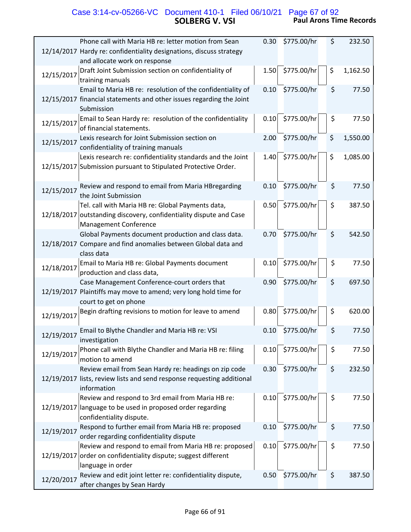# **SOLBERG V. VSI Paul Arons Time Records** Case 3:14-cv-05266-VC Document 410-1 Filed 06/10/21 Page 67 of 92

| Phone call with Maria HB re: letter motion from Sean                                                         | 0.30 | \$775.00/hr | \$<br>232.50   |
|--------------------------------------------------------------------------------------------------------------|------|-------------|----------------|
| 12/14/2017 Hardy re: confidentiality designations, discuss strategy                                          |      |             |                |
| and allocate work on response                                                                                |      |             |                |
| Draft Joint Submission section on confidentiality of<br>12/15/2017<br>training manuals                       | 1.50 | \$775.00/hr | \$<br>1,162.50 |
| Email to Maria HB re: resolution of the confidentiality of                                                   | 0.10 | \$775.00/hr | \$<br>77.50    |
| 12/15/2017 financial statements and other issues regarding the Joint<br>Submission                           |      |             |                |
| Email to Sean Hardy re: resolution of the confidentiality<br>12/15/2017<br>of financial statements.          | 0.10 | \$775.00/hr | \$<br>77.50    |
| Lexis research for Joint Submission section on<br>12/15/2017<br>confidentiality of training manuals          | 2.00 | \$775.00/hr | \$<br>1,550.00 |
| Lexis research re: confidentiality standards and the Joint                                                   | 1.40 | \$775.00/hr | \$<br>1,085.00 |
| 12/15/2017 Submission pursuant to Stipulated Protective Order.                                               |      |             |                |
| Review and respond to email from Maria HBregarding<br>12/15/2017<br>the Joint Submission                     | 0.10 | \$775.00/hr | \$<br>77.50    |
| Tel. call with Maria HB re: Global Payments data,                                                            | 0.50 | \$775.00/hr | \$<br>387.50   |
| 12/18/2017 outstanding discovery, confidentiality dispute and Case<br><b>Management Conference</b>           |      |             |                |
| Global Payments document production and class data.                                                          | 0.70 | \$775.00/hr | \$<br>542.50   |
| 12/18/2017 Compare and find anomalies between Global data and<br>class data                                  |      |             |                |
| Email to Maria HB re: Global Payments document<br>12/18/2017<br>production and class data,                   | 0.10 | \$775.00/hr | \$<br>77.50    |
| Case Management Conference-court orders that                                                                 | 0.90 | \$775.00/hr | \$<br>697.50   |
| 12/19/2017 Plaintiffs may move to amend; very long hold time for                                             |      |             |                |
| court to get on phone                                                                                        |      | \$775.00/hr |                |
| Begin drafting revisions to motion for leave to amend<br>12/19/2017                                          | 0.80 |             | \$<br>620.00   |
| Email to Blythe Chandler and Maria HB re: VSI<br>12/19/2017<br>investigation                                 | 0.10 | \$775.00/hr | \$<br>77.50    |
| Phone call with Blythe Chandler and Maria HB re: filing<br>12/19/2017<br>motion to amend                     | 0.10 | \$775.00/hr | \$<br>77.50    |
| Review email from Sean Hardy re: headings on zip code                                                        | 0.30 | \$775.00/hr | \$<br>232.50   |
| 12/19/2017 lists, review lists and send response requesting additional<br>information                        |      |             |                |
| Review and respond to 3rd email from Maria HB re:                                                            | 0.10 | \$775.00/hr | \$<br>77.50    |
| 12/19/2017 language to be used in proposed order regarding<br>confidentiality dispute.                       |      |             |                |
| Respond to further email from Maria HB re: proposed<br>12/19/2017<br>order regarding confidentiality dispute | 0.10 | \$775.00/hr | \$<br>77.50    |
| Review and respond to email from Maria HB re: proposed                                                       | 0.10 | \$775.00/hr | \$<br>77.50    |
| 12/19/2017 order on confidentiality dispute; suggest different                                               |      |             |                |
| language in order                                                                                            |      |             |                |
| Review and edit joint letter re: confidentiality dispute,<br>12/20/2017<br>after changes by Sean Hardy       | 0.50 | \$775.00/hr | \$<br>387.50   |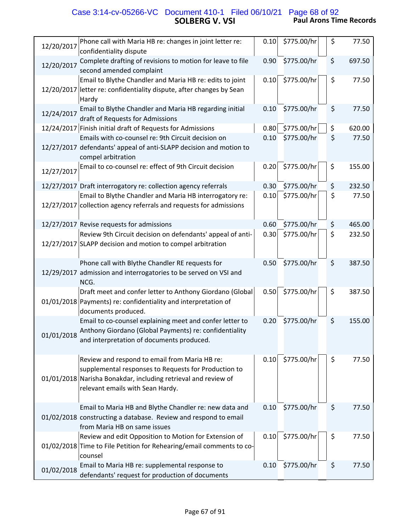# **SOLBERG V. VSI Paul Arons Time Records** Case 3:14-cv-05266-VC Document 410-1 Filed 06/10/21 Page 68 of 92

| 12/20/2017 | Phone call with Maria HB re: changes in joint letter re:<br>confidentiality dispute                                                                                                                         | 0.10 | \$775.00/hr | $\zeta$ | 77.50  |
|------------|-------------------------------------------------------------------------------------------------------------------------------------------------------------------------------------------------------------|------|-------------|---------|--------|
| 12/20/2017 | Complete drafting of revisions to motion for leave to file<br>second amended complaint                                                                                                                      | 0.90 | \$775.00/hr | \$      | 697.50 |
|            | Email to Blythe Chandler and Maria HB re: edits to joint<br>12/20/2017 letter re: confidentiality dispute, after changes by Sean<br>Hardy                                                                   | 0.10 | \$775.00/hr | \$      | 77.50  |
| 12/24/2017 | Email to Blythe Chandler and Maria HB regarding initial<br>draft of Requests for Admissions                                                                                                                 | 0.10 | \$775.00/hr | \$      | 77.50  |
|            | 12/24/2017 Finish initial draft of Requests for Admissions                                                                                                                                                  | 0.80 | \$775.00/hr | \$      | 620.00 |
|            | Emails with co-counsel re: 9th Circuit decision on<br>12/27/2017 defendants' appeal of anti-SLAPP decision and motion to<br>compel arbitration                                                              | 0.10 | \$775.00/hr | \$      | 77.50  |
| 12/27/2017 | Email to co-counsel re: effect of 9th Circuit decision                                                                                                                                                      | 0.20 | \$775.00/hr | \$      | 155.00 |
|            | 12/27/2017 Draft interrogatory re: collection agency referrals                                                                                                                                              | 0.30 | \$775.00/hr | \$      | 232.50 |
|            | Email to Blythe Chandler and Maria HB interrogatory re:<br>12/27/2017 collection agency referrals and requests for admissions                                                                               | 0.10 | \$775.00/hr | \$      | 77.50  |
|            | 12/27/2017 Revise requests for admissions                                                                                                                                                                   | 0.60 | \$775.00/hr | \$      | 465.00 |
|            | Review 9th Circuit decision on defendants' appeal of anti-<br>12/27/2017 SLAPP decision and motion to compel arbitration                                                                                    | 0.30 | \$775.00/hr | \$      | 232.50 |
|            | Phone call with Blythe Chandler RE requests for<br>12/29/2017 admission and interrogatories to be served on VSI and<br>NCG.                                                                                 | 0.50 | \$775.00/hr | \$      | 387.50 |
|            | Draft meet and confer letter to Anthony Giordano (Global<br>01/01/2018 Payments) re: confidentiality and interpretation of<br>documents produced.                                                           | 0.50 | \$775.00/hr | \$      | 387.50 |
| 01/01/2018 | Email to co-counsel explaining meet and confer letter to<br>Anthony Giordano (Global Payments) re: confidentiality<br>and interpretation of documents produced.                                             | 0.20 | \$775.00/hr | \$      | 155.00 |
|            | Review and respond to email from Maria HB re:<br>supplemental responses to Requests for Production to<br>01/01/2018 Narisha Bonakdar, including retrieval and review of<br>relevant emails with Sean Hardy. | 0.10 | \$775.00/hr | \$      | 77.50  |
|            | Email to Maria HB and Blythe Chandler re: new data and<br>01/02/2018 constructing a database. Review and respond to email<br>from Maria HB on same issues                                                   | 0.10 | \$775.00/hr | \$      | 77.50  |
|            | Review and edit Opposition to Motion for Extension of<br>01/02/2018 Time to File Petition for Rehearing/email comments to co-<br>counsel                                                                    | 0.10 | \$775.00/hr | \$      | 77.50  |
| 01/02/2018 | Email to Maria HB re: supplemental response to<br>defendants' request for production of documents                                                                                                           | 0.10 | \$775.00/hr | \$      | 77.50  |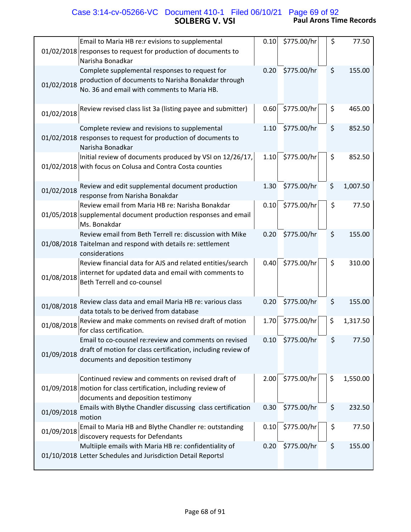# **SOLBERG V. VSI Paul Arons Time Records** Case 3:14-cv-05266-VC Document 410-1 Filed 06/10/21 Page 69 of 92

| Email to Maria HB re:r evisions to supplemental<br>01/02/2018 responses to request for production of documents to<br>Narisha Bonadkar                                      | 0.10 | \$775.00/hr | \$<br>77.50    |
|----------------------------------------------------------------------------------------------------------------------------------------------------------------------------|------|-------------|----------------|
| Complete supplemental responses to request for<br>production of documents to Narisha Bonakdar through<br>01/02/2018<br>No. 36 and email with comments to Maria HB.         | 0.20 | \$775.00/hr | \$<br>155.00   |
| Review revised class list 3a (listing payee and submitter)<br>01/02/2018                                                                                                   | 0.60 | \$775.00/hr | \$<br>465.00   |
| Complete review and revisions to supplemental<br>01/02/2018 responses to request for production of documents to<br>Narisha Bonadkar                                        | 1.10 | \$775.00/hr | \$<br>852.50   |
| Initial review of documents produced by VSI on 12/26/17,<br>01/02/2018 with focus on Colusa and Contra Costa counties                                                      | 1.10 | \$775.00/hr | \$<br>852.50   |
| Review and edit supplemental document production<br>01/02/2018<br>response from Narisha Bonakdar                                                                           | 1.30 | \$775.00/hr | \$<br>1,007.50 |
| Review email from Maria HB re: Narisha Bonakdar<br>01/05/2018 supplemental document production responses and email<br>Ms. Bonakdar                                         | 0.10 | \$775.00/hr | \$<br>77.50    |
| Review email from Beth Terrell re: discussion with Mike<br>01/08/2018 Taitelman and respond with details re: settlement<br>considerations                                  | 0.20 | \$775.00/hr | \$<br>155.00   |
| Review financial data for AJS and related entities/search<br>internet for updated data and email with comments to<br>01/08/2018<br><b>Beth Terrell and co-counsel</b>      | 0.40 | \$775.00/hr | \$<br>310.00   |
| Review class data and email Maria HB re: various class<br>01/08/2018<br>data totals to be derived from database                                                            | 0.20 | \$775.00/hr | \$<br>155.00   |
| Review and make comments on revised draft of motion<br>01/08/2018<br>for class certification.                                                                              | 1.70 | \$775.00/hr | \$<br>1,317.50 |
| Email to co-cousnel re: review and comments on revised<br>draft of motion for class certification, including review of<br>01/09/2018<br>documents and deposition testimony | 0.10 | \$775.00/hr | \$<br>77.50    |
| Continued review and comments on revised draft of<br>01/09/2018 motion for class certification, including review of<br>documents and deposition testimony                  | 2.00 | \$775.00/hr | \$<br>1,550.00 |
| Emails with Blythe Chandler discussing class certification<br>01/09/2018<br>motion                                                                                         | 0.30 | \$775.00/hr | \$<br>232.50   |
| Email to Maria HB and Blythe Chandler re: outstanding<br>01/09/2018<br>discovery requests for Defendants                                                                   | 0.10 | \$775.00/hr | \$<br>77.50    |
| Multiiple emails with Maria HB re: confidentiality of<br>01/10/2018 Letter Schedules and Jurisdiction Detail Reportsl                                                      | 0.20 | \$775.00/hr | \$<br>155.00   |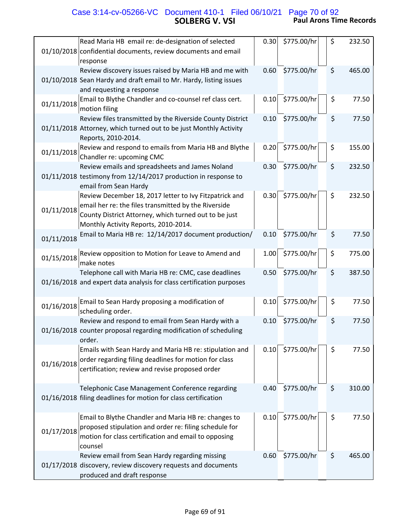## **SOLBERG V. VSI Paul Arons Time Records** Case 3:14-cv-05266-VC Document 410-1 Filed 06/10/21 Page 70 of 92

01/10/2018 confidential documents, review documents and email Read Maria HB email re: de‐designation of selected response  $0.30 \mid 5775.00/hr \mid 5$  232.50 01/10/2018 Sean Hardy and draft email to Mr. Hardy, listing issues Review discovery issues raised by Maria HB and me with and requesting a response  $0.60$  \$775.00/hr \$ 465.00 01/11/2018 Email to Blythe Chandler and co-counsel ref class cert. motion filing  $0.10$  \$775.00/hr  $\frac{1}{5}$  \$77.50 01/11/2018 Attorney, which turned out to be just Monthly Activity Review files transmitted by the Riverside County District Reports, 2010‐2014.  $0.10$  \$775.00/hr \$ 77.50 01/11/2018 Review and respond to emails from Maria HB and Blythe Chandler re: upcoming CMC  $0.20$  \$775.00/hr  $\frac{1}{5}$  \$ 155.00 01/11/2018 testimony from 12/14/2017 production in response to Review emails and spreadsheets and James Noland email from Sean Hardy 0.30 \$775.00/hr \$ 232.50 01/11/2018 Review December 18, 2017 letter to Ivy Fitzpatrick and email her re: the files transmitted by the Riverside County District Attorney, which turned out to be just Monthly Activity Reports, 2010‐2014.  $0.30 \mid \frac{2775.00}{hr} \mid \frac{1}{5}$  232.50 01/11/2018 Email to Maria HB re: 12/14/2017 document production/ 0.10 \$775.00/hr \$ 77.50 01/15/2018 Review opposition to Motion for Leave to Amend and make notes 1.00  $$775.00/hr$   $$$  775.00 01/16/2018 and expert data analysis for class certification purposes Telephone call with Maria HB re: CMC, case deadlines 0.50 \$775.00/hr \$ 387.50 01/16/2018 Email to Sean Hardy proposing a modification of scheduling order.  $0.10$  \$775.00/hr \$ 77.50 01/16/2018 counter proposal regarding modification of scheduling Review and respond to email from Sean Hardy with a order.  $0.10$  \$775.00/hr \$ 77.50 01/16/2018 Emails with Sean Hardy and Maria HB re: stipulation and order regarding filing deadlines for motion for class certification; review and revise proposed order  $0.10$  \$775.00/hr  $\frac{1}{5}$  \$77.50 01/16/2018 filing deadlines for motion for class certification Telephonic Case Management Conference regarding  $0.40$  \$775.00/hr \$ 310.00 01/17/2018 Email to Blythe Chandler and Maria HB re: changes to proposed stipulation and order re: filing schedule for motion for class certification and email to opposing counsel  $0.10$  \$775.00/hr  $\frac{1}{5}$  \$77.50 01/17/2018 discovery, review discovery requests and documents Review email from Sean Hardy regarding missing produced and draft response 0.60 \$775.00/hr \$ 465.00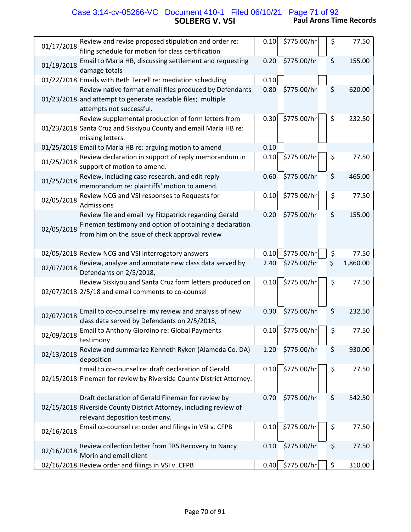# **SOLBERG V. VSI Paul Arons Time Records** Case 3:14-cv-05266-VC Document 410-1 Filed 06/10/21 Page 71 of 92

| Review and revise proposed stipulation and order re:<br>01/17/2018                                                                                                                | 0.10 | \$775.00/hr | \$<br>77.50    |
|-----------------------------------------------------------------------------------------------------------------------------------------------------------------------------------|------|-------------|----------------|
| filing schedule for motion for class certification                                                                                                                                |      |             |                |
| Email to Maria HB, discussing settlement and requesting<br>01/19/2018<br>damage totals                                                                                            | 0.20 | \$775.00/hr | \$<br>155.00   |
| 01/22/2018 Emails with Beth Terrell re: mediation scheduling                                                                                                                      | 0.10 |             |                |
| Review native format email files produced by Defendants<br>01/23/2018 and attempt to generate readable files; multiple<br>attempts not successful.                                | 0.80 | \$775.00/hr | \$<br>620.00   |
| Review supplemental production of form letters from<br>01/23/2018 Santa Cruz and Siskiyou County and email Maria HB re:<br>missing letters.                                       | 0.30 | \$775.00/hr | \$<br>232.50   |
| 01/25/2018 Email to Maria HB re: arguing motion to amend                                                                                                                          | 0.10 |             |                |
| Review declaration in support of reply memorandum in<br>01/25/2018<br>support of motion to amend.                                                                                 | 0.10 | \$775.00/hr | \$<br>77.50    |
| Review, including case research, and edit reply<br>01/25/2018<br>memorandum re: plaintiffs' motion to amend.                                                                      | 0.60 | \$775.00/hr | \$<br>465.00   |
| Review NCG and VSI responses to Requests for<br>02/05/2018<br>Admissions                                                                                                          | 0.10 | \$775.00/hr | \$<br>77.50    |
| Review file and email Ivy Fitzpatrick regarding Gerald<br>Fineman testimony and option of obtaining a declaration<br>02/05/2018<br>from him on the issue of check approval review | 0.20 | \$775.00/hr | \$<br>155.00   |
| 02/05/2018 Review NCG and VSI interrogatory answers                                                                                                                               | 0.10 | \$775.00/hr | \$<br>77.50    |
| Review, analyze and annotate new class data served by<br>02/07/2018<br>Defendants on 2/5/2018,                                                                                    | 2.40 | \$775.00/hr | \$<br>1,860.00 |
| Review Siskiyou and Santa Cruz form letters produced on<br>02/07/2018 2/5/18 and email comments to co-counsel                                                                     | 0.10 | \$775.00/hr | \$<br>77.50    |
| Email to co-counsel re: my review and analysis of new<br>02/07/2018<br>class data served by Defendants on 2/5/2018,                                                               | 0.30 | \$775.00/hr | \$<br>232.50   |
| Email to Anthony Giordino re: Global Payments<br>02/09/2018<br>testimony                                                                                                          | 0.10 | \$775.00/hr | \$<br>77.50    |
| Review and summarize Kenneth Ryken (Alameda Co. DA)<br>02/13/2018<br>deposition                                                                                                   | 1.20 | \$775.00/hr | \$<br>930.00   |
| Email to co-counsel re: draft declaration of Gerald<br>02/15/2018 Fineman for review by Riverside County District Attorney.                                                       | 0.10 | \$775.00/hr | \$<br>77.50    |
| Draft declaration of Gerald Fineman for review by<br>02/15/2018 Riverside County District Attorney, including review of<br>relevant deposition testimony.                         | 0.70 | \$775.00/hr | \$<br>542.50   |
| Email co-counsel re: order and filings in VSI v. CFPB<br>02/16/2018                                                                                                               | 0.10 | \$775.00/hr | \$<br>77.50    |
| Review collection letter from TRS Recovery to Nancy<br>02/16/2018<br>Morin and email client                                                                                       | 0.10 | \$775.00/hr | \$<br>77.50    |
| 02/16/2018 Review order and filings in VSI v. CFPB                                                                                                                                | 0.40 | \$775.00/hr | \$<br>310.00   |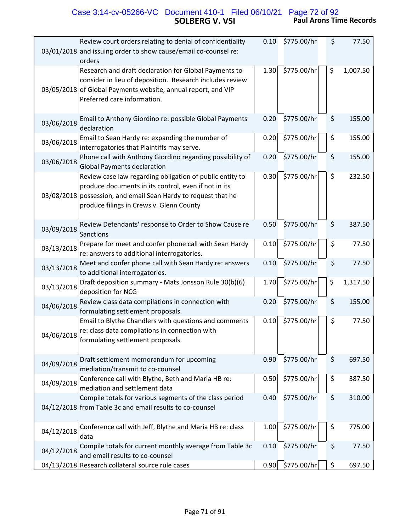# **SOLBERG V. VSI Paul Arons Time Records** Case 3:14-cv-05266-VC Document 410-1 Filed 06/10/21 Page 72 of 92

| Review court orders relating to denial of confidentiality                                                                                                                                                                      | 0.10 | \$775.00/hr        | \$<br>77.50    |
|--------------------------------------------------------------------------------------------------------------------------------------------------------------------------------------------------------------------------------|------|--------------------|----------------|
| 03/01/2018 and issuing order to show cause/email co-counsel re:<br>orders                                                                                                                                                      |      |                    |                |
| Research and draft declaration for Global Payments to<br>consider in lieu of deposition. Research includes review<br>03/05/2018 of Global Payments website, annual report, and VIP<br>Preferred care information.              | 1.30 | \$775.00/hr        | \$<br>1,007.50 |
| Email to Anthony Giordino re: possible Global Payments<br>03/06/2018<br>declaration                                                                                                                                            | 0.20 | \$775.00/hr        | \$<br>155.00   |
| Email to Sean Hardy re: expanding the number of<br>03/06/2018<br>interrogatories that Plaintiffs may serve.                                                                                                                    | 0.20 | \$775.00/hr        | \$<br>155.00   |
| Phone call with Anthony Giordino regarding possibility of<br>03/06/2018<br><b>Global Payments declaration</b>                                                                                                                  | 0.20 | \$775.00/hr        | \$<br>155.00   |
| Review case law regarding obligation of public entity to<br>produce documents in its control, even if not in its<br>03/08/2018 possession, and email Sean Hardy to request that he<br>produce filings in Crews v. Glenn County | 0.30 | \$775.00/hr        | \$<br>232.50   |
| Review Defendants' response to Order to Show Cause re<br>03/09/2018<br>Sanctions                                                                                                                                               | 0.50 | \$775.00/hr        | \$<br>387.50   |
| Prepare for meet and confer phone call with Sean Hardy<br>03/13/2018<br>re: answers to additional interrogatories.                                                                                                             | 0.10 | \$775.00/hr        | \$<br>77.50    |
| Meet and confer phone call with Sean Hardy re: answers<br>03/13/2018<br>to additional interrogatories.                                                                                                                         | 0.10 | \$775.00/hr        | \$<br>77.50    |
| Draft deposition summary - Mats Jonsson Rule 30(b)(6)<br>03/13/2018<br>deposition for NCG                                                                                                                                      | 1.70 | \$775.00/hr        | \$<br>1,317.50 |
| Review class data compilations in connection with<br>04/06/2018<br>formulating settlement proposals.                                                                                                                           | 0.20 | \$775.00/hr        | \$<br>155.00   |
| Email to Blythe Chandlers with questions and comments<br>re: class data compilations in connection with<br>04/06/2018<br>formulating settlement proposals.                                                                     | 0.10 | \$775.00/hr        | \$<br>77.50    |
| Draft settlement memorandum for upcoming<br>04/09/2018<br>mediation/transmit to co-counsel                                                                                                                                     | 0.90 | \$775.00/hr        | \$<br>697.50   |
| Conference call with Blythe, Beth and Maria HB re:<br>04/09/2018<br>mediation and settlement data                                                                                                                              | 0.50 | \$775.00/hr        | \$<br>387.50   |
| Compile totals for various segments of the class period<br>04/12/2018 from Table 3c and email results to co-counsel                                                                                                            | 0.40 | \$775.00/hr        | \$<br>310.00   |
| Conference call with Jeff, Blythe and Maria HB re: class<br>04/12/2018<br>data                                                                                                                                                 | 1.00 | \$775.00/hr        | \$<br>775.00   |
| Compile totals for current monthly average from Table 3c<br>04/12/2018<br>and email results to co-counsel                                                                                                                      | 0.10 | \$775.00/hr        | \$<br>77.50    |
| 04/13/2018 Research collateral source rule cases                                                                                                                                                                               |      | $0.90$ \$775.00/hr | \$<br>697.50   |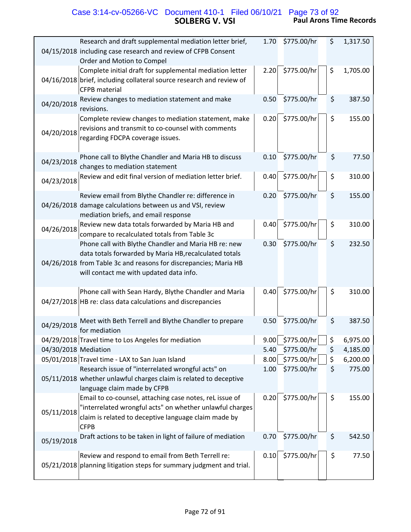# **SOLBERG V. VSI Paul Arons Time Records** Case 3:14-cv-05266-VC Document 410-1 Filed 06/10/21 Page 73 of 92

| Research and draft supplemental mediation letter brief,<br>04/15/2018 including case research and review of CFPB Consent<br>Order and Motion to Compel                                                                        | 1.70 | \$775.00/hr | \$<br>1,317.50 |
|-------------------------------------------------------------------------------------------------------------------------------------------------------------------------------------------------------------------------------|------|-------------|----------------|
| Complete initial draft for supplemental mediation letter<br>04/16/2018 brief, including collateral source research and review of<br>CFPB material                                                                             | 2.20 | \$775.00/hr | \$<br>1,705.00 |
| Review changes to mediation statement and make<br>04/20/2018<br>revisions.                                                                                                                                                    | 0.50 | \$775.00/hr | \$<br>387.50   |
| Complete review changes to mediation statement, make<br>revisions and transmit to co-counsel with comments<br>04/20/2018<br>regarding FDCPA coverage issues.                                                                  | 0.20 | \$775.00/hr | \$<br>155.00   |
| Phone call to Blythe Chandler and Maria HB to discuss<br>04/23/2018<br>changes to mediation statement                                                                                                                         | 0.10 | \$775.00/hr | \$<br>77.50    |
| Review and edit final version of mediation letter brief.<br>04/23/2018                                                                                                                                                        | 0.40 | \$775.00/hr | \$<br>310.00   |
| Review email from Blythe Chandler re: difference in<br>04/26/2018 damage calculations between us and VSI, review<br>mediation briefs, and email response                                                                      | 0.20 | \$775.00/hr | \$<br>155.00   |
| Review new data totals forwarded by Maria HB and<br>04/26/2018<br>compare to recalculated totals from Table 3c                                                                                                                | 0.40 | \$775.00/hr | \$<br>310.00   |
| Phone call with Blythe Chandler and Maria HB re: new<br>data totals forwarded by Maria HB, recalculated totals<br>04/26/2018 from Table 3c and reasons for discrepancies; Maria HB<br>will contact me with updated data info. | 0.30 | \$775.00/hr | \$<br>232.50   |
| Phone call with Sean Hardy, Blythe Chandler and Maria<br>04/27/2018 HB re: class data calculations and discrepancies                                                                                                          | 0.40 | \$775.00/hr | \$<br>310.00   |
| Meet with Beth Terrell and Blythe Chandler to prepare<br>04/29/2018<br>for mediation                                                                                                                                          | 0.50 | \$775.00/hr | \$<br>387.50   |
| 04/29/2018 Travel time to Los Angeles for mediation                                                                                                                                                                           | 9.00 | \$775.00/hr | \$<br>6,975.00 |
| 04/30/2018 Mediation                                                                                                                                                                                                          | 5.40 | \$775.00/hr | \$<br>4,185.00 |
| 05/01/2018 Travel time - LAX to San Juan Island                                                                                                                                                                               | 8.00 | \$775.00/hr | \$<br>6,200.00 |
| Research issue of "interrelated wrongful acts" on<br>05/11/2018 whether unlawful charges claim is related to deceptive<br>language claim made by CFPB                                                                         | 1.00 | \$775.00/hr | \$<br>775.00   |
| Email to co-counsel, attaching case notes, reL issue of<br>"interrelated wrongful acts" on whether unlawful charges<br>05/11/2018<br>claim is related to deceptive language claim made by<br><b>CFPB</b>                      | 0.20 | \$775.00/hr | \$<br>155.00   |
| Draft actions to be taken in light of failure of mediation<br>05/19/2018                                                                                                                                                      | 0.70 | \$775.00/hr | \$<br>542.50   |
| Review and respond to email from Beth Terrell re:<br>05/21/2018 planning litigation steps for summary judgment and trial.                                                                                                     | 0.10 | \$775.00/hr | \$<br>77.50    |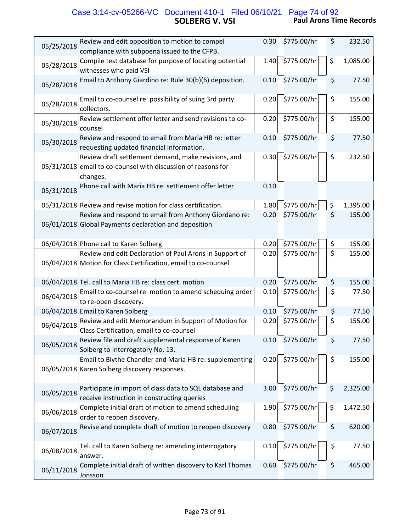# **SOLBERG V. VSI Paul Arons Time Records** Case 3:14-cv-05266-VC Document 410-1 Filed 06/10/21 Page 74 of 92

| 05/25/2018 | Review and edit opposition to motion to compel<br>compliance with subpoena issued to the CFPB.                                   | 0.30 | \$775.00/hr | \$<br>232.50   |
|------------|----------------------------------------------------------------------------------------------------------------------------------|------|-------------|----------------|
| 05/28/2018 | Compile test database for purpose of locating potential<br>witnesses who paid VSI                                                | 1.40 | \$775.00/hr | \$<br>1,085.00 |
| 05/28/2018 | Email to Anthony Giardino re: Rule 30(b)(6) deposition.                                                                          | 0.10 | \$775.00/hr | \$<br>77.50    |
| 05/28/2018 | Email to co-counsel re: possibility of suing 3rd party<br>collectors.                                                            | 0.20 | \$775.00/hr | \$<br>155.00   |
| 05/30/2018 | Review settlement offer letter and send revisions to co-<br>counsel                                                              | 0.20 | \$775.00/hr | \$<br>155.00   |
| 05/30/2018 | Review and respond to email from Maria HB re: letter<br>requesting updated financial information.                                | 0.10 | \$775.00/hr | \$<br>77.50    |
|            | Review draft settlement demand, make revisions, and<br>05/31/2018 email to co-counsel with discussion of reasons for<br>changes. | 0.30 | \$775.00/hr | \$<br>232.50   |
| 05/31/2018 | Phone call with Maria HB re: settlement offer letter                                                                             | 0.10 |             |                |
|            | 05/31/2018 Review and revise motion for class certification.                                                                     | 1.80 | \$775.00/hr | \$<br>1,395.00 |
|            | Review and respond to email from Anthony Giordano re:<br>06/01/2018 Global Payments declaration and deposition                   | 0.20 | \$775.00/hr | \$<br>155.00   |
|            | 06/04/2018 Phone call to Karen Solberg                                                                                           | 0.20 | \$775.00/hr | \$<br>155.00   |
|            | Review and edit Declaration of Paul Arons in Support of                                                                          | 0.20 | \$775.00/hr | \$<br>155.00   |
|            | 06/04/2018 Motion for Class Certification, email to co-counsel                                                                   |      |             |                |
|            | 06/04/2018 Tel. call to Maria HB re: class cert. motion                                                                          | 0.20 | \$775.00/hr | \$<br>155.00   |
| 06/04/2018 | Email to co-counsel re: motion to amend scheduing order<br>to re-open discovery.                                                 | 0.10 | \$775.00/hr | \$<br>77.50    |
|            | 06/04/2018 Email to Karen Solberg                                                                                                | 0.10 | \$775.00/hr | \$<br>77.50    |
| 06/04/2018 | Review and edit Memorandum in Support of Motion for<br>Class Certification, email to co-counsel                                  | 0.20 | \$775.00/hr | \$<br>155.00   |
| 06/05/2018 | Review file and draft supplemental response of Karen<br>Solberg to Interrogatory No. 13.                                         | 0.10 | \$775.00/hr | \$<br>77.50    |
|            | Email to Blythe Chandler and Maria HB re: supplementing<br>06/05/2018 Karen Solberg discovery responses.                         | 0.20 | \$775.00/hr | \$<br>155.00   |
| 06/05/2018 | Participate in import of class data to SQL database and<br>receive instruction in constructing queries                           | 3.00 | \$775.00/hr | \$<br>2,325.00 |
| 06/06/2018 | Complete initial draft of motion to amend scheduling<br>order to reopen discovery.                                               | 1.90 | \$775.00/hr | \$<br>1,472.50 |
| 06/07/2018 | Revise and complete draft of motion to reopen discovery                                                                          | 0.80 | \$775.00/hr | \$<br>620.00   |
| 06/08/2018 | Tel. call to Karen Solberg re: amending interrogatory<br>answer.                                                                 | 0.10 | \$775.00/hr | \$<br>77.50    |
| 06/11/2018 | Complete initial draft of written discovery to Karl Thomas<br>Jonsson                                                            | 0.60 | \$775.00/hr | \$<br>465.00   |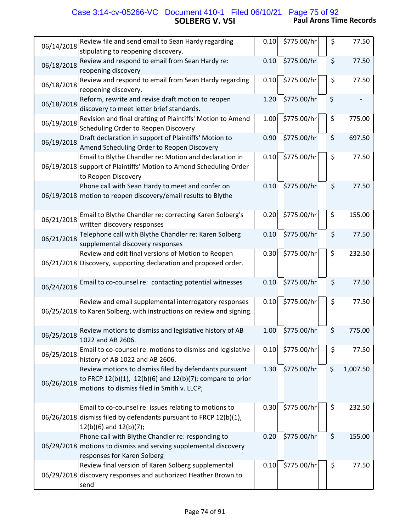# **SOLBERG V. VSI Paul Arons Time Records** Case 3:14-cv-05266-VC Document 410-1 Filed 06/10/21 Page 75 of 92

| Review file and send email to Sean Hardy regarding                                                                                                                              | 0.10 | \$775.00/hr | \$<br>77.50    |
|---------------------------------------------------------------------------------------------------------------------------------------------------------------------------------|------|-------------|----------------|
| 06/14/2018<br>stipulating to reopening discovery.                                                                                                                               |      |             |                |
| Review and respond to email from Sean Hardy re:<br>06/18/2018<br>reopening discovery                                                                                            | 0.10 | \$775.00/hr | \$<br>77.50    |
| Review and respond to email from Sean Hardy regarding<br>06/18/2018<br>reopening discovery.                                                                                     | 0.10 | \$775.00/hr | \$<br>77.50    |
| Reform, rewrite and revise draft motion to reopen<br>06/18/2018<br>discovery to meet letter brief standards.                                                                    | 1.20 | \$775.00/hr | \$             |
| Revision and final drafting of Plaintiffs' Motion to Amend<br>06/19/2018<br>Scheduling Order to Reopen Discovery                                                                | 1.00 | \$775.00/hr | \$<br>775.00   |
| Draft declaration in support of Plaintiffs' Motion to<br>06/19/2018<br>Amend Scheduling Order to Reopen Discovery                                                               | 0.90 | \$775.00/hr | \$<br>697.50   |
| Email to Blythe Chandler re: Motion and declaration in<br>06/19/2018 support of Plaintiffs' Motion to Amend Scheduling Order<br>to Reopen Discovery                             | 0.10 | \$775.00/hr | \$<br>77.50    |
| Phone call with Sean Hardy to meet and confer on<br>06/19/2018 motion to reopen discovery/email results to Blythe                                                               | 0.10 | \$775.00/hr | \$<br>77.50    |
| Email to Blythe Chandler re: correcting Karen Solberg's<br>06/21/2018<br>written discovery responses                                                                            | 0.20 | \$775.00/hr | \$<br>155.00   |
| Telephone call with Blythe Chandler re: Karen Solberg<br>06/21/2018<br>supplemental discovery responses                                                                         | 0.10 | \$775.00/hr | \$<br>77.50    |
| Review and edit final versions of Motion to Reopen<br>06/21/2018 Discovery, supporting declaration and proposed order.                                                          | 0.30 | \$775.00/hr | \$<br>232.50   |
| Email to co-counsel re: contacting potential witnesses<br>06/24/2018                                                                                                            | 0.10 | \$775.00/hr | \$<br>77.50    |
| Review and email supplemental interrogatory responses<br>06/25/2018 to Karen Solberg, with instructions on review and signing.                                                  | 0.10 | \$775.00/hr | \$<br>77.50    |
| Review motions to dismiss and legislative history of AB<br>06/25/2018<br>1022 and AB 2606.                                                                                      | 1.00 | \$775.00/hr | \$<br>775.00   |
| Email to co-counsel re: motions to dismiss and legislative<br>06/25/2018<br>history of AB 1022 and AB 2606.                                                                     | 0.10 | \$775.00/hr | \$<br>77.50    |
| Review motions to dismiss filed by defendants pursuant<br>to FRCP 12(b)(1), 12(b)(6) and 12(b)(7); compare to prior<br>06/26/2018<br>motions to dismiss filed in Smith v. LLCP; | 1.30 | \$775.00/hr | \$<br>1,007.50 |
| Email to co-counsel re: issues relating to motions to<br>06/26/2018 dismiss filed by defendants pursuant to FRCP 12(b)(1),<br>$12(b)(6)$ and $12(b)(7)$ ;                       | 0.30 | \$775.00/hr | \$<br>232.50   |
| Phone call with Blythe Chandler re: responding to<br>06/29/2018 motions to dismiss and serving supplemental discovery<br>responses for Karen Solberg                            | 0.20 | \$775.00/hr | \$<br>155.00   |
| Review final version of Karen Solberg supplemental<br>06/29/2018 discovery responses and authorized Heather Brown to<br>send                                                    | 0.10 | \$775.00/hr | \$<br>77.50    |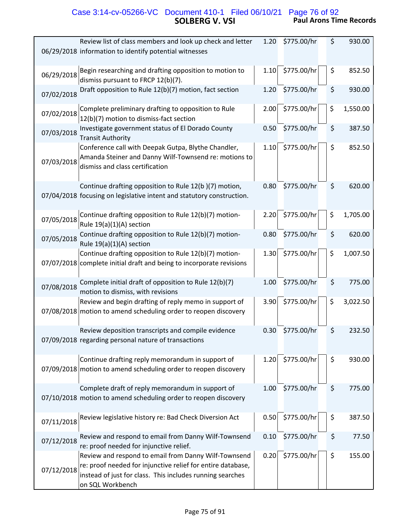# **SOLBERG V. VSI Paul Arons Time Records** Case 3:14-cv-05266-VC Document 410-1 Filed 06/10/21 Page 76 of 92

|            | Review list of class members and look up check and letter<br>06/29/2018 information to identify potential witnesses                                                                                  | 1.20 | \$775.00/hr | \$ | 930.00   |
|------------|------------------------------------------------------------------------------------------------------------------------------------------------------------------------------------------------------|------|-------------|----|----------|
| 06/29/2018 | Begin researching and drafting opposition to motion to<br>dismiss pursuant to FRCP 12(b)(7).                                                                                                         | 1.10 | \$775.00/hr | \$ | 852.50   |
| 07/02/2018 | Draft opposition to Rule 12(b)(7) motion, fact section                                                                                                                                               | 1.20 | \$775.00/hr | \$ | 930.00   |
| 07/02/2018 | Complete preliminary drafting to opposition to Rule<br>12(b)(7) motion to dismiss-fact section                                                                                                       | 2.00 | \$775.00/hr | \$ | 1,550.00 |
| 07/03/2018 | Investigate government status of El Dorado County<br><b>Transit Authority</b>                                                                                                                        | 0.50 | \$775.00/hr | \$ | 387.50   |
| 07/03/2018 | Conference call with Deepak Gutpa, Blythe Chandler,<br>Amanda Steiner and Danny Wilf-Townsend re: motions to<br>dismiss and class certification                                                      | 1.10 | \$775.00/hr | \$ | 852.50   |
|            | Continue drafting opposition to Rule 12(b)(7) motion,<br>07/04/2018 focusing on legislative intent and statutory construction.                                                                       | 0.80 | \$775.00/hr | \$ | 620.00   |
| 07/05/2018 | Continue drafting opposition to Rule 12(b)(7) motion-<br>Rule 19(a)(1)(A) section                                                                                                                    | 2.20 | \$775.00/hr | \$ | 1,705.00 |
| 07/05/2018 | Continue drafting opposition to Rule 12(b)(7) motion-<br>Rule 19(a)(1)(A) section                                                                                                                    | 0.80 | \$775.00/hr | \$ | 620.00   |
|            | Continue drafting opposition to Rule 12(b)(7) motion-<br>07/07/2018 complete initial draft and being to incorporate revisions                                                                        | 1.30 | \$775.00/hr | \$ | 1,007.50 |
| 07/08/2018 | Complete initial draft of opposition to Rule 12(b)(7)<br>motion to dismiss, with revisions                                                                                                           | 1.00 | \$775.00/hr | \$ | 775.00   |
|            | Review and begin drafting of reply memo in support of<br>07/08/2018 motion to amend scheduling order to reopen discovery                                                                             | 3.90 | \$775.00/hr | \$ | 3,022.50 |
|            | Review deposition transcripts and compile evidence<br>07/09/2018 regarding personal nature of transactions                                                                                           | 0.30 | \$775.00/hr | \$ | 232.50   |
|            | Continue drafting reply memorandum in support of<br>07/09/2018 motion to amend scheduling order to reopen discovery                                                                                  | 1.20 | \$775.00/hr | \$ | 930.00   |
|            | Complete draft of reply memorandum in support of<br>07/10/2018 motion to amend scheduling order to reopen discovery                                                                                  | 1.00 | \$775.00/hr | \$ | 775.00   |
| 07/11/2018 | Review legislative history re: Bad Check Diversion Act                                                                                                                                               | 0.50 | \$775.00/hr | \$ | 387.50   |
| 07/12/2018 | Review and respond to email from Danny Wilf-Townsend<br>re: proof needed for injunctive relief.                                                                                                      | 0.10 | \$775.00/hr | \$ | 77.50    |
| 07/12/2018 | Review and respond to email from Danny Wilf-Townsend<br>re: proof needed for injunctive relief for entire database,<br>instead of just for class. This includes running searches<br>on SQL Workbench | 0.20 | \$775.00/hr | \$ | 155.00   |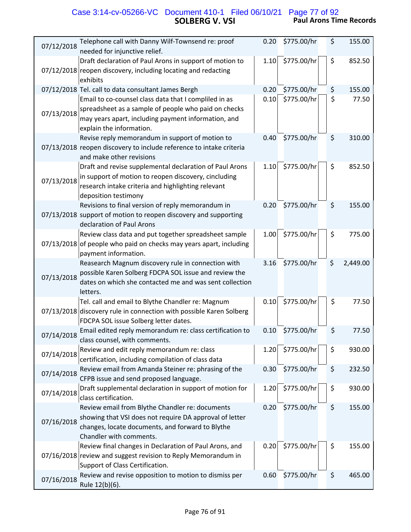### **SOLBERG V. VSI Paul Arons Time Records** Case 3:14-cv-05266-VC Document 410-1 Filed 06/10/21 Page 77 of 92

| Telephone call with Danny Wilf-Townsend re: proof<br>07/12/2018<br>needed for injunctive relief.                                                                                                               | 0.20 | \$775.00/hr | \$<br>155.00   |
|----------------------------------------------------------------------------------------------------------------------------------------------------------------------------------------------------------------|------|-------------|----------------|
| Draft declaration of Paul Arons in support of motion to<br>07/12/2018 reopen discovery, including locating and redacting<br>exhibits                                                                           | 1.10 | \$775.00/hr | \$<br>852.50   |
| 07/12/2018 Tel. call to data consultant James Bergh                                                                                                                                                            | 0.20 | \$775.00/hr | \$<br>155.00   |
| Email to co-counsel class data that I compliled in as<br>spreadsheet as a sample of people who paid on checks<br>07/13/2018<br>may years apart, including payment information, and<br>explain the information. | 0.10 | \$775.00/hr | \$<br>77.50    |
| Revise reply memorandum in support of motion to<br>07/13/2018 reopen discovery to include reference to intake criteria<br>and make other revisions                                                             | 0.40 | \$775.00/hr | \$<br>310.00   |
| Draft and revise supplemental declaration of Paul Arons<br>in support of motion to reopen discovery, cincluding<br>07/13/2018<br>research intake criteria and highlighting relevant<br>deposition testimony    | 1.10 | \$775.00/hr | \$<br>852.50   |
| Revisions to final version of reply memorandum in<br>07/13/2018 support of motion to reopen discovery and supporting<br>declaration of Paul Arons                                                              | 0.20 | \$775.00/hr | \$<br>155.00   |
| Review class data and put together spreadsheet sample<br>07/13/2018 of people who paid on checks may years apart, including<br>payment information.                                                            | 1.00 | \$775.00/hr | \$<br>775.00   |
| Reasearch Magnum discovery rule in connection with<br>possible Karen Solberg FDCPA SOL issue and review the<br>07/13/2018<br>dates on which she contacted me and was sent collection<br>letters.               | 3.16 | \$775.00/hr | \$<br>2,449.00 |
| Tel. call and email to Blythe Chandler re: Magnum<br>07/13/2018 discovery rule in connection with possible Karen Solberg<br>FDCPA SOL issue Solberg letter dates.                                              | 0.10 | \$775.00/hr | \$<br>77.50    |
| Email edited reply memorandum re: class certification to<br>07/14/2018<br>class counsel, with comments.                                                                                                        | 0.10 | \$775.00/hr | \$<br>77.50    |
| Review and edit reply memorandum re: class<br>07/14/2018<br>certification, including compilation of class data                                                                                                 | 1.20 | \$775.00/hr | \$<br>930.00   |
| Review email from Amanda Steiner re: phrasing of the<br>07/14/2018<br>CFPB issue and send proposed language.                                                                                                   | 0.30 | \$775.00/hr | \$<br>232.50   |
| Draft supplemental declaration in support of motion for<br>07/14/2018<br>class certification.                                                                                                                  | 1.20 | \$775.00/hr | \$<br>930.00   |
| Review email from Blythe Chandler re: documents<br>showing that VSI does not require DA approval of letter<br>07/16/2018<br>changes, locate documents, and forward to Blythe<br>Chandler with comments.        | 0.20 | \$775.00/hr | \$<br>155.00   |
| Review final changes in Declaration of Paul Arons, and<br>07/16/2018 review and suggest revision to Reply Memorandum in<br>Support of Class Certification.                                                     | 0.20 | \$775.00/hr | \$<br>155.00   |
| Review and revise opposition to motion to dismiss per<br>07/16/2018<br>Rule 12(b)(6).                                                                                                                          | 0.60 | \$775.00/hr | \$<br>465.00   |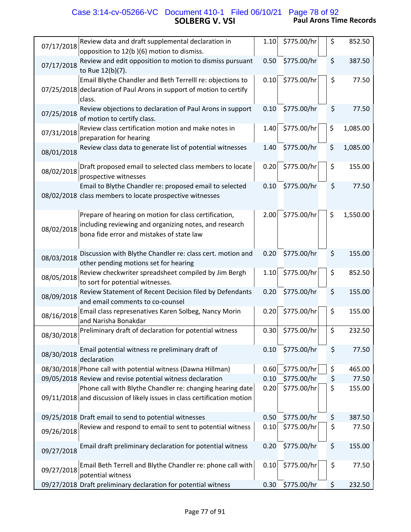### **SOLBERG V. VSI Paul Arons Time Records** Case 3:14-cv-05266-VC Document 410-1 Filed 06/10/21 Page 78 of 92

| Review data and draft supplemental declaration in                                                                                     | 1.10 | \$775.00/hr | \$<br>852.50   |
|---------------------------------------------------------------------------------------------------------------------------------------|------|-------------|----------------|
| 07/17/2018<br>opposition to 12(b)(6) motion to dismiss.                                                                               |      |             |                |
| Review and edit opposition to motion to dismiss pursuant<br>07/17/2018<br>to Rue 12(b)(7).                                            | 0.50 | \$775.00/hr | \$<br>387.50   |
| Email Blythe Chandler and Beth Terrelll re: objections to                                                                             | 0.10 | \$775.00/hr | \$<br>77.50    |
| 07/25/2018 declaration of Paul Arons in support of motion to certify<br>class.                                                        |      |             |                |
| Review objections to declaration of Paul Arons in support<br>07/25/2018<br>of motion to certify class.                                | 0.10 | \$775.00/hr | \$<br>77.50    |
| Review class certification motion and make notes in<br>07/31/2018<br>preparation for hearing                                          | 1.40 | \$775.00/hr | \$<br>1,085.00 |
| Review class data to generate list of potential witnesses<br>08/01/2018                                                               | 1.40 | \$775.00/hr | \$<br>1,085.00 |
| Draft proposed email to selected class members to locate<br>08/02/2018<br>prospective witnesses                                       | 0.20 | \$775.00/hr | \$<br>155.00   |
| Email to Blythe Chandler re: proposed email to selected<br>08/02/2018 class members to locate prospective witnesses                   | 0.10 | \$775.00/hr | \$<br>77.50    |
| Prepare of hearing on motion for class certification,                                                                                 | 2.00 | \$775.00/hr | \$<br>1,550.00 |
| including reviewing and organizing notes, and research<br>08/02/2018<br>bona fide error and mistakes of state law                     |      |             |                |
| Discussion with Blythe Chandler re: class cert. motion and<br>08/03/2018<br>other pending motions set for hearing                     | 0.20 | \$775.00/hr | \$<br>155.00   |
| Review checkwriter spreadsheet compiled by Jim Bergh<br>08/05/2018<br>to sort for potential witnesses.                                | 1.10 | \$775.00/hr | \$<br>852.50   |
| Review Statement of Recent Decision filed by Defendants<br>08/09/2018<br>and email comments to co-counsel                             | 0.20 | \$775.00/hr | \$<br>155.00   |
| Email class represenatives Karen Solbeg, Nancy Morin<br>08/16/2018<br>and Narisha Bonakdar                                            | 0.20 | \$775.00/hr | \$<br>155.00   |
| Preliminary draft of declaration for potential witness<br>08/30/2018                                                                  | 0.30 | \$775.00/hr | \$<br>232.50   |
| Email potential witness re preliminary draft of<br>08/30/2018<br>declaration                                                          | 0.10 | \$775.00/hr | \$<br>77.50    |
| 08/30/2018 Phone call with potential witness (Dawna Hillman)                                                                          | 0.60 | \$775.00/hr | \$<br>465.00   |
| 09/05/2018 Review and revise potential witness declaration                                                                            | 0.10 | \$775.00/hr | \$<br>77.50    |
| Phone call with Blythe Chandler re: changing hearing date<br>09/11/2018 and discussion of likely issues in class certification motion | 0.20 | \$775.00/hr | \$<br>155.00   |
| 09/25/2018 Draft email to send to potential witnesses                                                                                 | 0.50 | \$775.00/hr | \$<br>387.50   |
| Review and respond to email to sent to potential witness<br>09/26/2018                                                                | 0.10 | \$775.00/hr | \$<br>77.50    |
| Email draft preliminary declaration for potential witness<br>09/27/2018                                                               | 0.20 | \$775.00/hr | \$<br>155.00   |
| Email Beth Terrell and Blythe Chandler re: phone call with<br>09/27/2018<br>potential witness                                         | 0.10 | \$775.00/hr | \$<br>77.50    |
| 09/27/2018 Draft preliminary declaration for potential witness                                                                        | 0.30 | \$775.00/hr | \$<br>232.50   |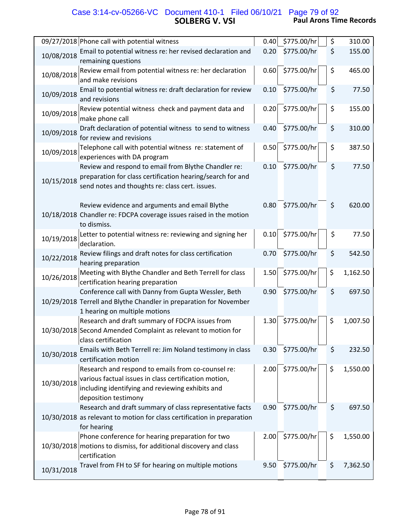# **SOLBERG V. VSI Paul Arons Time Records** Case 3:14-cv-05266-VC Document 410-1 Filed 06/10/21 Page 79 of 92

| 09/27/2018 Phone call with potential witness                                                                                                                                                          | 0.40 | \$775.00/hr | \$<br>310.00   |
|-------------------------------------------------------------------------------------------------------------------------------------------------------------------------------------------------------|------|-------------|----------------|
| Email to potential witness re: her revised declaration and<br>10/08/2018<br>remaining questions                                                                                                       | 0.20 | \$775.00/hr | \$<br>155.00   |
| Review email from potential witness re: her declaration<br>10/08/2018<br>and make revisions                                                                                                           | 0.60 | \$775.00/hr | \$<br>465.00   |
| Email to potential witness re: draft declaration for review<br>10/09/2018<br>and revisions                                                                                                            | 0.10 | \$775.00/hr | \$<br>77.50    |
| Review potential witness check and payment data and<br>10/09/2018<br>make phone call                                                                                                                  | 0.20 | \$775.00/hr | \$<br>155.00   |
| Draft declaration of potential witness to send to witness<br>10/09/2018<br>for review and revisions                                                                                                   | 0.40 | \$775.00/hr | \$<br>310.00   |
| Telephone call with potential witness re: statement of<br>10/09/2018<br>experiences with DA program                                                                                                   | 0.50 | \$775.00/hr | \$<br>387.50   |
| Review and respond to email from Blythe Chandler re:<br>preparation for class certification hearing/search for and<br>10/15/2018<br>send notes and thoughts re: class cert. issues.                   | 0.10 | \$775.00/hr | \$<br>77.50    |
| Review evidence and arguments and email Blythe<br>10/18/2018 Chandler re: FDCPA coverage issues raised in the motion<br>to dismiss.                                                                   | 0.80 | \$775.00/hr | \$<br>620.00   |
| Letter to potential witness re: reviewing and signing her<br>10/19/2018<br>declaration.                                                                                                               | 0.10 | \$775.00/hr | \$<br>77.50    |
| Review filings and draft notes for class certification<br>10/22/2018<br>hearing preparation                                                                                                           | 0.70 | \$775.00/hr | \$<br>542.50   |
| Meeting with Blythe Chandler and Beth Terrell for class<br>10/26/2018<br>certification hearing preparation                                                                                            | 1.50 | \$775.00/hr | \$<br>1,162.50 |
| Conference call with Danny from Gupta Wessler, Beth<br>10/29/2018 Terrell and Blythe Chandler in preparation for November<br>1 hearing on multiple motions                                            | 0.90 | \$775.00/hr | \$<br>697.50   |
| Research and draft summary of FDCPA issues from<br>10/30/2018 Second Amended Complaint as relevant to motion for<br>class certification                                                               | 1.30 | \$775.00/hr | \$<br>1,007.50 |
| Emails with Beth Terrell re: Jim Noland testimony in class<br>10/30/2018<br>certification motion                                                                                                      | 0.30 | \$775.00/hr | \$<br>232.50   |
| Research and respond to emails from co-counsel re:<br>various factual issues in class certification motion,<br>10/30/2018<br>including identifying and reviewing exhibits and<br>deposition testimony | 2.00 | \$775.00/hr | \$<br>1,550.00 |
| Research and draft summary of class representative facts<br>10/30/2018 as relevant to motion for class certification in preparation<br>for hearing                                                    | 0.90 | \$775.00/hr | \$<br>697.50   |
| Phone conference for hearing preparation for two<br>10/30/2018 motions to dismiss, for additional discovery and class<br>certification                                                                | 2.00 | \$775.00/hr | \$<br>1,550.00 |
| Travel from FH to SF for hearing on multiple motions<br>10/31/2018                                                                                                                                    | 9.50 | \$775.00/hr | \$<br>7,362.50 |

Ш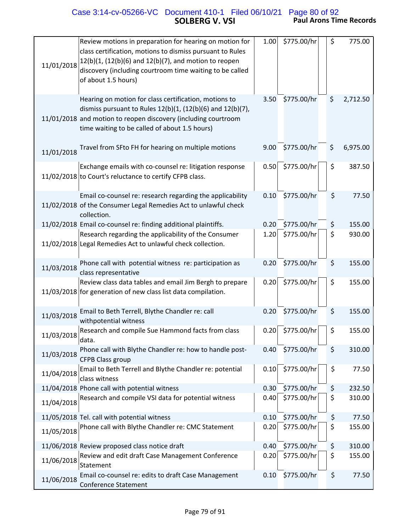# **SOLBERG V. VSI Paul Arons Time Records** Case 3:14-cv-05266-VC Document 410-1 Filed 06/10/21 Page 80 of 92

| 11/01/2018 | Review motions in preparation for hearing on motion for<br>class certification, motions to dismiss pursuant to Rules<br>12(b)(1, (12(b)(6) and 12(b)(7), and motion to reopen<br>discovery (including courtroom time waiting to be called<br>of about 1.5 hours) | 1.00 | \$775.00/hr | \$<br>775.00   |
|------------|------------------------------------------------------------------------------------------------------------------------------------------------------------------------------------------------------------------------------------------------------------------|------|-------------|----------------|
|            | Hearing on motion for class certification, motions to<br>dismiss pursuant to Rules $12(b)(1, (12(b)(6)$ and $12(b)(7)$ ,<br>11/01/2018 and motion to reopen discovery (including courtroom<br>time waiting to be called of about 1.5 hours)                      | 3.50 | \$775.00/hr | \$<br>2,712.50 |
| 11/01/2018 | Travel from SFto FH for hearing on multiple motions                                                                                                                                                                                                              | 9.00 | \$775.00/hr | \$<br>6,975.00 |
|            | Exchange emails with co-counsel re: litigation response<br>11/02/2018 to Court's reluctance to certify CFPB class.                                                                                                                                               | 0.50 | \$775.00/hr | \$<br>387.50   |
|            | Email co-counsel re: research regarding the applicability<br>11/02/2018 of the Consumer Legal Remedies Act to unlawful check<br>collection.                                                                                                                      | 0.10 | \$775.00/hr | \$<br>77.50    |
|            | 11/02/2018 Email co-counsel re: finding additional plaintiffs.                                                                                                                                                                                                   | 0.20 | \$775.00/hr | \$<br>155.00   |
|            | Research regarding the applicability of the Consumer<br>11/02/2018 Legal Remedies Act to unlawful check collection.                                                                                                                                              | 1.20 | \$775.00/hr | \$<br>930.00   |
| 11/03/2018 | Phone call with potential witness re: participation as<br>class representative                                                                                                                                                                                   | 0.20 | \$775.00/hr | \$<br>155.00   |
|            | Review class data tables and email Jim Bergh to prepare<br>11/03/2018 for generation of new class list data compilation.                                                                                                                                         | 0.20 | \$775.00/hr | \$<br>155.00   |
| 11/03/2018 | Email to Beth Terrell, Blythe Chandler re: call<br>withpotential witness                                                                                                                                                                                         | 0.20 | \$775.00/hr | \$<br>155.00   |
| 11/03/2018 | Research and compile Sue Hammond facts from class<br>data.                                                                                                                                                                                                       | 0.20 | \$775.00/hr | \$<br>155.00   |
| 11/03/2018 | Phone call with Blythe Chandler re: how to handle post-<br><b>CFPB Class group</b>                                                                                                                                                                               | 0.40 | \$775.00/hr | \$<br>310.00   |
| 11/04/2018 | Email to Beth Terrell and Blythe Chandler re: potential<br>class witness                                                                                                                                                                                         | 0.10 | \$775.00/hr | \$<br>77.50    |
|            | 11/04/2018 Phone call with potential witness                                                                                                                                                                                                                     | 0.30 | \$775.00/hr | \$<br>232.50   |
| 11/04/2018 | Research and compile VSI data for potential witness                                                                                                                                                                                                              | 0.40 | \$775.00/hr | \$<br>310.00   |
|            | 11/05/2018 Tel. call with potential witness                                                                                                                                                                                                                      | 0.10 | \$775.00/hr | \$<br>77.50    |
| 11/05/2018 | Phone call with Blythe Chandler re: CMC Statement                                                                                                                                                                                                                | 0.20 | \$775.00/hr | \$<br>155.00   |
|            | 11/06/2018 Review proposed class notice draft                                                                                                                                                                                                                    | 0.40 | \$775.00/hr | \$<br>310.00   |
| 11/06/2018 | Review and edit draft Case Management Conference<br>Statement                                                                                                                                                                                                    | 0.20 | \$775.00/hr | \$<br>155.00   |
| 11/06/2018 | Email co-counsel re: edits to draft Case Management<br><b>Conference Statement</b>                                                                                                                                                                               | 0.10 | \$775.00/hr | \$<br>77.50    |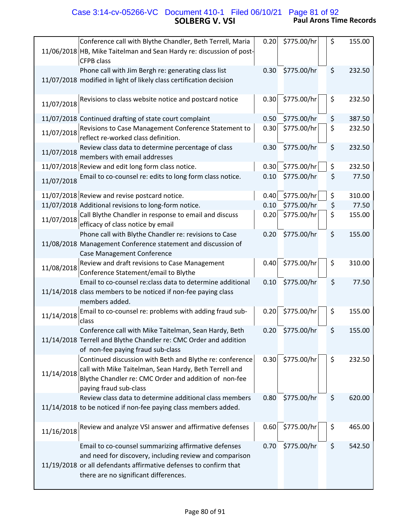# **SOLBERG V. VSI Paul Arons Time Records** Case 3:14-cv-05266-VC Document 410-1 Filed 06/10/21 Page 81 of 92

|            | Conference call with Blythe Chandler, Beth Terrell, Maria                                                                                                                                                                     | 0.20 | \$775.00/hr | \$<br>155.00 |
|------------|-------------------------------------------------------------------------------------------------------------------------------------------------------------------------------------------------------------------------------|------|-------------|--------------|
|            | 11/06/2018 HB, Mike Taitelman and Sean Hardy re: discussion of post-<br><b>CFPB class</b>                                                                                                                                     |      |             |              |
|            | Phone call with Jim Bergh re: generating class list                                                                                                                                                                           | 0.30 | \$775.00/hr | \$<br>232.50 |
|            | 11/07/2018 modified in light of likely class certification decision                                                                                                                                                           |      |             |              |
| 11/07/2018 | Revisions to class website notice and postcard notice                                                                                                                                                                         | 0.30 | \$775.00/hr | \$<br>232.50 |
|            | 11/07/2018 Continued drafting of state court complaint                                                                                                                                                                        | 0.50 | \$775.00/hr | \$<br>387.50 |
| 11/07/2018 | Revisions to Case Management Conference Statement to<br>reflect re-worked class definition.                                                                                                                                   | 0.30 | \$775.00/hr | \$<br>232.50 |
| 11/07/2018 | Review class data to determine percentage of class<br>members with email addresses                                                                                                                                            | 0.30 | \$775.00/hr | \$<br>232.50 |
|            | 11/07/2018 Review and edit long form class notice.                                                                                                                                                                            | 0.30 | \$775.00/hr | \$<br>232.50 |
| 11/07/2018 | Email to co-counsel re: edits to long form class notice.                                                                                                                                                                      | 0.10 | \$775.00/hr | \$<br>77.50  |
|            | 11/07/2018 Review and revise postcard notice.                                                                                                                                                                                 | 0.40 | \$775.00/hr | \$<br>310.00 |
|            | 11/07/2018 Additional revisions to long-form notice.                                                                                                                                                                          | 0.10 | \$775.00/hr | \$<br>77.50  |
| 11/07/2018 | Call Blythe Chandler in response to email and discuss<br>efficacy of class notice by email                                                                                                                                    | 0.20 | \$775.00/hr | \$<br>155.00 |
|            | Phone call with Blythe Chandler re: revisions to Case<br>11/08/2018 Management Conference statement and discussion of<br>Case Management Conference                                                                           | 0.20 | \$775.00/hr | \$<br>155.00 |
| 11/08/2018 | Review and draft revisions to Case Management<br>Conference Statement/email to Blythe                                                                                                                                         | 0.40 | \$775.00/hr | \$<br>310.00 |
|            | Email to co-counsel re: class data to determine additional<br>11/14/2018 class members to be noticed if non-fee paying class<br>members added.                                                                                | 0.10 | \$775.00/hr | \$<br>77.50  |
| 11/14/2018 | Email to co-counsel re: problems with adding fraud sub-<br>class                                                                                                                                                              | 0.20 | \$775.00/hr | \$<br>155.00 |
|            | Conference call with Mike Taitelman, Sean Hardy, Beth<br>11/14/2018 Terrell and Blythe Chandler re: CMC Order and addition<br>of non-fee paying fraud sub-class                                                               | 0.20 | \$775.00/hr | \$<br>155.00 |
| 11/14/2018 | Continued discussion with Beth and Blythe re: conference<br>call with Mike Taitelman, Sean Hardy, Beth Terrell and<br>Blythe Chandler re: CMC Order and addition of non-fee<br>paying fraud sub-class                         | 0.30 | \$775.00/hr | \$<br>232.50 |
|            | Review class data to determine additional class members<br>11/14/2018 to be noticed if non-fee paying class members added.                                                                                                    | 0.80 | \$775.00/hr | \$<br>620.00 |
| 11/16/2018 | Review and analyze VSI answer and affirmative defenses                                                                                                                                                                        | 0.60 | \$775.00/hr | \$<br>465.00 |
|            | Email to co-counsel summarizing affirmative defenses<br>and need for discovery, including review and comparison<br>11/19/2018 or all defendants affirmative defenses to confirm that<br>there are no significant differences. | 0.70 | \$775.00/hr | \$<br>542.50 |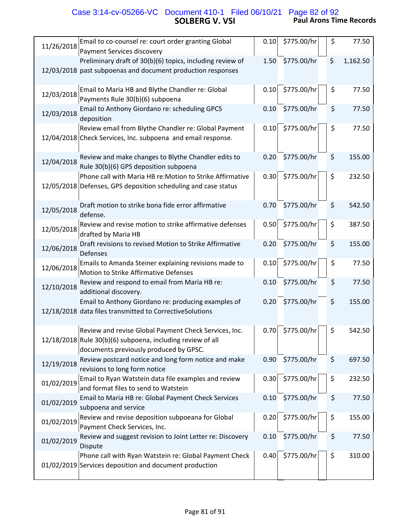## **SOLBERG V. VSI Paul Arons Time Records** Case 3:14-cv-05266-VC Document 410-1 Filed 06/10/21 Page 82 of 92

| 11/26/2018 | Email to co-counsel re: court order granting Global<br>Payment Services discovery                                                                             | 0.10 | \$775.00/hr | \$<br>77.50    |
|------------|---------------------------------------------------------------------------------------------------------------------------------------------------------------|------|-------------|----------------|
|            | Preliminary draft of 30(b)(6) topics, including review of<br>12/03/2018 past subpoenas and document production responses                                      | 1.50 | \$775.00/hr | \$<br>1,162.50 |
| 12/03/2018 | Email to Maria HB and Blythe Chandler re: Global<br>Payments Rule 30(b)(6) subpoena                                                                           | 0.10 | \$775.00/hr | \$<br>77.50    |
| 12/03/2018 | Email to Anthony Giordano re: scheduling GPCS<br>deposition                                                                                                   | 0.10 | \$775.00/hr | \$<br>77.50    |
|            | Review email from Blythe Chandler re: Global Payment<br>12/04/2018 Check Services, Inc. subpoena and email response.                                          | 0.10 | \$775.00/hr | \$<br>77.50    |
| 12/04/2018 | Review and make changes to Blythe Chandler edits to<br>Rule 30(b)(6) GPS deposition subpoena                                                                  | 0.20 | \$775.00/hr | \$<br>155.00   |
|            | Phone call with Maria HB re: Motion to Strike Affirmative<br>12/05/2018 Defenses, GPS deposition scheduling and case status                                   | 0.30 | \$775.00/hr | \$<br>232.50   |
| 12/05/2018 | Draft motion to strike bona fide error affirmative<br>defense.                                                                                                | 0.70 | \$775.00/hr | \$<br>542.50   |
| 12/05/2018 | Review and revise motion to strike affirmative defenses<br>drafted by Maria HB                                                                                | 0.50 | \$775.00/hr | \$<br>387.50   |
| 12/06/2018 | Draft revisions to revised Motion to Strike Affirmative<br><b>Defenses</b>                                                                                    | 0.20 | \$775.00/hr | \$<br>155.00   |
| 12/06/2018 | Emails to Amanda Steiner explaining revisions made to<br>Motion to Strike Affirmative Defenses                                                                | 0.10 | \$775.00/hr | \$<br>77.50    |
| 12/10/2018 | Review and respond to email from Maria HB re:<br>additional discovery.                                                                                        | 0.10 | \$775.00/hr | \$<br>77.50    |
|            | Email to Anthony Giordano re: producing examples of<br>12/18/2018 data files transmitted to CorrectiveSolutions                                               | 0.20 | \$775.00/hr | \$<br>155.00   |
|            | Review and revise Global Payment Check Services, Inc.<br>12/18/2018 Rule 30(b)(6) subpoena, including review of all<br>documents previously produced by GPSC. | 0.70 | \$775.00/hr | \$<br>542.50   |
| 12/19/2018 | Review postcard notice and long form notice and make<br>revisions to long form notice                                                                         | 0.90 | \$775.00/hr | \$<br>697.50   |
| 01/02/2019 | Email to Ryan Watstein data file examples and review<br>and format files to send to Watstein                                                                  | 0.30 | \$775.00/hr | \$<br>232.50   |
| 01/02/2019 | Email to Maria HB re: Global Payment Check Services<br>subpoena and service                                                                                   | 0.10 | \$775.00/hr | \$<br>77.50    |
| 01/02/2019 | Review and revise deposition subpoeana for Global<br>Payment Check Services, Inc.                                                                             | 0.20 | \$775.00/hr | \$<br>155.00   |
| 01/02/2019 | Review and suggest revision to Joint Letter re: Discovery<br>Dispute                                                                                          | 0.10 | \$775.00/hr | \$<br>77.50    |
|            | Phone call with Ryan Watstein re: Global Payment Check<br>01/02/2019 Services deposition and document production                                              | 0.40 | \$775.00/hr | \$<br>310.00   |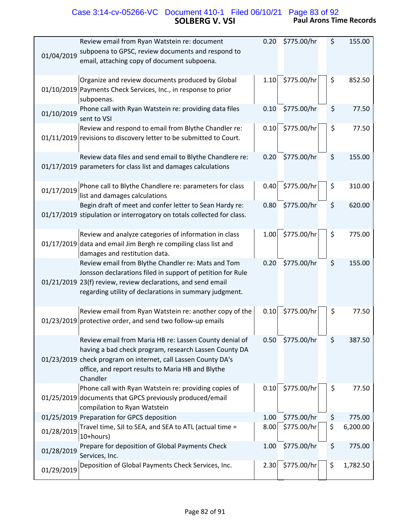# **SOLBERG V. VSI Paul Arons Time Records** Case 3:14-cv-05266-VC Document 410-1 Filed 06/10/21 Page 83 of 92

| Review email from Ryan Watstein re: document<br>subpoena to GPSC, review documents and respond to<br>01/04/2019<br>email, attaching copy of document subpoena.                                                                                    | 0.20 | \$775.00/hr | \$<br>155.00   |
|---------------------------------------------------------------------------------------------------------------------------------------------------------------------------------------------------------------------------------------------------|------|-------------|----------------|
| Organize and review documents produced by Global<br>01/10/2019 Payments Check Services, Inc., in response to prior<br>subpoenas.                                                                                                                  | 1.10 | \$775.00/hr | \$<br>852.50   |
| Phone call with Ryan Watstein re: providing data files<br>01/10/2019<br>sent to VSI                                                                                                                                                               | 0.10 | \$775.00/hr | \$<br>77.50    |
| Review and respond to email from Blythe Chandler re:<br>01/11/2019 revisions to discovery letter to be submitted to Court.                                                                                                                        | 0.10 | \$775.00/hr | \$<br>77.50    |
| Review data files and send email to Blythe Chandlere re:<br>01/17/2019 parameters for class list and damages calculations                                                                                                                         | 0.20 | \$775.00/hr | \$<br>155.00   |
| Phone call to Blythe Chandlere re: parameters for class<br>01/17/2019<br>list and damages calculations                                                                                                                                            | 0.40 | \$775.00/hr | \$<br>310.00   |
| Begin draft of meet and confer letter to Sean Hardy re:<br>01/17/2019 stipulation or interrogatory on totals collected for class.                                                                                                                 | 0.80 | \$775.00/hr | \$<br>620.00   |
| Review and analyze categories of information in class<br>01/17/2019 data and email Jim Bergh re compiling class list and<br>damages and restitution data.                                                                                         | 1.00 | \$775.00/hr | \$<br>775.00   |
| Review email from Blythe Chandler re: Mats and Tom<br>Jonsson declarations filed in support of petition for Rule<br>01/21/2019 23(f) review, review declarations, and send email<br>regarding utility of declarations in summary judgment.        | 0.20 | \$775.00/hr | \$<br>155.00   |
| Review email from Ryan Watstein re: another copy of the<br>01/23/2019 protective order, and send two follow-up emails                                                                                                                             | 0.10 | \$775.00/hr | \$<br>77.50    |
| Review email from Maria HB re: Lassen County denial of<br>having a bad check program, research Lassen County DA<br>01/23/2019 check program on internet, call Lassen County DA's<br>office, and report results to Maria HB and Blythe<br>Chandler | 0.50 | \$775.00/hr | \$<br>387.50   |
| Phone call with Ryan Watstein re: providing copies of<br>01/25/2019 documents that GPCS previously produced/email<br>compilation to Ryan Watstein                                                                                                 | 0.10 | \$775.00/hr | \$<br>77.50    |
| 01/25/2019 Preparation for GPCS deposition                                                                                                                                                                                                        | 1.00 | \$775.00/hr | \$<br>775.00   |
| Travel time, SJI to SEA, and SEA to ATL (actual time =<br>01/28/2019<br>10+hours)                                                                                                                                                                 | 8.00 | \$775.00/hr | \$<br>6,200.00 |
| Prepare for deposition of Global Payments Check<br>01/28/2019<br>Services, Inc.                                                                                                                                                                   | 1.00 | \$775.00/hr | \$<br>775.00   |
| Deposition of Global Payments Check Services, Inc.<br>01/29/2019                                                                                                                                                                                  | 2.30 | \$775.00/hr | \$<br>1,782.50 |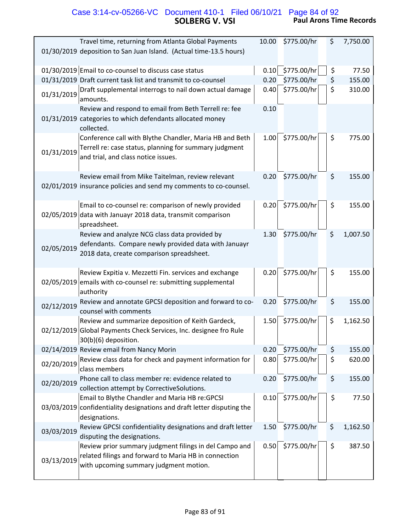# **SOLBERG V. VSI Paul Arons Time Records** Case 3:14-cv-05266-VC Document 410-1 Filed 06/10/21 Page 84 of 92

|            | Travel time, returning from Atlanta Global Payments                                                                                                       | 10.00 | \$775.00/hr | \$ | 7,750.00 |
|------------|-----------------------------------------------------------------------------------------------------------------------------------------------------------|-------|-------------|----|----------|
|            | 01/30/2019 deposition to San Juan Island. (Actual time-13.5 hours)                                                                                        |       |             |    |          |
|            | 01/30/2019 Email to co-counsel to discuss case status                                                                                                     | 0.10  | \$775.00/hr | \$ | 77.50    |
|            | 01/31/2019 Draft current task list and transmit to co-counsel                                                                                             | 0.20  | \$775.00/hr | \$ | 155.00   |
| 01/31/2019 | Draft supplemental interrogs to nail down actual damage<br>amounts.                                                                                       | 0.40  | \$775.00/hr | \$ | 310.00   |
|            | Review and respond to email from Beth Terrell re: fee<br>01/31/2019 categories to which defendants allocated money<br>collected.                          | 0.10  |             |    |          |
| 01/31/2019 | Conference call with Blythe Chandler, Maria HB and Beth<br>Terrell re: case status, planning for summary judgment<br>and trial, and class notice issues.  | 1.00  | \$775.00/hr | \$ | 775.00   |
|            | Review email from Mike Taitelman, review relevant<br>02/01/2019 insurance policies and send my comments to co-counsel.                                    | 0.20  | \$775.00/hr | \$ | 155.00   |
|            | Email to co-counsel re: comparison of newly provided<br>02/05/2019 data with Januayr 2018 data, transmit comparison<br>spreadsheet.                       | 0.20  | \$775.00/hr | \$ | 155.00   |
| 02/05/2019 | Review and analyze NCG class data provided by<br>defendants. Compare newly provided data with Januayr<br>2018 data, create comparison spreadsheet.        | 1.30  | \$775.00/hr | \$ | 1,007.50 |
|            | Review Expitia v. Mezzetti Fin. services and exchange<br>02/05/2019 emails with co-counsel re: submitting supplemental<br>authority                       | 0.20  | \$775.00/hr | \$ | 155.00   |
| 02/12/2019 | Review and annotate GPCSI deposition and forward to co-<br>counsel with comments                                                                          | 0.20  | \$775.00/hr | \$ | 155.00   |
|            | Review and summarize deposition of Keith Gardeck,<br>02/12/2019 Global Payments Check Services, Inc. designee fro Rule<br>30(b)(6) deposition.            | 1.50  | \$775.00/hr | \$ | 1,162.50 |
|            | 02/14/2019 Review email from Nancy Morin                                                                                                                  | 0.20  | \$775.00/hr | \$ | 155.00   |
| 02/20/2019 | Review class data for check and payment information for<br>class members                                                                                  | 0.80  | \$775.00/hr | \$ | 620.00   |
| 02/20/2019 | Phone call to class member re: evidence related to<br>collection attempt by CorrectiveSolutions.                                                          | 0.20  | \$775.00/hr | \$ | 155.00   |
|            | Email to Blythe Chandler and Maria HB re: GPCSI<br>03/03/2019 confidentiality designations and draft letter disputing the<br>designations.                | 0.10  | \$775.00/hr | \$ | 77.50    |
| 03/03/2019 | Review GPCSI confidentiality designations and draft letter<br>disputing the designations.                                                                 | 1.50  | \$775.00/hr | \$ | 1,162.50 |
| 03/13/2019 | Review prior summary judgment filings in del Campo and<br>related filings and forward to Maria HB in connection<br>with upcoming summary judgment motion. | 0.50  | \$775.00/hr | \$ | 387.50   |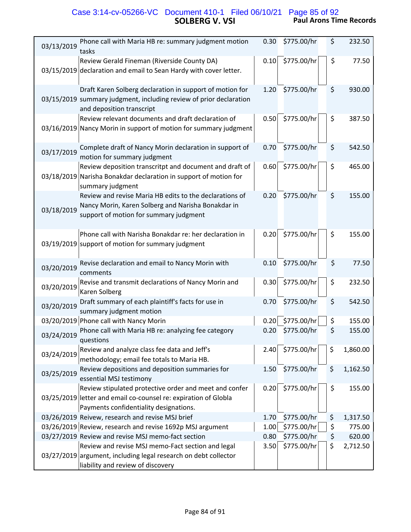## **SOLBERG V. VSI Paul Arons Time Records** Case 3:14-cv-05266-VC Document 410-1 Filed 06/10/21 Page 85 of 92

| Phone call with Maria HB re: summary judgment motion<br>03/13/2019<br>tasks                                                                                           | 0.30 | \$775.00/hr | \$<br>232.50   |
|-----------------------------------------------------------------------------------------------------------------------------------------------------------------------|------|-------------|----------------|
| Review Gerald Fineman (Riverside County DA)<br>03/15/2019 declaration and email to Sean Hardy with cover letter.                                                      | 0.10 | \$775.00/hr | \$<br>77.50    |
| Draft Karen Solberg declaration in support of motion for<br>03/15/2019 summary judgment, including review of prior declaration<br>and deposition transcript           | 1.20 | \$775.00/hr | \$<br>930.00   |
| Review relevant documents and draft declaration of<br>03/16/2019 Nancy Morin in support of motion for summary judgment                                                | 0.50 | \$775.00/hr | \$<br>387.50   |
| Complete draft of Nancy Morin declaration in support of<br>03/17/2019<br>motion for summary judgment                                                                  | 0.70 | \$775.00/hr | \$<br>542.50   |
| Review deposition transcritpt and document and draft of<br>03/18/2019 Narisha Bonakdar declaration in support of motion for<br>summary judgment                       | 0.60 | \$775.00/hr | \$<br>465.00   |
| Review and revise Maria HB edits to the declarations of<br>Nancy Morin, Karen Solberg and Narisha Bonakdar in<br>03/18/2019<br>support of motion for summary judgment | 0.20 | \$775.00/hr | \$<br>155.00   |
| Phone call with Narisha Bonakdar re: her declaration in<br>03/19/2019 support of motion for summary judgment                                                          | 0.20 | \$775.00/hr | \$<br>155.00   |
| Revise declaration and email to Nancy Morin with<br>03/20/2019<br>comments                                                                                            | 0.10 | \$775.00/hr | \$<br>77.50    |
| Revise and transmit declarations of Nancy Morin and<br>03/20/2019<br>Karen Solberg                                                                                    | 0.30 | \$775.00/hr | \$<br>232.50   |
| Draft summary of each plaintiff's facts for use in<br>03/20/2019<br>summary judgment motion                                                                           | 0.70 | \$775.00/hr | \$<br>542.50   |
| 03/20/2019 Phone call with Nancy Morin                                                                                                                                | 0.20 | \$775.00/hr | \$<br>155.00   |
| Phone call with Maria HB re: analyzing fee category<br>03/24/2019<br>questions                                                                                        | 0.20 | \$775.00/hr | \$<br>155.00   |
| Review and analyze class fee data and Jeff's<br>03/24/2019<br>methodology; email fee totals to Maria HB.                                                              | 2.40 | \$775.00/hr | \$<br>1,860.00 |
| Review depositions and deposition summaries for<br>03/25/2019<br>essential MSJ testimony                                                                              | 1.50 | \$775.00/hr | \$<br>1,162.50 |
| Review stipulated protective order and meet and confer<br>03/25/2019 letter and email co-counsel re: expiration of Globla<br>Payments confidentiality designations.   | 0.20 | \$775.00/hr | \$<br>155.00   |
| 03/26/2019 Reivew, research and revise MSJ brief                                                                                                                      | 1.70 | \$775.00/hr | \$<br>1,317.50 |
| 03/26/2019 Review, research and revise 1692p MSJ argument                                                                                                             | 1.00 | \$775.00/hr | \$<br>775.00   |
| 03/27/2019 Review and revise MSJ memo-fact section                                                                                                                    | 0.80 | \$775.00/hr | \$<br>620.00   |
| Review and revise MSJ memo-Fact section and legal<br>03/27/2019 argument, including legal research on debt collector<br>liability and review of discovery             | 3.50 | \$775.00/hr | \$<br>2,712.50 |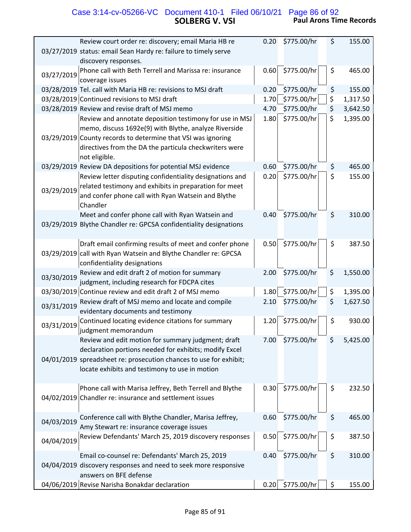# **SOLBERG V. VSI Paul Arons Time Records** Case 3:14-cv-05266-VC Document 410-1 Filed 06/10/21 Page 86 of 92

| Review court order re: discovery; email Maria HB re                                                          | 0.20 | \$775.00/hr | \$<br>155.00   |
|--------------------------------------------------------------------------------------------------------------|------|-------------|----------------|
| 03/27/2019 status: email Sean Hardy re: failure to timely serve<br>discovery responses.                      |      |             |                |
| Phone call with Beth Terrell and Marissa re: insurance                                                       | 0.60 | \$775.00/hr | \$<br>465.00   |
| 03/27/2019<br>coverage issues                                                                                |      |             |                |
| 03/28/2019 Tel. call with Maria HB re: revisions to MSJ draft                                                | 0.20 | \$775.00/hr | \$<br>155.00   |
| 03/28/2019 Continued revisions to MSJ draft                                                                  | 1.70 | \$775.00/hr | \$<br>1,317.50 |
| 03/28/2019 Review and revise draft of MSJ memo                                                               | 4.70 | \$775.00/hr | \$<br>3,642.50 |
| Review and annotate deposition testimony for use in MSJ                                                      | 1.80 | \$775.00/hr | \$<br>1,395.00 |
| memo, discuss 1692e(9) with Blythe, analyze Riverside                                                        |      |             |                |
| 03/29/2019 County records to determine that VSI was ignoring                                                 |      |             |                |
| directives from the DA the particula checkwriters were<br>not eligible.                                      |      |             |                |
| 03/29/2019 Review DA depositions for potential MSJ evidence                                                  | 0.60 | \$775.00/hr | \$<br>465.00   |
| Review letter disputing confidentiality designations and                                                     | 0.20 | \$775.00/hr | \$<br>155.00   |
| related testimony and exhibits in preparation for meet                                                       |      |             |                |
| 03/29/2019<br>and confer phone call with Ryan Watsein and Blythe                                             |      |             |                |
| Chandler                                                                                                     |      |             |                |
| Meet and confer phone call with Ryan Watsein and                                                             | 0.40 | \$775.00/hr | \$<br>310.00   |
| 03/29/2019 Blythe Chandler re: GPCSA confidentiality designations                                            |      |             |                |
|                                                                                                              |      |             |                |
| Draft email confirming results of meet and confer phone                                                      | 0.50 | \$775.00/hr | \$<br>387.50   |
| 03/29/2019 call with Ryan Watsein and Blythe Chandler re: GPCSA<br>confidentiality designations              |      |             |                |
| Review and edit draft 2 of motion for summary                                                                | 2.00 | \$775.00/hr | \$<br>1,550.00 |
| 03/30/2019<br>judgment, including research for FDCPA cites                                                   |      |             |                |
| 03/30/2019 Continue review and edit draft 2 of MSJ memo                                                      | 1.80 | \$775.00/hr | \$<br>1,395.00 |
| Review draft of MSJ memo and locate and compile<br>03/31/2019                                                | 2.10 | \$775.00/hr | \$<br>1,627.50 |
| evidentary documents and testimony                                                                           |      |             |                |
| Continued locating evidence citations for summary<br>03/31/2019                                              | 1.20 | \$775.00/hr | \$<br>930.00   |
| judgment memorandum                                                                                          | 7.00 | \$775.00/hr | \$<br>5,425.00 |
| Review and edit motion for summary judgment; draft<br>declaration portions needed for exhibits; modify Excel |      |             |                |
| 04/01/2019 spreadsheet re: prosecution chances to use for exhibit;                                           |      |             |                |
| locate exhibits and testimony to use in motion                                                               |      |             |                |
|                                                                                                              |      |             |                |
| Phone call with Marisa Jeffrey, Beth Terrell and Blythe                                                      | 0.30 | \$775.00/hr | \$<br>232.50   |
| 04/02/2019 Chandler re: insurance and settlement issues                                                      |      |             |                |
|                                                                                                              |      |             |                |
| Conference call with Blythe Chandler, Marisa Jeffrey,<br>04/03/2019                                          | 0.60 | \$775.00/hr | \$<br>465.00   |
| Amy Stewart re: insurance coverage issues                                                                    |      |             |                |
| Review Defendants' March 25, 2019 discovery responses<br>04/04/2019                                          | 0.50 | \$775.00/hr | \$<br>387.50   |
| Email co-counsel re: Defendants' March 25, 2019                                                              | 0.40 | \$775.00/hr | \$<br>310.00   |
| 04/04/2019 discovery responses and need to seek more responsive                                              |      |             |                |
| answers on BFE defense                                                                                       |      |             |                |
| 04/06/2019 Revise Narisha Bonakdar declaration                                                               | 0.20 | \$775.00/hr | \$<br>155.00   |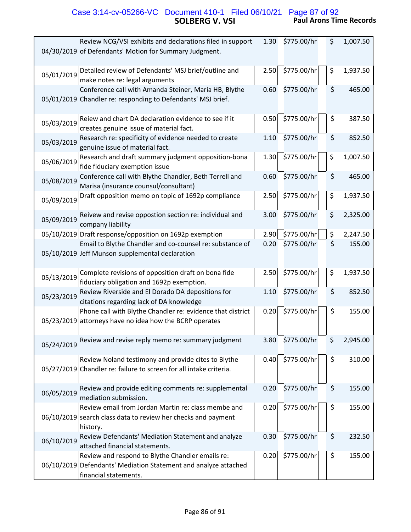# **SOLBERG V. VSI Paul Arons Time Records** Case 3:14-cv-05266-VC Document 410-1 Filed 06/10/21 Page 87 of 92

| Review NCG/VSI exhibits and declarations filed in support<br>04/30/2019 of Defendants' Motion for Summary Judgment.                          | 1.30 | \$775.00/hr | \$<br>1,007.50 |
|----------------------------------------------------------------------------------------------------------------------------------------------|------|-------------|----------------|
| Detailed review of Defendants' MSJ brief/outline and<br>05/01/2019<br>make notes re: legal arguments                                         | 2.50 | \$775.00/hr | \$<br>1,937.50 |
| Conference call with Amanda Steiner, Maria HB, Blythe<br>05/01/2019 Chandler re: responding to Defendants' MSJ brief.                        | 0.60 | \$775.00/hr | \$<br>465.00   |
| Reiew and chart DA declaration evidence to see if it<br>05/03/2019<br>creates genuine issue of material fact.                                | 0.50 | \$775.00/hr | \$<br>387.50   |
| Research re: specificity of evidence needed to create<br>05/03/2019<br>genuine issue of material fact.                                       | 1.10 | \$775.00/hr | \$<br>852.50   |
| Research and draft summary judgment opposition-bona<br>05/06/2019<br>fide fiduciary exemption issue                                          | 1.30 | \$775.00/hr | \$<br>1,007.50 |
| Conference call with Blythe Chandler, Beth Terrell and<br>05/08/2019<br>Marisa (insurance counsul/consultant)                                | 0.60 | \$775.00/hr | \$<br>465.00   |
| Draft opposition memo on topic of 1692p compliance<br>05/09/2019                                                                             | 2.50 | \$775.00/hr | \$<br>1,937.50 |
| Reivew and revise oppostion section re: individual and<br>05/09/2019<br>company liability                                                    | 3.00 | \$775.00/hr | \$<br>2,325.00 |
| 05/10/2019 Draft response/opposition on 1692p exemption                                                                                      | 2.90 | \$775.00/hr | \$<br>2,247.50 |
| Email to Blythe Chandler and co-counsel re: substance of<br>05/10/2019 Jeff Munson supplemental declaration                                  | 0.20 | \$775.00/hr | \$<br>155.00   |
| Complete revisions of opposition draft on bona fide<br>05/13/2019<br>fiduciary obligation and 1692p exemption.                               | 2.50 | \$775.00/hr | \$<br>1,937.50 |
| Review Riverside and El Dorado DA depositions for<br>05/23/2019<br>citations regarding lack of DA knowledge                                  | 1.10 | \$775.00/hr | \$<br>852.50   |
| Phone call with Blythe Chandler re: evidence that district<br>05/23/2019 attorneys have no idea how the BCRP operates                        | 0.20 | \$775.00/hr | \$<br>155.00   |
| Review and revise reply memo re: summary judgment<br>05/24/2019                                                                              | 3.80 | \$775.00/hr | \$<br>2,945.00 |
| Review Noland testimony and provide cites to Blythe<br>05/27/2019 Chandler re: failure to screen for all intake criteria.                    | 0.40 | \$775.00/hr | \$<br>310.00   |
| Review and provide editing comments re: supplemental<br>06/05/2019<br>mediation submission.                                                  | 0.20 | \$775.00/hr | \$<br>155.00   |
| Review email from Jordan Martin re: class membe and<br>06/10/2019 search class data to review her checks and payment<br>history.             | 0.20 | \$775.00/hr | \$<br>155.00   |
| Review Defendants' Mediation Statement and analyze<br>06/10/2019<br>attached financial statements.                                           | 0.30 | \$775.00/hr | \$<br>232.50   |
| Review and respond to Blythe Chandler emails re:<br>06/10/2019 Defendants' Mediation Statement and analyze attached<br>financial statements. | 0.20 | \$775.00/hr | \$<br>155.00   |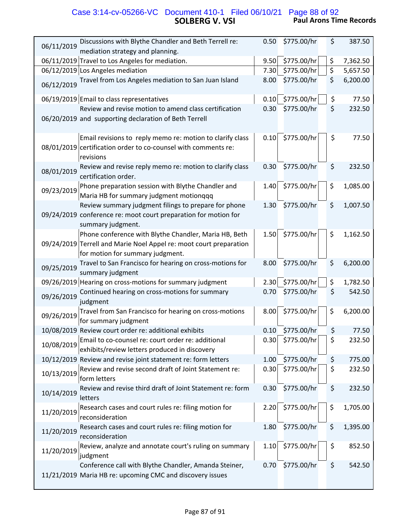## **SOLBERG V. VSI Paul Arons Time Records** Case 3:14-cv-05266-VC Document 410-1 Filed 06/10/21 Page 88 of 92

| Discussions with Blythe Chandler and Beth Terrell re:<br>06/11/2019                                                                                             | 0.50 | \$775.00/hr | \$<br>387.50   |
|-----------------------------------------------------------------------------------------------------------------------------------------------------------------|------|-------------|----------------|
| mediation strategy and planning.                                                                                                                                |      |             |                |
| 06/11/2019 Travel to Los Angeles for mediation.                                                                                                                 | 9.50 | \$775.00/hr | \$<br>7,362.50 |
| 06/12/2019 Los Angeles mediation                                                                                                                                | 7.30 | \$775.00/hr | \$<br>5,657.50 |
| Travel from Los Angeles mediation to San Juan Island<br>06/12/2019                                                                                              | 8.00 | \$775.00/hr | \$<br>6,200.00 |
| 06/19/2019 Email to class representatives                                                                                                                       | 0.10 | \$775.00/hr | \$<br>77.50    |
| Review and revise motion to amend class certification<br>06/20/2019 and supporting declaration of Beth Terrell                                                  | 0.30 | \$775.00/hr | \$<br>232.50   |
| Email revisions to reply memo re: motion to clarify class<br>08/01/2019 certification order to co-counsel with comments re:<br>revisions                        | 0.10 | \$775.00/hr | \$<br>77.50    |
| Review and revise reply memo re: motion to clarify class<br>08/01/2019<br>certification order.                                                                  | 0.30 | \$775.00/hr | \$<br>232.50   |
| Phone preparation session with Blythe Chandler and<br>09/23/2019<br>Maria HB for summary judgment motionqqq                                                     | 1.40 | \$775.00/hr | \$<br>1,085.00 |
| Review summary judgment filings to prepare for phone<br>09/24/2019 conference re: moot court preparation for motion for<br>summary judgment.                    | 1.30 | \$775.00/hr | \$<br>1,007.50 |
| Phone conference with Blythe Chandler, Maria HB, Beth<br>09/24/2019 Terrell and Marie Noel Appel re: moot court preparation<br>for motion for summary judgment. | 1.50 | \$775.00/hr | \$<br>1,162.50 |
| Travel to San Francisco for hearing on cross-motions for<br>09/25/2019<br>summary judgment                                                                      | 8.00 | \$775.00/hr | \$<br>6,200.00 |
| 09/26/2019 Hearing on cross-motions for summary judgment                                                                                                        | 2.30 | \$775.00/hr | \$<br>1,782.50 |
| Continued hearing on cross-motions for summary<br>09/26/2019<br>judgment                                                                                        | 0.70 | \$775.00/hr | \$<br>542.50   |
| Travel from San Francisco for hearing on cross-motions<br>09/26/2019<br>for summary judgment                                                                    | 8.00 | \$775.00/hr | \$<br>6,200.00 |
| 10/08/2019 Review court order re: additional exhibits                                                                                                           | 0.10 | \$775.00/hr | \$<br>77.50    |
| Email to co-counsel re: court order re: additional<br>10/08/2019<br>exhibits/review letters produced in discovery                                               | 0.30 | \$775.00/hr | \$<br>232.50   |
| 10/12/2019 Review and revise joint statement re: form letters                                                                                                   | 1.00 | \$775.00/hr | \$<br>775.00   |
| Review and revise second draft of Joint Statement re:<br>10/13/2019<br>form letters                                                                             | 0.30 | \$775.00/hr | \$<br>232.50   |
| Review and revise third draft of Joint Statement re: form<br>10/14/2019<br>letters                                                                              | 0.30 | \$775.00/hr | \$<br>232.50   |
| Research cases and court rules re: filing motion for<br>11/20/2019<br>reconsideration                                                                           | 2.20 | \$775.00/hr | \$<br>1,705.00 |
| Research cases and court rules re: filing motion for<br>11/20/2019<br>reconsideration                                                                           | 1.80 | \$775.00/hr | \$<br>1,395.00 |
| Review, analyze and annotate court's ruling on summary<br>11/20/2019<br>judgment                                                                                | 1.10 | \$775.00/hr | \$<br>852.50   |
| Conference call with Blythe Chandler, Amanda Steiner,<br>11/21/2019 Maria HB re: upcoming CMC and discovery issues                                              | 0.70 | \$775.00/hr | \$<br>542.50   |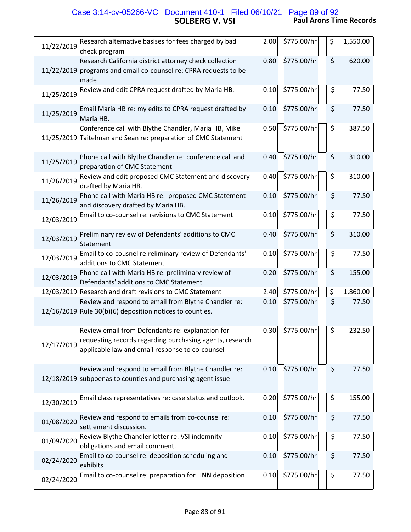## **SOLBERG V. VSI Paul Arons Time Records** Case 3:14-cv-05266-VC Document 410-1 Filed 06/10/21 Page 89 of 92

| Research alternative basises for fees charged by bad<br>11/22/2019<br>check program                                                                                           | 2.00 | \$775.00/hr | \$<br>1,550.00 |
|-------------------------------------------------------------------------------------------------------------------------------------------------------------------------------|------|-------------|----------------|
| Research California district attorney check collection<br>11/22/2019 programs and email co-counsel re: CPRA requests to be<br>made                                            | 0.80 | \$775.00/hr | \$<br>620.00   |
| Review and edit CPRA request drafted by Maria HB.<br>11/25/2019                                                                                                               | 0.10 | \$775.00/hr | \$<br>77.50    |
| Email Maria HB re: my edits to CPRA request drafted by<br>11/25/2019<br>Maria HB.                                                                                             | 0.10 | \$775.00/hr | \$<br>77.50    |
| Conference call with Blythe Chandler, Maria HB, Mike<br>11/25/2019 Taitelman and Sean re: preparation of CMC Statement                                                        | 0.50 | \$775.00/hr | \$<br>387.50   |
| Phone call with Blythe Chandler re: conference call and<br>11/25/2019<br>preparation of CMC Statement                                                                         | 0.40 | \$775.00/hr | \$<br>310.00   |
| Review and edit proposed CMC Statement and discovery<br>11/26/2019<br>drafted by Maria HB.                                                                                    | 0.40 | \$775.00/hr | \$<br>310.00   |
| Phone call with Maria HB re: proposed CMC Statement<br>11/26/2019<br>and discovery drafted by Maria HB.                                                                       | 0.10 | \$775.00/hr | \$<br>77.50    |
| Email to co-counsel re: revisions to CMC Statement<br>12/03/2019                                                                                                              | 0.10 | \$775.00/hr | \$<br>77.50    |
| Preliminary review of Defendants' additions to CMC<br>12/03/2019<br>Statement                                                                                                 | 0.40 | \$775.00/hr | \$<br>310.00   |
| Email to co-cousnel re:reliminary review of Defendants'<br>12/03/2019<br>additions to CMC Statement                                                                           | 0.10 | \$775.00/hr | \$<br>77.50    |
| Phone call with Maria HB re: preliminary review of<br>12/03/2019<br>Defendants' additions to CMC Statement                                                                    | 0.20 | \$775.00/hr | \$<br>155.00   |
| 12/03/2019 Research and draft revisions to CMC Statement                                                                                                                      | 2.40 | \$775.00/hr | \$<br>1,860.00 |
| Review and respond to email from Blythe Chandler re:<br>12/16/2019 Rule 30(b)(6) deposition notices to counties.                                                              | 0.10 | \$775.00/hr | \$<br>77.50    |
| Review email from Defendants re: explanation for<br>requesting records regarding purchasing agents, research<br>12/17/2019<br>applicable law and email response to co-counsel | 0.30 | \$775.00/hr | \$<br>232.50   |
| Review and respond to email from Blythe Chandler re:<br>12/18/2019 subpoenas to counties and purchasing agent issue                                                           | 0.10 | \$775.00/hr | \$<br>77.50    |
| Email class representatives re: case status and outlook.<br>12/30/2019                                                                                                        | 0.20 | \$775.00/hr | \$<br>155.00   |
| Review and respond to emails from co-counsel re:<br>01/08/2020<br>settlement discussion.                                                                                      | 0.10 | \$775.00/hr | \$<br>77.50    |
| Review Blythe Chandler letter re: VSI indemnity<br>01/09/2020<br>obligations and email comment.                                                                               | 0.10 | \$775.00/hr | \$<br>77.50    |
| Email to co-counsel re: deposition scheduling and<br>02/24/2020<br>exhibits                                                                                                   | 0.10 | \$775.00/hr | \$<br>77.50    |
| Email to co-counsel re: preparation for HNN deposition<br>02/24/2020                                                                                                          | 0.10 | \$775.00/hr | \$<br>77.50    |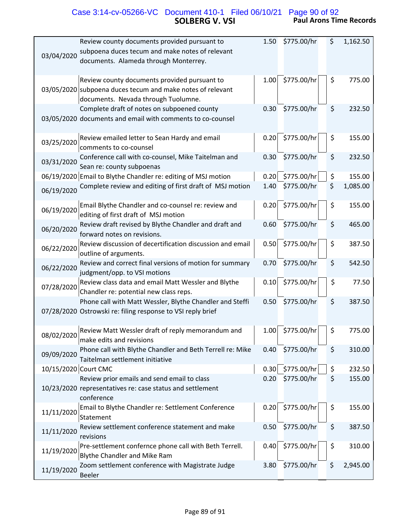# **SOLBERG V. VSI Paul Arons Time Records** Case 3:14-cv-05266-VC Document 410-1 Filed 06/10/21 Page 90 of 92

| Review county documents provided pursuant to<br>subpoena duces tecum and make notes of relevant<br>03/04/2020<br>documents. Alameda through Monterrey. | 1.50 | \$775.00/hr | \$<br>1,162.50 |
|--------------------------------------------------------------------------------------------------------------------------------------------------------|------|-------------|----------------|
| Review county documents provided pursuant to<br>03/05/2020 subpoena duces tecum and make notes of relevant<br>documents. Nevada through Tuolumne.      | 1.00 | \$775.00/hr | \$<br>775.00   |
| Complete draft of notes on subpoened county<br>03/05/2020 documents and email with comments to co-counsel                                              | 0.30 | \$775.00/hr | \$<br>232.50   |
| Review emailed letter to Sean Hardy and email<br>03/25/2020<br>comments to co-counsel                                                                  | 0.20 | \$775.00/hr | \$<br>155.00   |
| Conference call with co-counsel, Mike Taitelman and<br>03/31/2020<br>Sean re: county subpoenas                                                         | 0.30 | \$775.00/hr | \$<br>232.50   |
| 06/19/2020 Email to Blythe Chandler re: editing of MSJ motion                                                                                          | 0.20 | \$775.00/hr | \$<br>155.00   |
| Complete review and editing of first draft of MSJ motion<br>06/19/2020                                                                                 | 1.40 | \$775.00/hr | \$<br>1,085.00 |
| Email Blythe Chandler and co-counsel re: review and<br>06/19/2020<br>editing of first draft of MSJ motion                                              | 0.20 | \$775.00/hr | \$<br>155.00   |
| Review draft revised by Blythe Chandler and draft and<br>06/20/2020<br>forward notes on revisions.                                                     | 0.60 | \$775.00/hr | \$<br>465.00   |
| Review discussion of decertification discussion and email<br>06/22/2020<br>outline of arguments.                                                       | 0.50 | \$775.00/hr | \$<br>387.50   |
| Review and correct final versions of motion for summary<br>06/22/2020<br>judgment/opp. to VSI motions                                                  | 0.70 | \$775.00/hr | \$<br>542.50   |
| Review class data and email Matt Wessler and Blythe<br>07/28/2020<br>Chandler re: potential new class reps.                                            | 0.10 | \$775.00/hr | \$<br>77.50    |
| Phone call with Matt Wessler, Blythe Chandler and Steffi<br>07/28/2020 Ostrowski re: filing response to VSI reply brief                                | 0.50 | \$775.00/hr | \$<br>387.50   |
| Review Matt Wessler draft of reply memorandum and<br>08/02/2020<br>make edits and revisions                                                            | 1.00 | \$775.00/hr | \$<br>775.00   |
| Phone call with Blythe Chandler and Beth Terrell re: Mike<br>09/09/2020<br>Taitelman settlement initiative                                             | 0.40 | \$775.00/hr | \$<br>310.00   |
| 10/15/2020 Court CMC                                                                                                                                   | 0.30 | \$775.00/hr | \$<br>232.50   |
| Review prior emails and send email to class<br>10/23/2020 representatives re: case status and settlement<br>conference                                 | 0.20 | \$775.00/hr | \$<br>155.00   |
| Email to Blythe Chandler re: Settlement Conference<br>11/11/2020<br>Statement                                                                          | 0.20 | \$775.00/hr | \$<br>155.00   |
| Review settlement conference statement and make<br>11/11/2020<br>revisions                                                                             | 0.50 | \$775.00/hr | \$<br>387.50   |
| Pre-settlement confernce phone call with Beth Terrell.<br>11/19/2020<br>Blythe Chandler and Mike Ram                                                   | 0.40 | \$775.00/hr | \$<br>310.00   |
| Zoom settlement conference with Magistrate Judge<br>11/19/2020<br><b>Beeler</b>                                                                        | 3.80 | \$775.00/hr | \$<br>2,945.00 |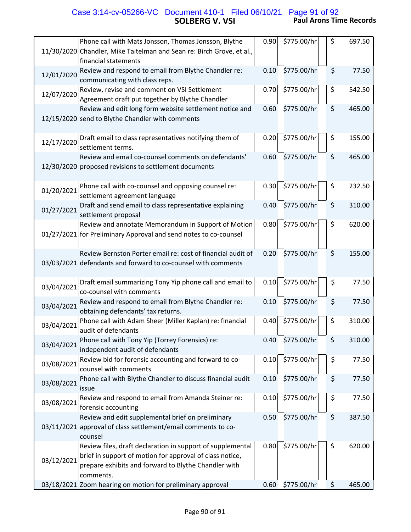# **SOLBERG V. VSI Paul Arons Time Records** Case 3:14-cv-05266-VC Document 410-1 Filed 06/10/21 Page 91 of 92

|            | Phone call with Mats Jonsson, Thomas Jonsson, Blythe<br>11/30/2020 Chandler, Mike Taitelman and Sean re: Birch Grove, et al.,<br>financial statements                                       | 0.90 | \$775.00/hr | \$<br>697.50 |
|------------|---------------------------------------------------------------------------------------------------------------------------------------------------------------------------------------------|------|-------------|--------------|
| 12/01/2020 | Review and respond to email from Blythe Chandler re:<br>communicating with class reps.                                                                                                      | 0.10 | \$775.00/hr | \$<br>77.50  |
| 12/07/2020 | Review, revise and comment on VSI Settlement<br>Agreement draft put together by Blythe Chandler                                                                                             | 0.70 | \$775.00/hr | \$<br>542.50 |
|            | Review and edit long form website settlement notice and<br>12/15/2020 send to Blythe Chandler with comments                                                                                 | 0.60 | \$775.00/hr | \$<br>465.00 |
| 12/17/2020 | Draft email to class representatives notifying them of<br>settlement terms.                                                                                                                 | 0.20 | \$775.00/hr | \$<br>155.00 |
|            | Review and email co-counsel comments on defendants'<br>12/30/2020 proposed revisions to settlement documents                                                                                | 0.60 | \$775.00/hr | \$<br>465.00 |
| 01/20/2021 | Phone call with co-counsel and opposing counsel re:<br>settlement agreement language                                                                                                        | 0.30 | \$775.00/hr | \$<br>232.50 |
| 01/27/2021 | Draft and send email to class representative explaining<br>settlement proposal                                                                                                              | 0.40 | \$775.00/hr | \$<br>310.00 |
|            | Review and annotate Memorandum in Support of Motion<br>01/27/2021 for Preliminary Approval and send notes to co-counsel                                                                     | 0.80 | \$775.00/hr | \$<br>620.00 |
|            | Review Bernston Porter email re: cost of financial audit of<br>03/03/2021 defendants and forward to co-counsel with comments                                                                | 0.20 | \$775.00/hr | \$<br>155.00 |
| 03/04/2021 | Draft email summarizing Tony Yip phone call and email to<br>co-counsel with comments                                                                                                        | 0.10 | \$775.00/hr | \$<br>77.50  |
| 03/04/2021 | Review and respond to email from Blythe Chandler re:<br>obtaining defendants' tax returns.                                                                                                  | 0.10 | \$775.00/hr | \$<br>77.50  |
| 03/04/2021 | Phone call with Adam Sheer (Miller Kaplan) re: financial<br>audit of defendants                                                                                                             | 0.40 | \$775.00/hr | \$<br>310.00 |
| 03/04/2021 | Phone call with Tony Yip (Torrey Forensics) re:<br>independent audit of defendants                                                                                                          | 0.40 | \$775.00/hr | \$<br>310.00 |
| 03/08/2021 | Review bid for forensic accounting and forward to co-<br>counsel with comments                                                                                                              | 0.10 | \$775.00/hr | \$<br>77.50  |
| 03/08/2021 | Phone call with Blythe Chandler to discuss financial audit<br>issue                                                                                                                         | 0.10 | \$775.00/hr | \$<br>77.50  |
| 03/08/2021 | Review and respond to email from Amanda Steiner re:<br>forensic accounting                                                                                                                  | 0.10 | \$775.00/hr | \$<br>77.50  |
|            | Review and edit supplemental brief on preliminary<br>03/11/2021 approval of class settlement/email comments to co-<br>counsel                                                               | 0.50 | \$775.00/hr | \$<br>387.50 |
| 03/12/2021 | Review files, draft declaration in support of supplemental<br>brief in support of motion for approval of class notice,<br>prepare exhibits and forward to Blythe Chandler with<br>comments. | 0.80 | \$775.00/hr | \$<br>620.00 |
|            | 03/18/2021 Zoom hearing on motion for preliminary approval                                                                                                                                  | 0.60 | \$775.00/hr | \$<br>465.00 |